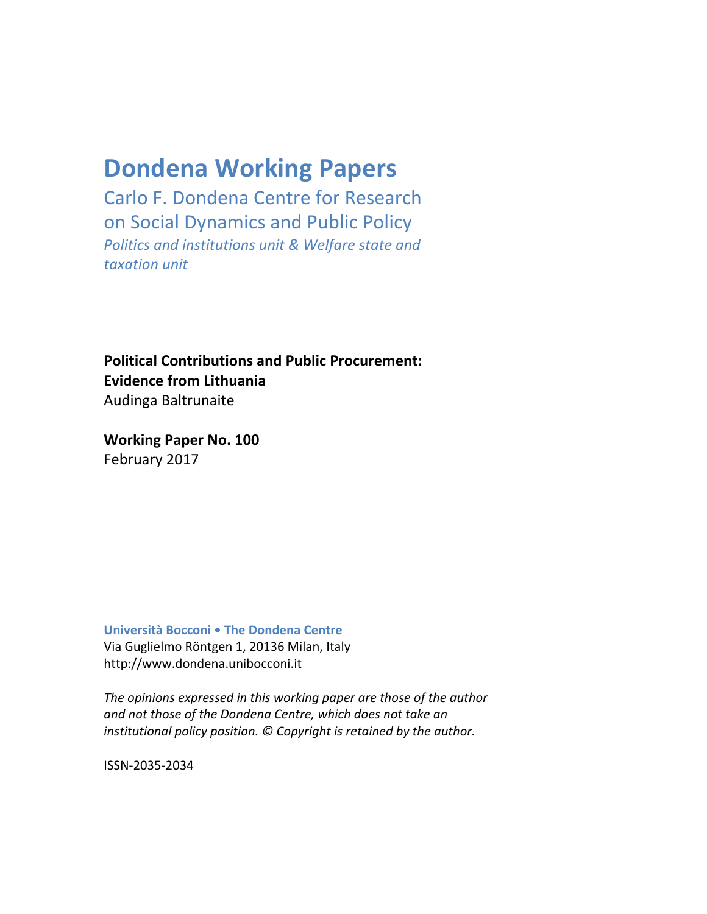# **Dondena Working Papers**

Carlo F. Dondena Centre for Research on Social Dynamics and Public Policy *Politics and institutions unit & Welfare state and taxation unit*

**Political Contributions and Public Procurement: Evidence from Lithuania** Audinga Baltrunaite

**Working Paper No. 100**  February 2017

**Università Bocconi • The Dondena Centre** Via Guglielmo Röntgen 1, 20136 Milan, Italy http://www.dondena.unibocconi.it

*The opinions expressed in this working paper are those of the author and not those of the Dondena Centre, which does not take an institutional policy position. © Copyright is retained by the author.*

ISSN-2035-2034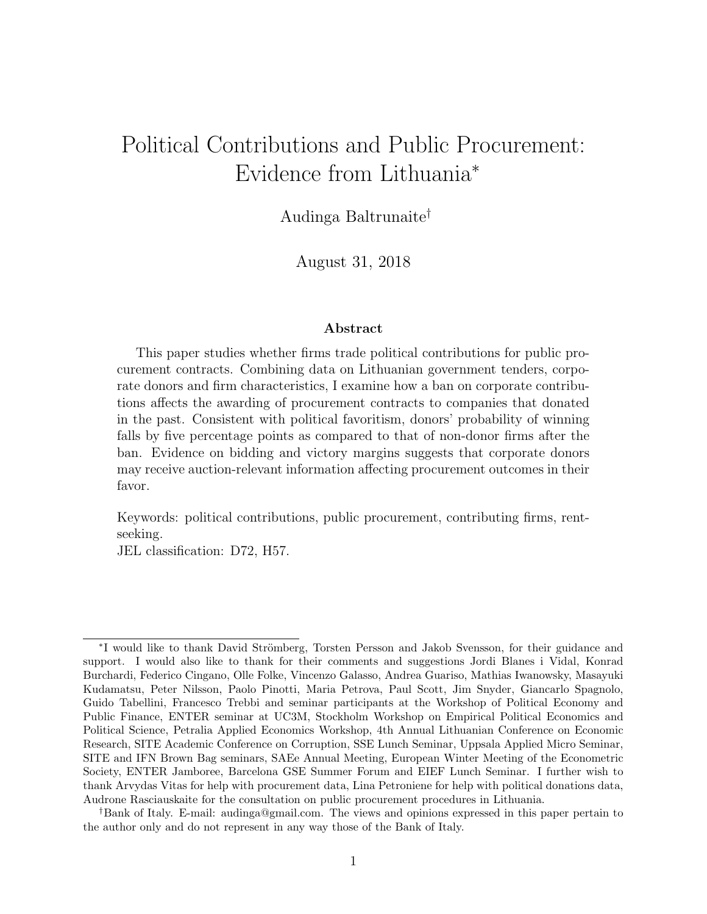# Political Contributions and Public Procurement: Evidence from Lithuania<sup>∗</sup>

Audinga Baltrunaite†

August 31, 2018

#### Abstract

This paper studies whether firms trade political contributions for public procurement contracts. Combining data on Lithuanian government tenders, corporate donors and firm characteristics, I examine how a ban on corporate contributions affects the awarding of procurement contracts to companies that donated in the past. Consistent with political favoritism, donors' probability of winning falls by five percentage points as compared to that of non-donor firms after the ban. Evidence on bidding and victory margins suggests that corporate donors may receive auction-relevant information affecting procurement outcomes in their favor.

Keywords: political contributions, public procurement, contributing firms, rentseeking.

JEL classification: D72, H57.

<sup>\*</sup>I would like to thank David Strömberg, Torsten Persson and Jakob Svensson, for their guidance and support. I would also like to thank for their comments and suggestions Jordi Blanes i Vidal, Konrad Burchardi, Federico Cingano, Olle Folke, Vincenzo Galasso, Andrea Guariso, Mathias Iwanowsky, Masayuki Kudamatsu, Peter Nilsson, Paolo Pinotti, Maria Petrova, Paul Scott, Jim Snyder, Giancarlo Spagnolo, Guido Tabellini, Francesco Trebbi and seminar participants at the Workshop of Political Economy and Public Finance, ENTER seminar at UC3M, Stockholm Workshop on Empirical Political Economics and Political Science, Petralia Applied Economics Workshop, 4th Annual Lithuanian Conference on Economic Research, SITE Academic Conference on Corruption, SSE Lunch Seminar, Uppsala Applied Micro Seminar, SITE and IFN Brown Bag seminars, SAEe Annual Meeting, European Winter Meeting of the Econometric Society, ENTER Jamboree, Barcelona GSE Summer Forum and EIEF Lunch Seminar. I further wish to thank Arvydas Vitas for help with procurement data, Lina Petroniene for help with political donations data, Audrone Rasciauskaite for the consultation on public procurement procedures in Lithuania.

<sup>†</sup>Bank of Italy. E-mail: audinga@gmail.com. The views and opinions expressed in this paper pertain to the author only and do not represent in any way those of the Bank of Italy.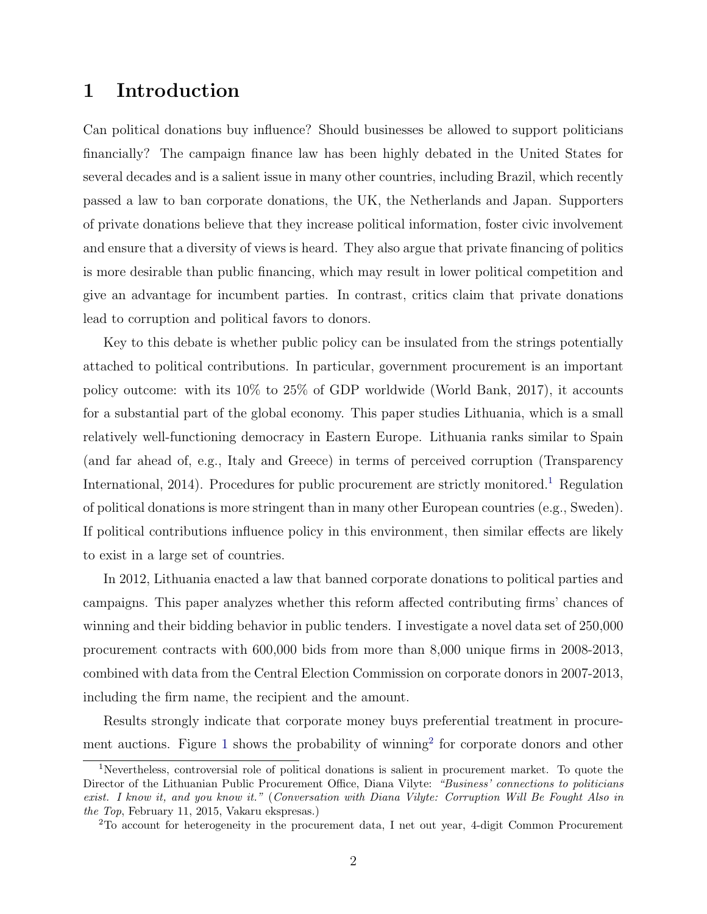# 1 Introduction

Can political donations buy influence? Should businesses be allowed to support politicians financially? The campaign finance law has been highly debated in the United States for several decades and is a salient issue in many other countries, including Brazil, which recently passed a law to ban corporate donations, the UK, the Netherlands and Japan. Supporters of private donations believe that they increase political information, foster civic involvement and ensure that a diversity of views is heard. They also argue that private financing of politics is more desirable than public financing, which may result in lower political competition and give an advantage for incumbent parties. In contrast, critics claim that private donations lead to corruption and political favors to donors.

Key to this debate is whether public policy can be insulated from the strings potentially attached to political contributions. In particular, government procurement is an important policy outcome: with its 10% to 25% of GDP worldwide (World Bank, 2017), it accounts for a substantial part of the global economy. This paper studies Lithuania, which is a small relatively well-functioning democracy in Eastern Europe. Lithuania ranks similar to Spain (and far ahead of, e.g., Italy and Greece) in terms of perceived corruption (Transparency International, 20[1](#page-2-0)4). Procedures for public procurement are strictly monitored.<sup>1</sup> Regulation of political donations is more stringent than in many other European countries (e.g., Sweden). If political contributions influence policy in this environment, then similar effects are likely to exist in a large set of countries.

In 2012, Lithuania enacted a law that banned corporate donations to political parties and campaigns. This paper analyzes whether this reform affected contributing firms' chances of winning and their bidding behavior in public tenders. I investigate a novel data set of 250,000 procurement contracts with 600,000 bids from more than 8,000 unique firms in 2008-2013, combined with data from the Central Election Commission on corporate donors in 2007-2013, including the firm name, the recipient and the amount.

Results strongly indicate that corporate money buys preferential treatment in procure-ment auctions. Figure [1](#page-46-0) shows the probability of winning<sup>[2](#page-2-1)</sup> for corporate donors and other

<span id="page-2-0"></span><sup>1</sup>Nevertheless, controversial role of political donations is salient in procurement market. To quote the Director of the Lithuanian Public Procurement Office, Diana Vilyte: "Business' connections to politicians exist. I know it, and you know it." (Conversation with Diana Vilyte: Corruption Will Be Fought Also in the Top, February 11, 2015, Vakaru ekspresas.)

<span id="page-2-1"></span><sup>2</sup>To account for heterogeneity in the procurement data, I net out year, 4-digit Common Procurement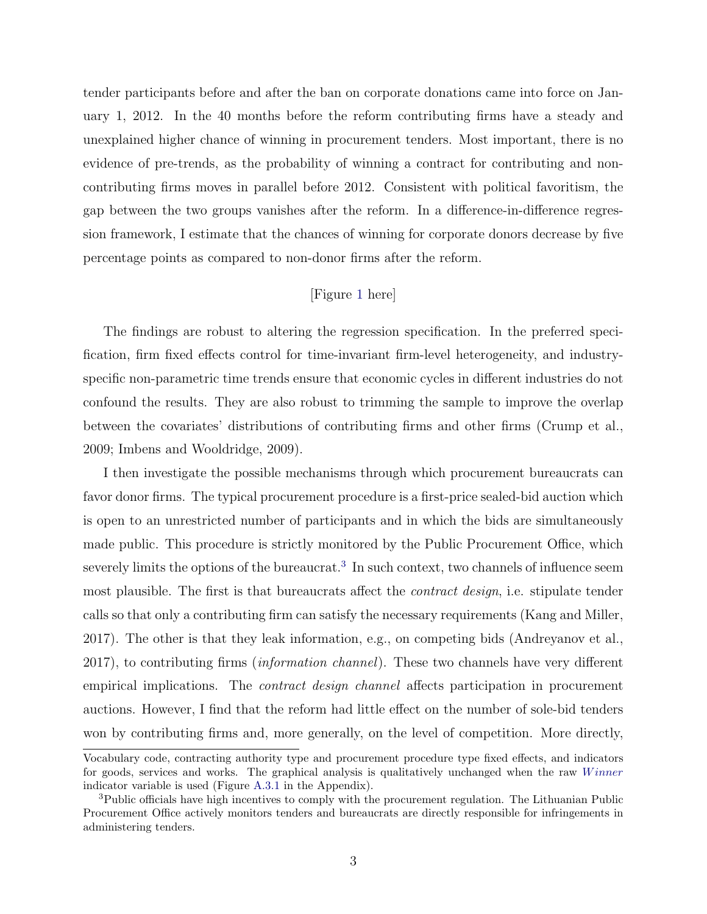tender participants before and after the ban on corporate donations came into force on January 1, 2012. In the 40 months before the reform contributing firms have a steady and unexplained higher chance of winning in procurement tenders. Most important, there is no evidence of pre-trends, as the probability of winning a contract for contributing and noncontributing firms moves in parallel before 2012. Consistent with political favoritism, the gap between the two groups vanishes after the reform. In a difference-in-difference regression framework, I estimate that the chances of winning for corporate donors decrease by five percentage points as compared to non-donor firms after the reform.

### [Figure [1](#page-46-0) here]

The findings are robust to altering the regression specification. In the preferred specification, firm fixed effects control for time-invariant firm-level heterogeneity, and industryspecific non-parametric time trends ensure that economic cycles in different industries do not confound the results. They are also robust to trimming the sample to improve the overlap between the covariates' distributions of contributing firms and other firms (Crump et al., 2009; Imbens and Wooldridge, 2009).

I then investigate the possible mechanisms through which procurement bureaucrats can favor donor firms. The typical procurement procedure is a first-price sealed-bid auction which is open to an unrestricted number of participants and in which the bids are simultaneously made public. This procedure is strictly monitored by the Public Procurement Office, which severely limits the options of the bureaucrat.<sup>[3](#page-3-0)</sup> In such context, two channels of influence seem most plausible. The first is that bureaucrats affect the *contract design*, i.e. stipulate tender calls so that only a contributing firm can satisfy the necessary requirements (Kang and Miller, 2017). The other is that they leak information, e.g., on competing bids (Andreyanov et al., 2017), to contributing firms (information channel). These two channels have very different empirical implications. The contract design channel affects participation in procurement auctions. However, I find that the reform had little effect on the number of sole-bid tenders won by contributing firms and, more generally, on the level of competition. More directly,

Vocabulary code, contracting authority type and procurement procedure type fixed effects, and indicators for goods, services and works. The graphical analysis is qualitatively unchanged when the raw Winner indicator variable is used (Figure [A.3.1](#page-58-0) in the Appendix).

<span id="page-3-0"></span><sup>&</sup>lt;sup>3</sup>Public officials have high incentives to comply with the procurement regulation. The Lithuanian Public Procurement Office actively monitors tenders and bureaucrats are directly responsible for infringements in administering tenders.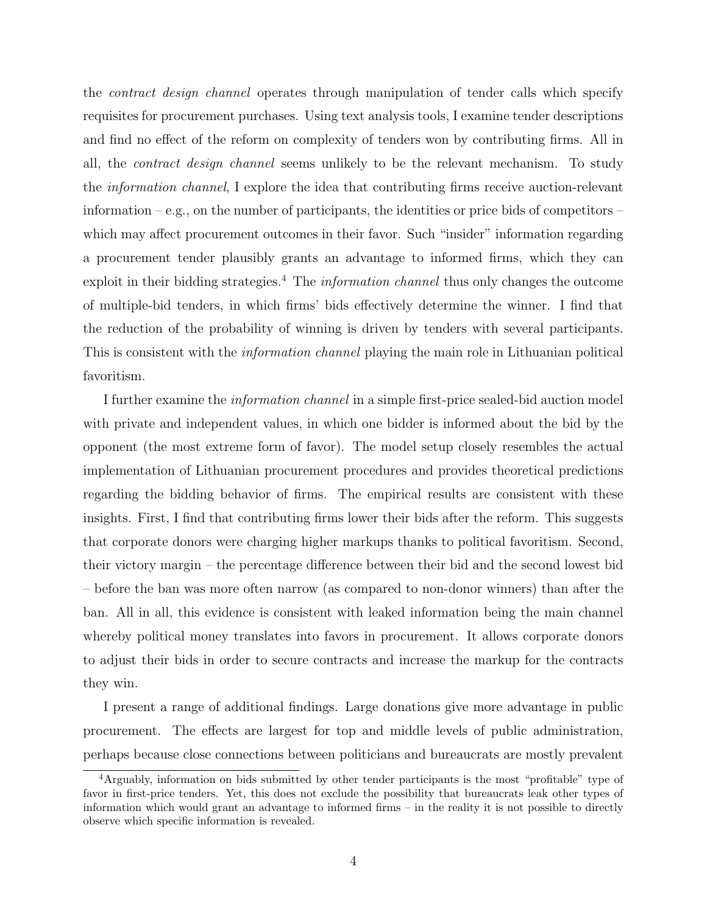the contract design channel operates through manipulation of tender calls which specify requisites for procurement purchases. Using text analysis tools, I examine tender descriptions and find no effect of the reform on complexity of tenders won by contributing firms. All in all, the contract design channel seems unlikely to be the relevant mechanism. To study the information channel, I explore the idea that contributing firms receive auction-relevant information – e.g., on the number of participants, the identities or price bids of competitors – which may affect procurement outcomes in their favor. Such "insider" information regarding a procurement tender plausibly grants an advantage to informed firms, which they can exploit in their bidding strategies.<sup>[4](#page-4-0)</sup> The *information channel* thus only changes the outcome of multiple-bid tenders, in which firms' bids effectively determine the winner. I find that the reduction of the probability of winning is driven by tenders with several participants. This is consistent with the *information channel* playing the main role in Lithuanian political favoritism.

I further examine the information channel in a simple first-price sealed-bid auction model with private and independent values, in which one bidder is informed about the bid by the opponent (the most extreme form of favor). The model setup closely resembles the actual implementation of Lithuanian procurement procedures and provides theoretical predictions regarding the bidding behavior of firms. The empirical results are consistent with these insights. First, I find that contributing firms lower their bids after the reform. This suggests that corporate donors were charging higher markups thanks to political favoritism. Second, their victory margin – the percentage difference between their bid and the second lowest bid – before the ban was more often narrow (as compared to non-donor winners) than after the ban. All in all, this evidence is consistent with leaked information being the main channel whereby political money translates into favors in procurement. It allows corporate donors to adjust their bids in order to secure contracts and increase the markup for the contracts they win.

I present a range of additional findings. Large donations give more advantage in public procurement. The effects are largest for top and middle levels of public administration, perhaps because close connections between politicians and bureaucrats are mostly prevalent

<span id="page-4-0"></span><sup>4</sup>Arguably, information on bids submitted by other tender participants is the most "profitable" type of favor in first-price tenders. Yet, this does not exclude the possibility that bureaucrats leak other types of information which would grant an advantage to informed firms – in the reality it is not possible to directly observe which specific information is revealed.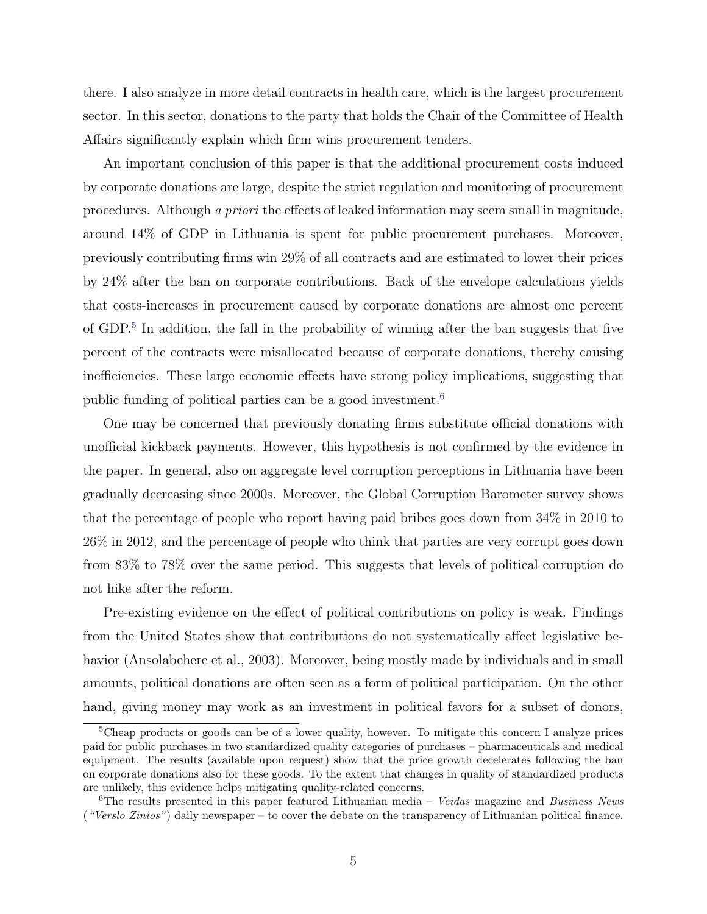there. I also analyze in more detail contracts in health care, which is the largest procurement sector. In this sector, donations to the party that holds the Chair of the Committee of Health Affairs significantly explain which firm wins procurement tenders.

An important conclusion of this paper is that the additional procurement costs induced by corporate donations are large, despite the strict regulation and monitoring of procurement procedures. Although a priori the effects of leaked information may seem small in magnitude, around 14% of GDP in Lithuania is spent for public procurement purchases. Moreover, previously contributing firms win 29% of all contracts and are estimated to lower their prices by 24% after the ban on corporate contributions. Back of the envelope calculations yields that costs-increases in procurement caused by corporate donations are almost one percent of GDP.<sup>[5](#page-5-0)</sup> In addition, the fall in the probability of winning after the ban suggests that five percent of the contracts were misallocated because of corporate donations, thereby causing inefficiencies. These large economic effects have strong policy implications, suggesting that public funding of political parties can be a good investment.[6](#page-5-1)

One may be concerned that previously donating firms substitute official donations with unofficial kickback payments. However, this hypothesis is not confirmed by the evidence in the paper. In general, also on aggregate level corruption perceptions in Lithuania have been gradually decreasing since 2000s. Moreover, the Global Corruption Barometer survey shows that the percentage of people who report having paid bribes goes down from 34% in 2010 to 26% in 2012, and the percentage of people who think that parties are very corrupt goes down from 83% to 78% over the same period. This suggests that levels of political corruption do not hike after the reform.

Pre-existing evidence on the effect of political contributions on policy is weak. Findings from the United States show that contributions do not systematically affect legislative behavior (Ansolabehere et al., 2003). Moreover, being mostly made by individuals and in small amounts, political donations are often seen as a form of political participation. On the other hand, giving money may work as an investment in political favors for a subset of donors,

<span id="page-5-0"></span><sup>&</sup>lt;sup>5</sup>Cheap products or goods can be of a lower quality, however. To mitigate this concern I analyze prices paid for public purchases in two standardized quality categories of purchases – pharmaceuticals and medical equipment. The results (available upon request) show that the price growth decelerates following the ban on corporate donations also for these goods. To the extent that changes in quality of standardized products are unlikely, this evidence helps mitigating quality-related concerns.

<span id="page-5-1"></span><sup>&</sup>lt;sup>6</sup>The results presented in this paper featured Lithuanian media – Veidas magazine and Business News ("Verslo Zinios") daily newspaper – to cover the debate on the transparency of Lithuanian political finance.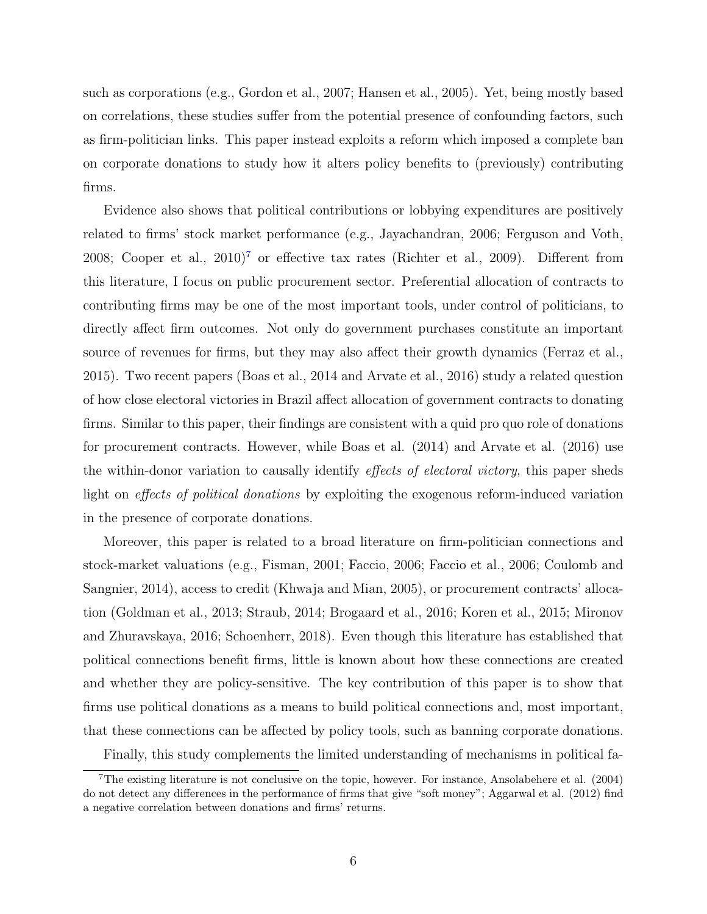such as corporations (e.g., Gordon et al., 2007; Hansen et al., 2005). Yet, being mostly based on correlations, these studies suffer from the potential presence of confounding factors, such as firm-politician links. This paper instead exploits a reform which imposed a complete ban on corporate donations to study how it alters policy benefits to (previously) contributing firms.

Evidence also shows that political contributions or lobbying expenditures are positively related to firms' stock market performance (e.g., Jayachandran, 2006; Ferguson and Voth, 2008; Cooper et al.,  $2010$ <sup>[7](#page-6-0)</sup> or effective tax rates (Richter et al., 2009). Different from this literature, I focus on public procurement sector. Preferential allocation of contracts to contributing firms may be one of the most important tools, under control of politicians, to directly affect firm outcomes. Not only do government purchases constitute an important source of revenues for firms, but they may also affect their growth dynamics (Ferraz et al., 2015). Two recent papers (Boas et al., 2014 and Arvate et al., 2016) study a related question of how close electoral victories in Brazil affect allocation of government contracts to donating firms. Similar to this paper, their findings are consistent with a quid pro quo role of donations for procurement contracts. However, while Boas et al. (2014) and Arvate et al. (2016) use the within-donor variation to causally identify *effects of electoral victory*, this paper sheds light on *effects of political donations* by exploiting the exogenous reform-induced variation in the presence of corporate donations.

Moreover, this paper is related to a broad literature on firm-politician connections and stock-market valuations (e.g., Fisman, 2001; Faccio, 2006; Faccio et al., 2006; Coulomb and Sangnier, 2014), access to credit (Khwaja and Mian, 2005), or procurement contracts' allocation (Goldman et al., 2013; Straub, 2014; Brogaard et al., 2016; Koren et al., 2015; Mironov and Zhuravskaya, 2016; Schoenherr, 2018). Even though this literature has established that political connections benefit firms, little is known about how these connections are created and whether they are policy-sensitive. The key contribution of this paper is to show that firms use political donations as a means to build political connections and, most important, that these connections can be affected by policy tools, such as banning corporate donations.

<span id="page-6-0"></span>Finally, this study complements the limited understanding of mechanisms in political fa-

<sup>7</sup>The existing literature is not conclusive on the topic, however. For instance, Ansolabehere et al. (2004) do not detect any differences in the performance of firms that give "soft money"; Aggarwal et al. (2012) find a negative correlation between donations and firms' returns.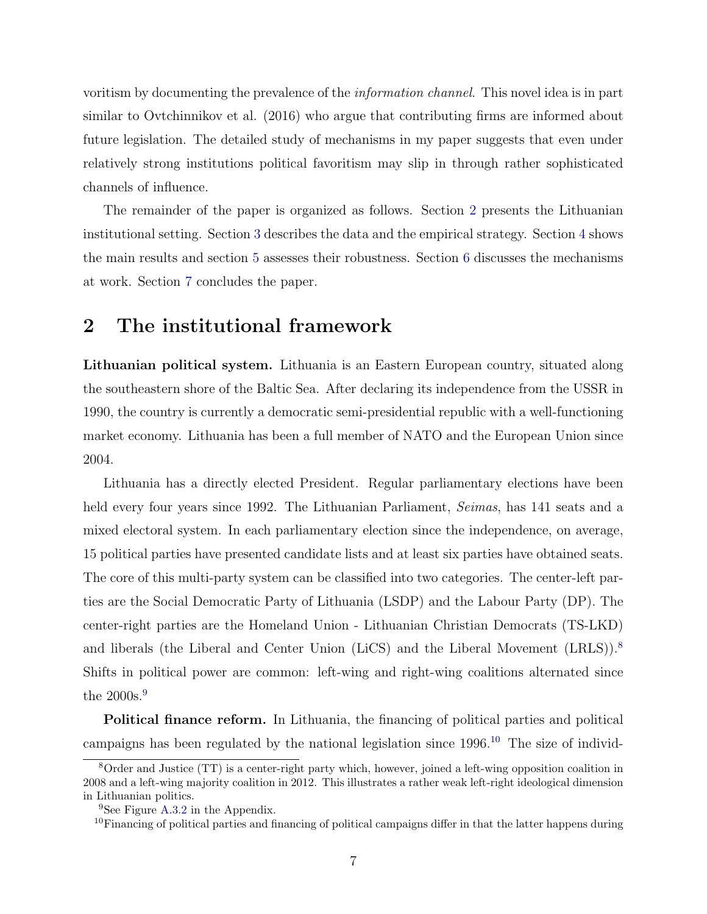voritism by documenting the prevalence of the information channel. This novel idea is in part similar to Ovtchinnikov et al. (2016) who argue that contributing firms are informed about future legislation. The detailed study of mechanisms in my paper suggests that even under relatively strong institutions political favoritism may slip in through rather sophisticated channels of influence.

The remainder of the paper is organized as follows. Section [2](#page-7-0) presents the Lithuanian institutional setting. Section [3](#page-10-0) describes the data and the empirical strategy. Section [4](#page-14-0) shows the main results and section [5](#page-18-0) assesses their robustness. Section [6](#page-19-0) discusses the mechanisms at work. Section [7](#page-32-0) concludes the paper.

# <span id="page-7-0"></span>2 The institutional framework

Lithuanian political system. Lithuania is an Eastern European country, situated along the southeastern shore of the Baltic Sea. After declaring its independence from the USSR in 1990, the country is currently a democratic semi-presidential republic with a well-functioning market economy. Lithuania has been a full member of NATO and the European Union since 2004.

Lithuania has a directly elected President. Regular parliamentary elections have been held every four years since 1992. The Lithuanian Parliament, Seimas, has 141 seats and a mixed electoral system. In each parliamentary election since the independence, on average, 15 political parties have presented candidate lists and at least six parties have obtained seats. The core of this multi-party system can be classified into two categories. The center-left parties are the Social Democratic Party of Lithuania (LSDP) and the Labour Party (DP). The center-right parties are the Homeland Union - Lithuanian Christian Democrats (TS-LKD) and liberals (the Liberal and Center Union (LiCS) and the Liberal Movement (LRLS)).<sup>[8](#page-7-1)</sup> Shifts in political power are common: left-wing and right-wing coalitions alternated since the 2000s.<sup>[9](#page-7-2)</sup>

Political finance reform. In Lithuania, the financing of political parties and political campaigns has been regulated by the national legislation since  $1996$ .<sup>[10](#page-7-3)</sup> The size of individ-

<span id="page-7-1"></span><sup>8</sup>Order and Justice (TT) is a center-right party which, however, joined a left-wing opposition coalition in 2008 and a left-wing majority coalition in 2012. This illustrates a rather weak left-right ideological dimension in Lithuanian politics.

<span id="page-7-2"></span><sup>&</sup>lt;sup>9</sup>See Figure [A.3.2](#page-58-1) in the Appendix.

<span id="page-7-3"></span><sup>&</sup>lt;sup>10</sup>Financing of political parties and financing of political campaigns differ in that the latter happens during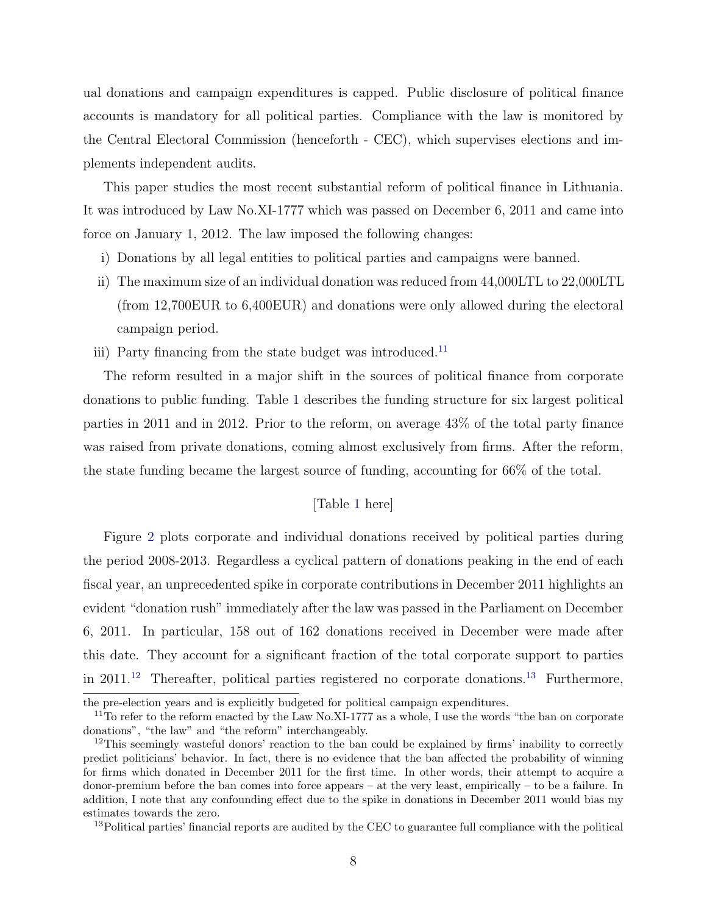ual donations and campaign expenditures is capped. Public disclosure of political finance accounts is mandatory for all political parties. Compliance with the law is monitored by the Central Electoral Commission (henceforth - CEC), which supervises elections and implements independent audits.

This paper studies the most recent substantial reform of political finance in Lithuania. It was introduced by Law No.XI-1777 which was passed on December 6, 2011 and came into force on January 1, 2012. The law imposed the following changes:

- i) Donations by all legal entities to political parties and campaigns were banned.
- ii) The maximum size of an individual donation was reduced from 44,000LTL to 22,000LTL (from 12,700EUR to 6,400EUR) and donations were only allowed during the electoral campaign period.
- iii) Party financing from the state budget was introduced.<sup>[11](#page-8-0)</sup>

The reform resulted in a major shift in the sources of political finance from corporate donations to public funding. Table [1](#page-37-0) describes the funding structure for six largest political parties in 2011 and in 2012. Prior to the reform, on average 43% of the total party finance was raised from private donations, coming almost exclusively from firms. After the reform, the state funding became the largest source of funding, accounting for 66% of the total.

#### [Table [1](#page-37-0) here]

Figure [2](#page-46-1) plots corporate and individual donations received by political parties during the period 2008-2013. Regardless a cyclical pattern of donations peaking in the end of each fiscal year, an unprecedented spike in corporate contributions in December 2011 highlights an evident "donation rush" immediately after the law was passed in the Parliament on December 6, 2011. In particular, 158 out of 162 donations received in December were made after this date. They account for a significant fraction of the total corporate support to parties in 2011.<sup>[12](#page-8-1)</sup> Thereafter, political parties registered no corporate donations.<sup>[13](#page-8-2)</sup> Furthermore,

the pre-election years and is explicitly budgeted for political campaign expenditures.

<span id="page-8-0"></span><sup>&</sup>lt;sup>11</sup>To refer to the reform enacted by the Law No.XI-1777 as a whole, I use the words "the ban on corporate" donations", "the law" and "the reform" interchangeably.

<span id="page-8-1"></span><sup>&</sup>lt;sup>12</sup>This seemingly wasteful donors' reaction to the ban could be explained by firms' inability to correctly predict politicians' behavior. In fact, there is no evidence that the ban affected the probability of winning for firms which donated in December 2011 for the first time. In other words, their attempt to acquire a donor-premium before the ban comes into force appears – at the very least, empirically – to be a failure. In addition, I note that any confounding effect due to the spike in donations in December 2011 would bias my estimates towards the zero.

<span id="page-8-2"></span><sup>&</sup>lt;sup>13</sup>Political parties' financial reports are audited by the CEC to guarantee full compliance with the political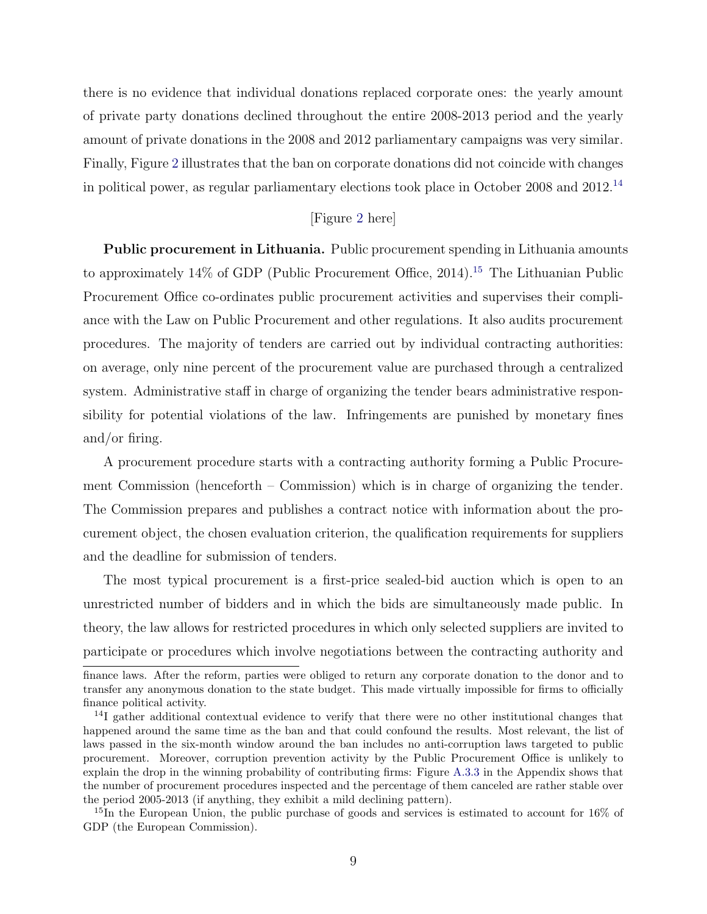there is no evidence that individual donations replaced corporate ones: the yearly amount of private party donations declined throughout the entire 2008-2013 period and the yearly amount of private donations in the 2008 and 2012 parliamentary campaigns was very similar. Finally, Figure [2](#page-46-1) illustrates that the ban on corporate donations did not coincide with changes in political power, as regular parliamentary elections took place in October 2008 and 2012.[14](#page-9-0)

## [Figure [2](#page-46-1) here]

**Public procurement in Lithuania.** Public procurement spending in Lithuania amounts to approximately  $14\%$  of GDP (Public Procurement Office, 2014).<sup>[15](#page-9-1)</sup> The Lithuanian Public Procurement Office co-ordinates public procurement activities and supervises their compliance with the Law on Public Procurement and other regulations. It also audits procurement procedures. The majority of tenders are carried out by individual contracting authorities: on average, only nine percent of the procurement value are purchased through a centralized system. Administrative staff in charge of organizing the tender bears administrative responsibility for potential violations of the law. Infringements are punished by monetary fines and/or firing.

A procurement procedure starts with a contracting authority forming a Public Procurement Commission (henceforth – Commission) which is in charge of organizing the tender. The Commission prepares and publishes a contract notice with information about the procurement object, the chosen evaluation criterion, the qualification requirements for suppliers and the deadline for submission of tenders.

The most typical procurement is a first-price sealed-bid auction which is open to an unrestricted number of bidders and in which the bids are simultaneously made public. In theory, the law allows for restricted procedures in which only selected suppliers are invited to participate or procedures which involve negotiations between the contracting authority and

finance laws. After the reform, parties were obliged to return any corporate donation to the donor and to transfer any anonymous donation to the state budget. This made virtually impossible for firms to officially finance political activity.

<span id="page-9-0"></span> $14I$  gather additional contextual evidence to verify that there were no other institutional changes that happened around the same time as the ban and that could confound the results. Most relevant, the list of laws passed in the six-month window around the ban includes no anti-corruption laws targeted to public procurement. Moreover, corruption prevention activity by the Public Procurement Office is unlikely to explain the drop in the winning probability of contributing firms: Figure [A.3.3](#page-59-0) in the Appendix shows that the number of procurement procedures inspected and the percentage of them canceled are rather stable over the period 2005-2013 (if anything, they exhibit a mild declining pattern).

<span id="page-9-1"></span><sup>&</sup>lt;sup>15</sup>In the European Union, the public purchase of goods and services is estimated to account for 16% of GDP (the European Commission).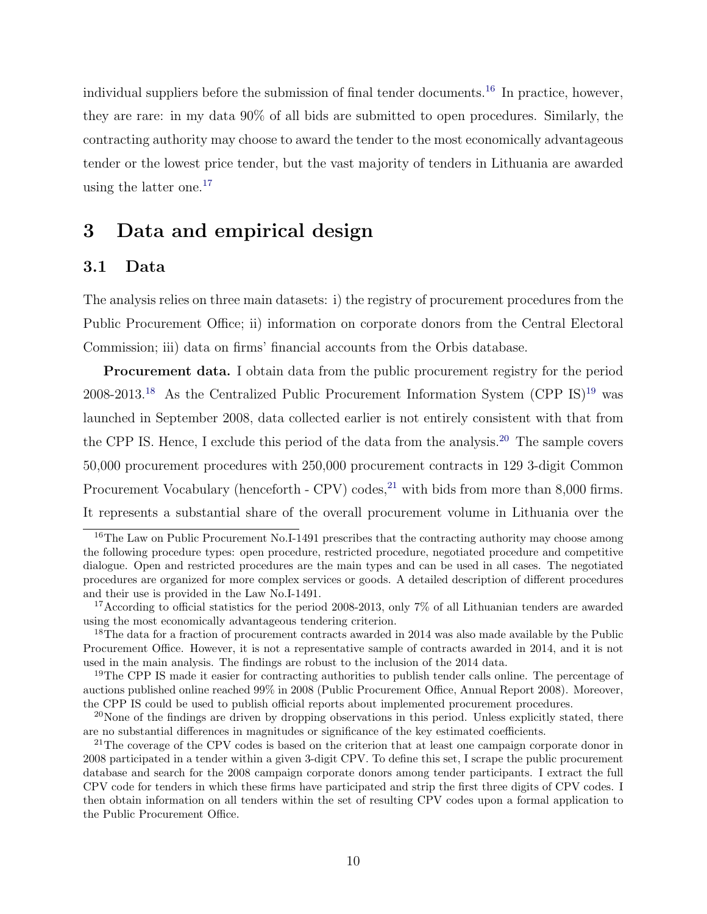individual suppliers before the submission of final tender documents.<sup>[16](#page-10-1)</sup> In practice, however, they are rare: in my data 90% of all bids are submitted to open procedures. Similarly, the contracting authority may choose to award the tender to the most economically advantageous tender or the lowest price tender, but the vast majority of tenders in Lithuania are awarded using the latter one.[17](#page-10-2)

# <span id="page-10-0"></span>3 Data and empirical design

## 3.1 Data

The analysis relies on three main datasets: i) the registry of procurement procedures from the Public Procurement Office; ii) information on corporate donors from the Central Electoral Commission; iii) data on firms' financial accounts from the Orbis database.

**Procurement data.** I obtain data from the public procurement registry for the period 2008-2013.<sup>[18](#page-10-3)</sup> As the Centralized Public Procurement Information System (CPP IS)<sup>[19](#page-10-4)</sup> was launched in September 2008, data collected earlier is not entirely consistent with that from the CPP IS. Hence, I exclude this period of the data from the analysis.[20](#page-10-5) The sample covers 50,000 procurement procedures with 250,000 procurement contracts in 129 3-digit Common Procurement Vocabulary (henceforth - CPV) codes, $^{21}$  $^{21}$  $^{21}$  with bids from more than 8,000 firms. It represents a substantial share of the overall procurement volume in Lithuania over the

<span id="page-10-1"></span><sup>&</sup>lt;sup>16</sup>The Law on Public Procurement No.I-1491 prescribes that the contracting authority may choose among the following procedure types: open procedure, restricted procedure, negotiated procedure and competitive dialogue. Open and restricted procedures are the main types and can be used in all cases. The negotiated procedures are organized for more complex services or goods. A detailed description of different procedures and their use is provided in the Law No.I-1491.

<span id="page-10-2"></span><sup>&</sup>lt;sup>17</sup>According to official statistics for the period 2008-2013, only 7% of all Lithuanian tenders are awarded using the most economically advantageous tendering criterion.

<span id="page-10-3"></span><sup>&</sup>lt;sup>18</sup>The data for a fraction of procurement contracts awarded in 2014 was also made available by the Public Procurement Office. However, it is not a representative sample of contracts awarded in 2014, and it is not used in the main analysis. The findings are robust to the inclusion of the 2014 data.

<span id="page-10-4"></span><sup>&</sup>lt;sup>19</sup>The CPP IS made it easier for contracting authorities to publish tender calls online. The percentage of auctions published online reached 99% in 2008 (Public Procurement Office, Annual Report 2008). Moreover, the CPP IS could be used to publish official reports about implemented procurement procedures.

<span id="page-10-5"></span> $^{20}$ None of the findings are driven by dropping observations in this period. Unless explicitly stated, there are no substantial differences in magnitudes or significance of the key estimated coefficients.

<span id="page-10-6"></span><sup>&</sup>lt;sup>21</sup>The coverage of the CPV codes is based on the criterion that at least one campaign corporate donor in 2008 participated in a tender within a given 3-digit CPV. To define this set, I scrape the public procurement database and search for the 2008 campaign corporate donors among tender participants. I extract the full CPV code for tenders in which these firms have participated and strip the first three digits of CPV codes. I then obtain information on all tenders within the set of resulting CPV codes upon a formal application to the Public Procurement Office.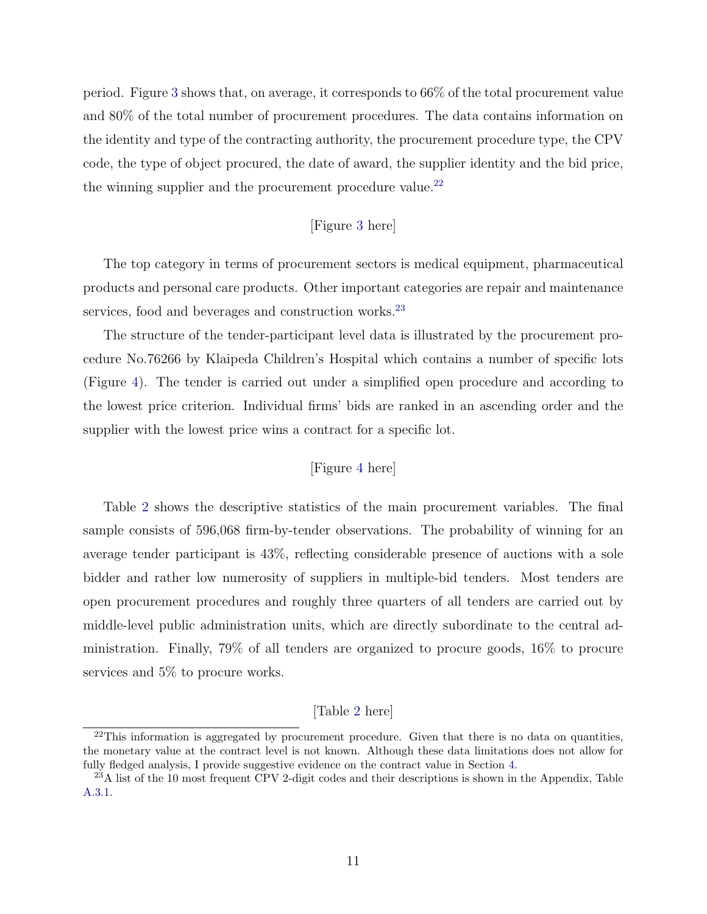period. Figure [3](#page-47-0) shows that, on average, it corresponds to 66% of the total procurement value and 80% of the total number of procurement procedures. The data contains information on the identity and type of the contracting authority, the procurement procedure type, the CPV code, the type of object procured, the date of award, the supplier identity and the bid price, the winning supplier and the procurement procedure value.  $\!{}^{22}$  $\!{}^{22}$  $\!{}^{22}$ 

#### [Figure [3](#page-47-0) here]

The top category in terms of procurement sectors is medical equipment, pharmaceutical products and personal care products. Other important categories are repair and maintenance services, food and beverages and construction works.<sup>[23](#page-11-1)</sup>

The structure of the tender-participant level data is illustrated by the procurement procedure No.76266 by Klaipeda Children's Hospital which contains a number of specific lots (Figure [4\)](#page-47-1). The tender is carried out under a simplified open procedure and according to the lowest price criterion. Individual firms' bids are ranked in an ascending order and the supplier with the lowest price wins a contract for a specific lot.

#### [Figure [4](#page-47-1) here]

Table [2](#page-38-0) shows the descriptive statistics of the main procurement variables. The final sample consists of 596,068 firm-by-tender observations. The probability of winning for an average tender participant is 43%, reflecting considerable presence of auctions with a sole bidder and rather low numerosity of suppliers in multiple-bid tenders. Most tenders are open procurement procedures and roughly three quarters of all tenders are carried out by middle-level public administration units, which are directly subordinate to the central administration. Finally, 79% of all tenders are organized to procure goods, 16% to procure services and 5% to procure works.

#### [Table [2](#page-38-0) here]

<span id="page-11-0"></span> $^{22}$ This information is aggregated by procurement procedure. Given that there is no data on quantities, the monetary value at the contract level is not known. Although these data limitations does not allow for fully fledged analysis, I provide suggestive evidence on the contract value in Section [4.](#page-14-0)

<span id="page-11-1"></span><sup>&</sup>lt;sup>23</sup>A list of the 10 most frequent CPV 2-digit codes and their descriptions is shown in the Appendix, Table [A.3.1.](#page-61-0)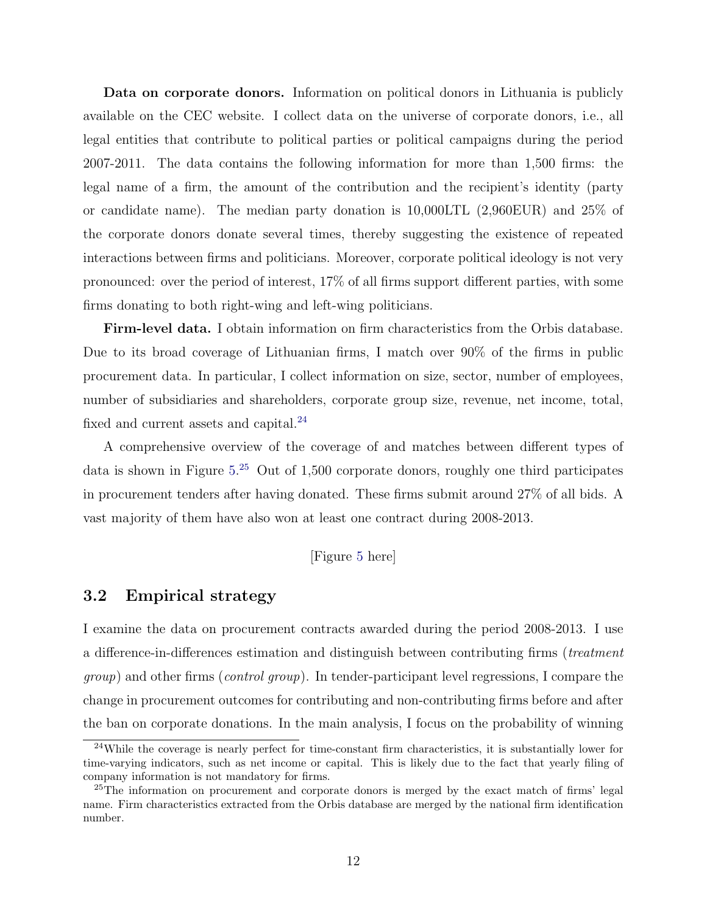Data on corporate donors. Information on political donors in Lithuania is publicly available on the CEC website. I collect data on the universe of corporate donors, i.e., all legal entities that contribute to political parties or political campaigns during the period 2007-2011. The data contains the following information for more than 1,500 firms: the legal name of a firm, the amount of the contribution and the recipient's identity (party or candidate name). The median party donation is 10,000LTL (2,960EUR) and 25% of the corporate donors donate several times, thereby suggesting the existence of repeated interactions between firms and politicians. Moreover, corporate political ideology is not very pronounced: over the period of interest, 17% of all firms support different parties, with some firms donating to both right-wing and left-wing politicians.

Firm-level data. I obtain information on firm characteristics from the Orbis database. Due to its broad coverage of Lithuanian firms, I match over 90% of the firms in public procurement data. In particular, I collect information on size, sector, number of employees, number of subsidiaries and shareholders, corporate group size, revenue, net income, total, fixed and current assets and capital.<sup>[24](#page-12-0)</sup>

A comprehensive overview of the coverage of and matches between different types of data is shown in Figure [5.](#page-48-0) [25](#page-12-1) Out of 1,500 corporate donors, roughly one third participates in procurement tenders after having donated. These firms submit around 27% of all bids. A vast majority of them have also won at least one contract during 2008-2013.

[Figure [5](#page-48-0) here]

# <span id="page-12-2"></span>3.2 Empirical strategy

I examine the data on procurement contracts awarded during the period 2008-2013. I use a difference-in-differences estimation and distinguish between contributing firms (*treatment* group) and other firms (*control group*). In tender-participant level regressions, I compare the change in procurement outcomes for contributing and non-contributing firms before and after the ban on corporate donations. In the main analysis, I focus on the probability of winning

<span id="page-12-0"></span><sup>&</sup>lt;sup>24</sup>While the coverage is nearly perfect for time-constant firm characteristics, it is substantially lower for time-varying indicators, such as net income or capital. This is likely due to the fact that yearly filing of company information is not mandatory for firms.

<span id="page-12-1"></span><sup>&</sup>lt;sup>25</sup>The information on procurement and corporate donors is merged by the exact match of firms' legal name. Firm characteristics extracted from the Orbis database are merged by the national firm identification number.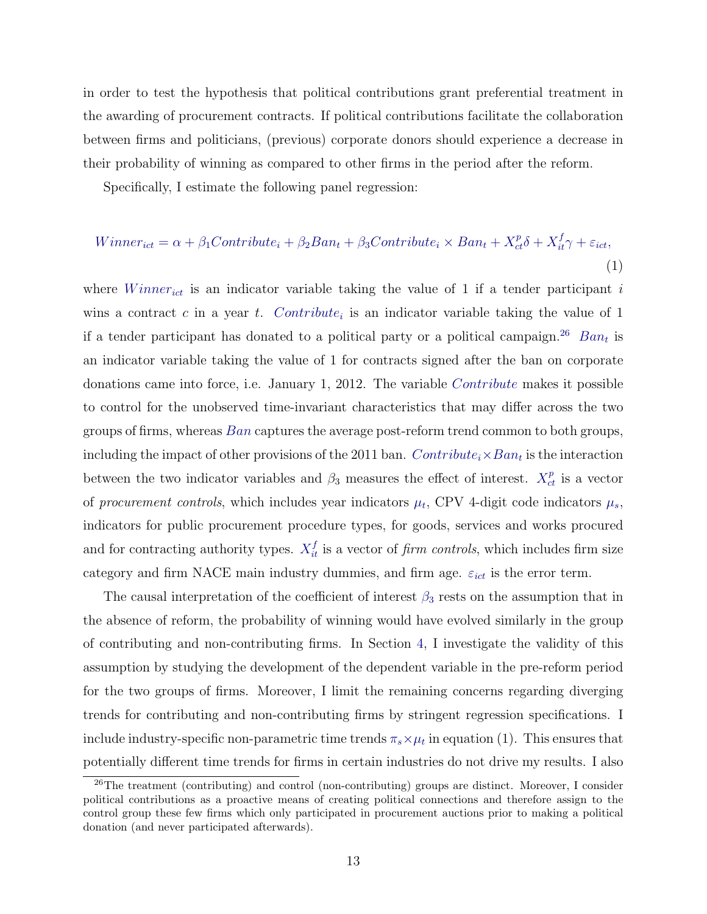in order to test the hypothesis that political contributions grant preferential treatment in the awarding of procurement contracts. If political contributions facilitate the collaboration between firms and politicians, (previous) corporate donors should experience a decrease in their probability of winning as compared to other firms in the period after the reform.

Specifically, I estimate the following panel regression:

$$
Winner_{ict} = \alpha + \beta_1Contribute_i + \beta_2 Ban_t + \beta_3Contribute_i \times Ban_t + X_{ct}^p \delta + X_{it}^f \gamma + \varepsilon_{ict},
$$
\n(1)

where  $Winner_{ict}$  is an indicator variable taking the value of 1 if a tender participant i wins a contract c in a year t. Contribute<sub>i</sub> is an indicator variable taking the value of 1 if a tender participant has donated to a political party or a political campaign.<sup>[26](#page-13-0)</sup> Ban<sub>t</sub> is an indicator variable taking the value of 1 for contracts signed after the ban on corporate donations came into force, i.e. January 1, 2012. The variable Contribute makes it possible to control for the unobserved time-invariant characteristics that may differ across the two groups of firms, whereas Ban captures the average post-reform trend common to both groups, including the impact of other provisions of the 2011 ban.  $Contribute_i \times Ban_t$  is the interaction between the two indicator variables and  $\beta_3$  measures the effect of interest.  $X_{ct}^p$  is a vector of procurement controls, which includes year indicators  $\mu_t$ , CPV 4-digit code indicators  $\mu_s$ , indicators for public procurement procedure types, for goods, services and works procured and for contracting authority types.  $X_{it}^f$  is a vector of *firm controls*, which includes firm size category and firm NACE main industry dummies, and firm age.  $\varepsilon_{ict}$  is the error term.

The causal interpretation of the coefficient of interest  $\beta_3$  rests on the assumption that in the absence of reform, the probability of winning would have evolved similarly in the group of contributing and non-contributing firms. In Section [4,](#page-14-0) I investigate the validity of this assumption by studying the development of the dependent variable in the pre-reform period for the two groups of firms. Moreover, I limit the remaining concerns regarding diverging trends for contributing and non-contributing firms by stringent regression specifications. I include industry-specific non-parametric time trends  $\pi_s \times \mu_t$  in equation (1). This ensures that potentially different time trends for firms in certain industries do not drive my results. I also

<span id="page-13-0"></span><sup>&</sup>lt;sup>26</sup>The treatment (contributing) and control (non-contributing) groups are distinct. Moreover, I consider political contributions as a proactive means of creating political connections and therefore assign to the control group these few firms which only participated in procurement auctions prior to making a political donation (and never participated afterwards).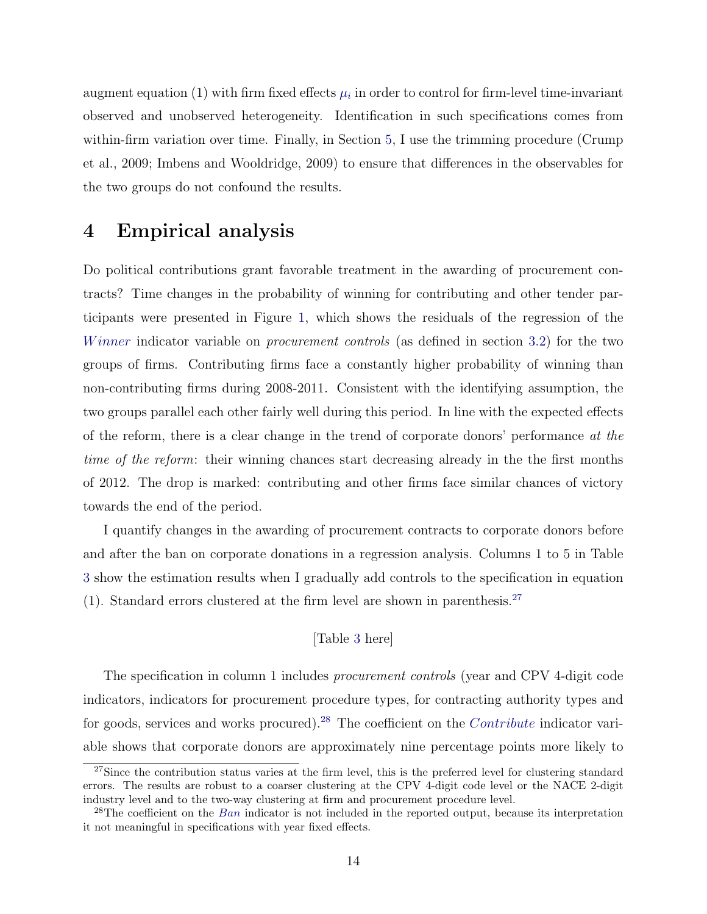augment equation (1) with firm fixed effects  $\mu_i$  in order to control for firm-level time-invariant observed and unobserved heterogeneity. Identification in such specifications comes from within-firm variation over time. Finally, in Section [5,](#page-18-0) I use the trimming procedure (Crump et al., 2009; Imbens and Wooldridge, 2009) to ensure that differences in the observables for the two groups do not confound the results.

# <span id="page-14-0"></span>4 Empirical analysis

Do political contributions grant favorable treatment in the awarding of procurement contracts? Time changes in the probability of winning for contributing and other tender participants were presented in Figure [1,](#page-46-0) which shows the residuals of the regression of the Winner indicator variable on *procurement controls* (as defined in section [3.2\)](#page-12-2) for the two groups of firms. Contributing firms face a constantly higher probability of winning than non-contributing firms during 2008-2011. Consistent with the identifying assumption, the two groups parallel each other fairly well during this period. In line with the expected effects of the reform, there is a clear change in the trend of corporate donors' performance at the time of the reform: their winning chances start decreasing already in the the first months of 2012. The drop is marked: contributing and other firms face similar chances of victory towards the end of the period.

I quantify changes in the awarding of procurement contracts to corporate donors before and after the ban on corporate donations in a regression analysis. Columns 1 to 5 in Table [3](#page-39-0) show the estimation results when I gradually add controls to the specification in equation (1). Standard errors clustered at the firm level are shown in parenthesis.<sup>[27](#page-14-1)</sup>

### [Table [3](#page-39-0) here]

The specification in column 1 includes *procurement controls* (year and CPV 4-digit code indicators, indicators for procurement procedure types, for contracting authority types and for goods, services and works procured).<sup>[28](#page-14-2)</sup> The coefficient on the *Contribute* indicator variable shows that corporate donors are approximately nine percentage points more likely to

<span id="page-14-1"></span><sup>&</sup>lt;sup>27</sup>Since the contribution status varies at the firm level, this is the preferred level for clustering standard errors. The results are robust to a coarser clustering at the CPV 4-digit code level or the NACE 2-digit industry level and to the two-way clustering at firm and procurement procedure level.

<span id="page-14-2"></span><sup>&</sup>lt;sup>28</sup>The coefficient on the *Ban* indicator is not included in the reported output, because its interpretation it not meaningful in specifications with year fixed effects.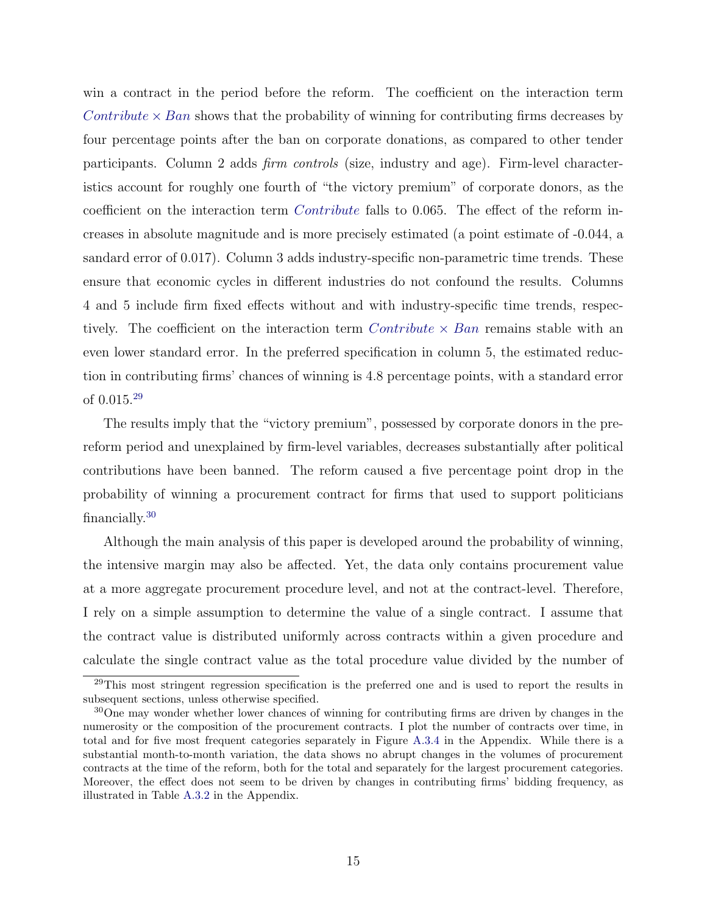win a contract in the period before the reform. The coefficient on the interaction term Contribute  $\times$  Ban shows that the probability of winning for contributing firms decreases by four percentage points after the ban on corporate donations, as compared to other tender participants. Column 2 adds firm controls (size, industry and age). Firm-level characteristics account for roughly one fourth of "the victory premium" of corporate donors, as the coefficient on the interaction term Contribute falls to 0.065. The effect of the reform increases in absolute magnitude and is more precisely estimated (a point estimate of -0.044, a sandard error of 0.017). Column 3 adds industry-specific non-parametric time trends. These ensure that economic cycles in different industries do not confound the results. Columns 4 and 5 include firm fixed effects without and with industry-specific time trends, respectively. The coefficient on the interaction term  $Contribute \times Ban$  remains stable with an even lower standard error. In the preferred specification in column 5, the estimated reduction in contributing firms' chances of winning is 4.8 percentage points, with a standard error of 0.015.[29](#page-15-0)

The results imply that the "victory premium", possessed by corporate donors in the prereform period and unexplained by firm-level variables, decreases substantially after political contributions have been banned. The reform caused a five percentage point drop in the probability of winning a procurement contract for firms that used to support politicians financially.[30](#page-15-1)

Although the main analysis of this paper is developed around the probability of winning, the intensive margin may also be affected. Yet, the data only contains procurement value at a more aggregate procurement procedure level, and not at the contract-level. Therefore, I rely on a simple assumption to determine the value of a single contract. I assume that the contract value is distributed uniformly across contracts within a given procedure and calculate the single contract value as the total procedure value divided by the number of

<span id="page-15-0"></span><sup>&</sup>lt;sup>29</sup>This most stringent regression specification is the preferred one and is used to report the results in subsequent sections, unless otherwise specified.

<span id="page-15-1"></span><sup>&</sup>lt;sup>30</sup>One may wonder whether lower chances of winning for contributing firms are driven by changes in the numerosity or the composition of the procurement contracts. I plot the number of contracts over time, in total and for five most frequent categories separately in Figure [A.3.4](#page-60-0) in the Appendix. While there is a substantial month-to-month variation, the data shows no abrupt changes in the volumes of procurement contracts at the time of the reform, both for the total and separately for the largest procurement categories. Moreover, the effect does not seem to be driven by changes in contributing firms' bidding frequency, as illustrated in Table [A.3.2](#page-62-0) in the Appendix.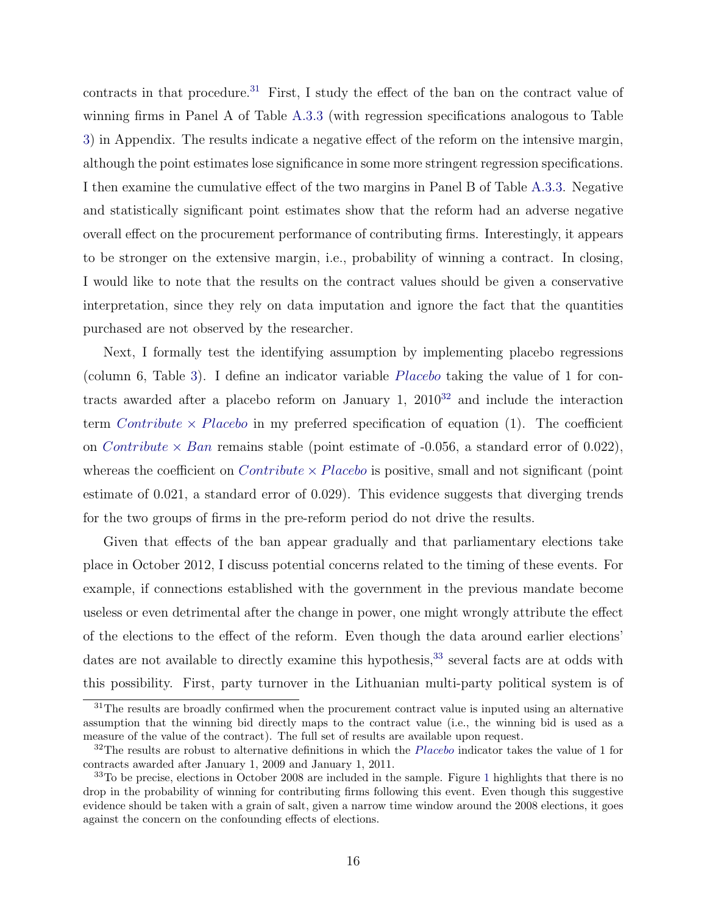contracts in that procedure.<sup>[31](#page-16-0)</sup> First, I study the effect of the ban on the contract value of winning firms in Panel A of Table [A.3.3](#page-62-1) (with regression specifications analogous to Table [3\)](#page-39-0) in Appendix. The results indicate a negative effect of the reform on the intensive margin, although the point estimates lose significance in some more stringent regression specifications. I then examine the cumulative effect of the two margins in Panel B of Table [A.3.3.](#page-62-1) Negative and statistically significant point estimates show that the reform had an adverse negative overall effect on the procurement performance of contributing firms. Interestingly, it appears to be stronger on the extensive margin, i.e., probability of winning a contract. In closing, I would like to note that the results on the contract values should be given a conservative interpretation, since they rely on data imputation and ignore the fact that the quantities purchased are not observed by the researcher.

Next, I formally test the identifying assumption by implementing placebo regressions (column 6, Table [3\)](#page-39-0). I define an indicator variable Placebo taking the value of 1 for contracts awarded after a placebo reform on January 1,  $2010^{32}$  $2010^{32}$  $2010^{32}$  and include the interaction term Contribute  $\times$  Placebo in my preferred specification of equation (1). The coefficient on *Contribute*  $\times$  *Ban* remains stable (point estimate of -0.056, a standard error of 0.022), whereas the coefficient on *Contribute*  $\times$  *Placebo* is positive, small and not significant (point estimate of 0.021, a standard error of 0.029). This evidence suggests that diverging trends for the two groups of firms in the pre-reform period do not drive the results.

Given that effects of the ban appear gradually and that parliamentary elections take place in October 2012, I discuss potential concerns related to the timing of these events. For example, if connections established with the government in the previous mandate become useless or even detrimental after the change in power, one might wrongly attribute the effect of the elections to the effect of the reform. Even though the data around earlier elections' dates are not available to directly examine this hypothesis,<sup>[33](#page-16-2)</sup> several facts are at odds with this possibility. First, party turnover in the Lithuanian multi-party political system is of

<span id="page-16-0"></span> $31$ The results are broadly confirmed when the procurement contract value is inputed using an alternative assumption that the winning bid directly maps to the contract value (i.e., the winning bid is used as a measure of the value of the contract). The full set of results are available upon request.

<span id="page-16-1"></span> $32$ The results are robust to alternative definitions in which the *Placebo* indicator takes the value of 1 for contracts awarded after January 1, 2009 and January 1, 2011.

<span id="page-16-2"></span><sup>&</sup>lt;sup>33</sup>To be precise, elections in October 2008 are included in the sample. Figure [1](#page-46-0) highlights that there is no drop in the probability of winning for contributing firms following this event. Even though this suggestive evidence should be taken with a grain of salt, given a narrow time window around the 2008 elections, it goes against the concern on the confounding effects of elections.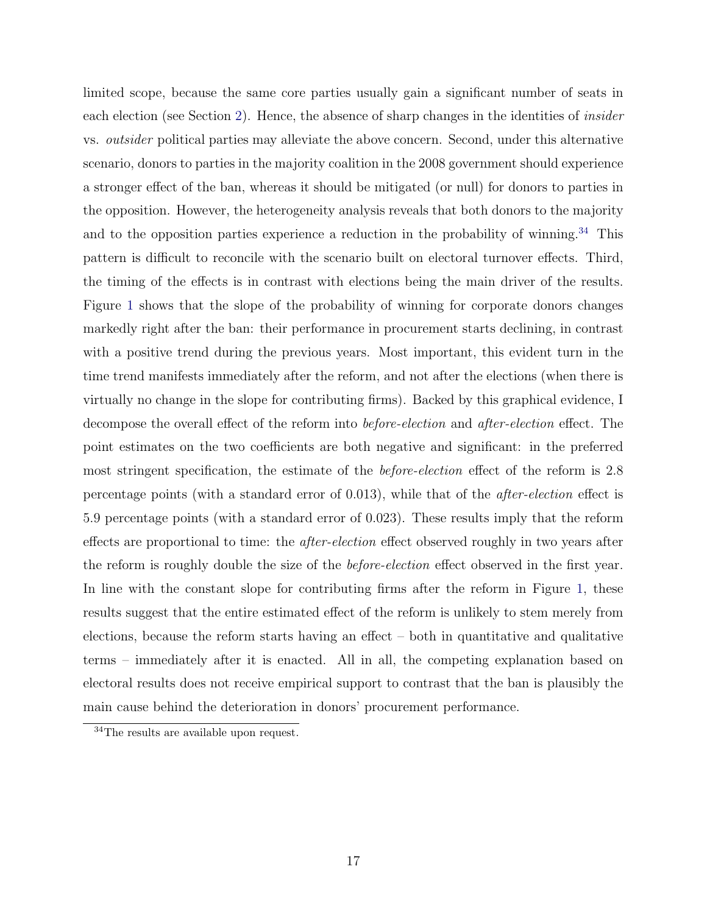limited scope, because the same core parties usually gain a significant number of seats in each election (see Section [2\)](#page-7-0). Hence, the absence of sharp changes in the identities of *insider* vs. outsider political parties may alleviate the above concern. Second, under this alternative scenario, donors to parties in the majority coalition in the 2008 government should experience a stronger effect of the ban, whereas it should be mitigated (or null) for donors to parties in the opposition. However, the heterogeneity analysis reveals that both donors to the majority and to the opposition parties experience a reduction in the probability of winning.<sup>[34](#page-17-0)</sup> This pattern is difficult to reconcile with the scenario built on electoral turnover effects. Third, the timing of the effects is in contrast with elections being the main driver of the results. Figure [1](#page-46-0) shows that the slope of the probability of winning for corporate donors changes markedly right after the ban: their performance in procurement starts declining, in contrast with a positive trend during the previous years. Most important, this evident turn in the time trend manifests immediately after the reform, and not after the elections (when there is virtually no change in the slope for contributing firms). Backed by this graphical evidence, I decompose the overall effect of the reform into before-election and after-election effect. The point estimates on the two coefficients are both negative and significant: in the preferred most stringent specification, the estimate of the *before-election* effect of the reform is 2.8 percentage points (with a standard error of 0.013), while that of the after-election effect is 5.9 percentage points (with a standard error of 0.023). These results imply that the reform effects are proportional to time: the *after-election* effect observed roughly in two years after the reform is roughly double the size of the *before-election* effect observed in the first year. In line with the constant slope for contributing firms after the reform in Figure [1,](#page-46-0) these results suggest that the entire estimated effect of the reform is unlikely to stem merely from elections, because the reform starts having an effect  $-$  both in quantitative and qualitative terms – immediately after it is enacted. All in all, the competing explanation based on electoral results does not receive empirical support to contrast that the ban is plausibly the main cause behind the deterioration in donors' procurement performance.

<span id="page-17-0"></span><sup>34</sup>The results are available upon request.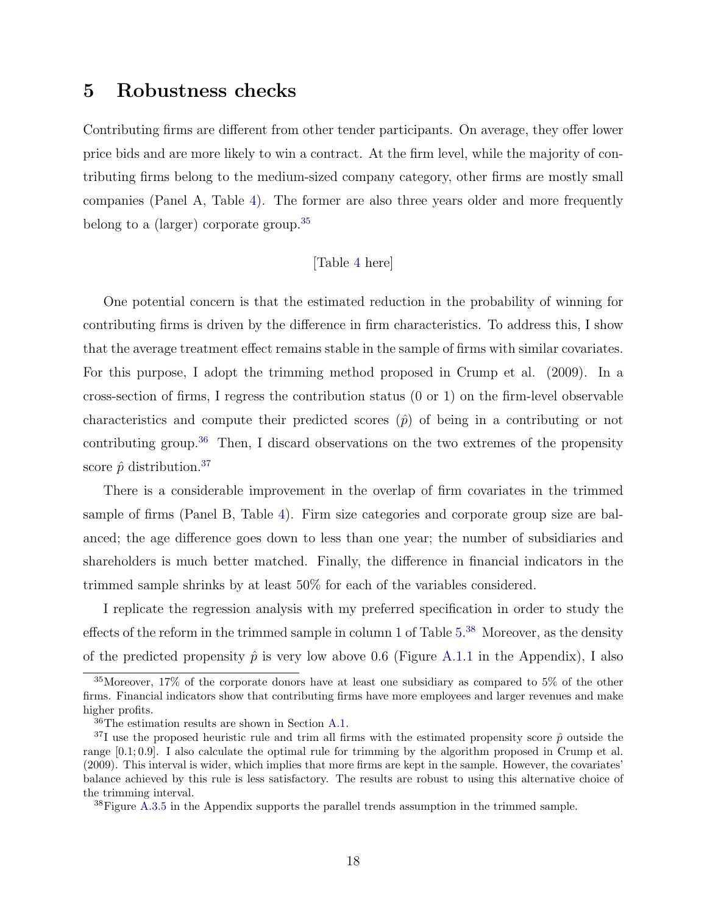# <span id="page-18-0"></span>5 Robustness checks

Contributing firms are different from other tender participants. On average, they offer lower price bids and are more likely to win a contract. At the firm level, while the majority of contributing firms belong to the medium-sized company category, other firms are mostly small companies (Panel A, Table [4\)](#page-40-0). The former are also three years older and more frequently belong to a (larger) corporate group.<sup>[35](#page-18-1)</sup>

#### [Table [4](#page-40-0) here]

One potential concern is that the estimated reduction in the probability of winning for contributing firms is driven by the difference in firm characteristics. To address this, I show that the average treatment effect remains stable in the sample of firms with similar covariates. For this purpose, I adopt the trimming method proposed in Crump et al. (2009). In a cross-section of firms, I regress the contribution status (0 or 1) on the firm-level observable characteristics and compute their predicted scores  $(\hat{p})$  of being in a contributing or not contributing group.<sup>[36](#page-18-2)</sup> Then, I discard observations on the two extremes of the propensity score  $\hat{p}$  distribution.<sup>[37](#page-18-3)</sup>

There is a considerable improvement in the overlap of firm covariates in the trimmed sample of firms (Panel B, Table [4\)](#page-40-0). Firm size categories and corporate group size are balanced; the age difference goes down to less than one year; the number of subsidiaries and shareholders is much better matched. Finally, the difference in financial indicators in the trimmed sample shrinks by at least 50% for each of the variables considered.

I replicate the regression analysis with my preferred specification in order to study the effects of the reform in the trimmed sample in column 1 of Table [5.](#page-41-0)<sup>[38](#page-18-4)</sup> Moreover, as the density of the predicted propensity  $\hat{p}$  is very low above 0.6 (Figure [A.1.1](#page-54-0) in the Appendix), I also

<span id="page-18-1"></span><sup>35</sup>Moreover, 17% of the corporate donors have at least one subsidiary as compared to 5% of the other firms. Financial indicators show that contributing firms have more employees and larger revenues and make higher profits.

<span id="page-18-3"></span><span id="page-18-2"></span><sup>36</sup>The estimation results are shown in Section [A.1.](#page-52-0)

<sup>&</sup>lt;sup>37</sup>I use the proposed heuristic rule and trim all firms with the estimated propensity score  $\hat{p}$  outside the range [0.1; 0.9]. I also calculate the optimal rule for trimming by the algorithm proposed in Crump et al. (2009). This interval is wider, which implies that more firms are kept in the sample. However, the covariates' balance achieved by this rule is less satisfactory. The results are robust to using this alternative choice of the trimming interval.

<span id="page-18-4"></span> $38$ Figure [A.3.5](#page-61-1) in the Appendix supports the parallel trends assumption in the trimmed sample.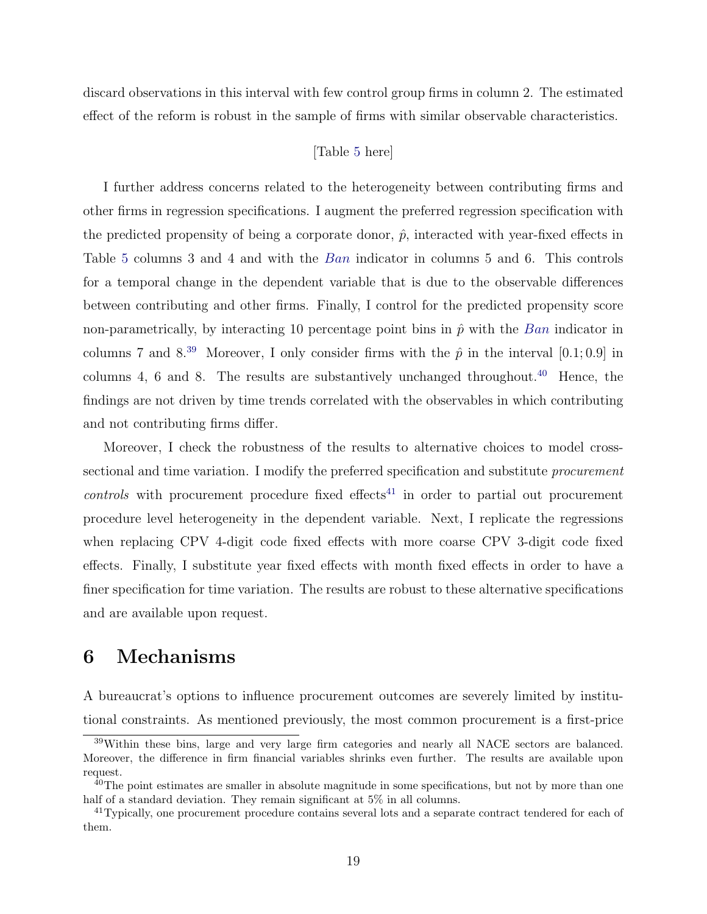discard observations in this interval with few control group firms in column 2. The estimated effect of the reform is robust in the sample of firms with similar observable characteristics.

#### [Table [5](#page-41-0) here]

I further address concerns related to the heterogeneity between contributing firms and other firms in regression specifications. I augment the preferred regression specification with the predicted propensity of being a corporate donor,  $\hat{p}$ , interacted with year-fixed effects in Table [5](#page-41-0) columns 3 and 4 and with the Ban indicator in columns 5 and 6. This controls for a temporal change in the dependent variable that is due to the observable differences between contributing and other firms. Finally, I control for the predicted propensity score non-parametrically, by interacting 10 percentage point bins in  $\hat{p}$  with the Ban indicator in columns 7 and  $8^{39}$  $8^{39}$  $8^{39}$  Moreover, I only consider firms with the  $\hat{p}$  in the interval [0.1; 0.9] in columns 4, 6 and 8. The results are substantively unchanged throughout.<sup>[40](#page-19-2)</sup> Hence, the findings are not driven by time trends correlated with the observables in which contributing and not contributing firms differ.

Moreover, I check the robustness of the results to alternative choices to model crosssectional and time variation. I modify the preferred specification and substitute *procurement*  $controls$  with procurement procedure fixed effects<sup>[41](#page-19-3)</sup> in order to partial out procurement procedure level heterogeneity in the dependent variable. Next, I replicate the regressions when replacing CPV 4-digit code fixed effects with more coarse CPV 3-digit code fixed effects. Finally, I substitute year fixed effects with month fixed effects in order to have a finer specification for time variation. The results are robust to these alternative specifications and are available upon request.

# <span id="page-19-0"></span>6 Mechanisms

A bureaucrat's options to influence procurement outcomes are severely limited by institutional constraints. As mentioned previously, the most common procurement is a first-price

<span id="page-19-1"></span><sup>&</sup>lt;sup>39</sup>Within these bins, large and very large firm categories and nearly all NACE sectors are balanced. Moreover, the difference in firm financial variables shrinks even further. The results are available upon request.

<span id="page-19-2"></span> $40$ The point estimates are smaller in absolute magnitude in some specifications, but not by more than one half of a standard deviation. They remain significant at  $5\%$  in all columns.

<span id="page-19-3"></span><sup>&</sup>lt;sup>41</sup>Typically, one procurement procedure contains several lots and a separate contract tendered for each of them.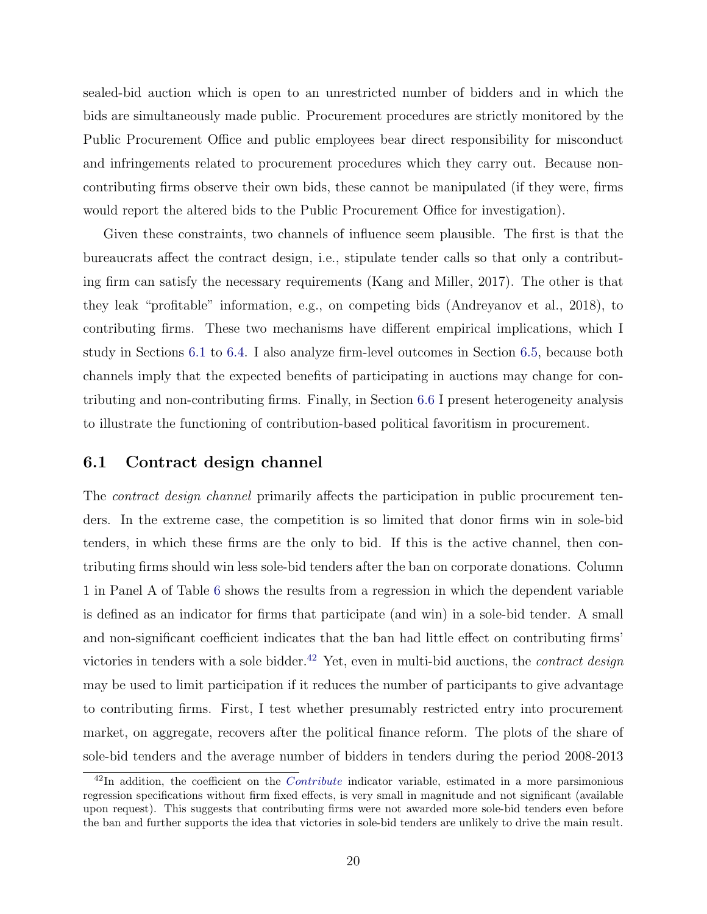sealed-bid auction which is open to an unrestricted number of bidders and in which the bids are simultaneously made public. Procurement procedures are strictly monitored by the Public Procurement Office and public employees bear direct responsibility for misconduct and infringements related to procurement procedures which they carry out. Because noncontributing firms observe their own bids, these cannot be manipulated (if they were, firms would report the altered bids to the Public Procurement Office for investigation).

Given these constraints, two channels of influence seem plausible. The first is that the bureaucrats affect the contract design, i.e., stipulate tender calls so that only a contributing firm can satisfy the necessary requirements (Kang and Miller, 2017). The other is that they leak "profitable" information, e.g., on competing bids (Andreyanov et al., 2018), to contributing firms. These two mechanisms have different empirical implications, which I study in Sections [6.1](#page-20-0) to [6.4.](#page-25-0) I also analyze firm-level outcomes in Section [6.5,](#page-27-0) because both channels imply that the expected benefits of participating in auctions may change for contributing and non-contributing firms. Finally, in Section [6.6](#page-29-0) I present heterogeneity analysis to illustrate the functioning of contribution-based political favoritism in procurement.

## <span id="page-20-0"></span>6.1 Contract design channel

The *contract design channel* primarily affects the participation in public procurement tenders. In the extreme case, the competition is so limited that donor firms win in sole-bid tenders, in which these firms are the only to bid. If this is the active channel, then contributing firms should win less sole-bid tenders after the ban on corporate donations. Column 1 in Panel A of Table [6](#page-42-0) shows the results from a regression in which the dependent variable is defined as an indicator for firms that participate (and win) in a sole-bid tender. A small and non-significant coefficient indicates that the ban had little effect on contributing firms' victories in tenders with a sole bidder.<sup>[42](#page-20-1)</sup> Yet, even in multi-bid auctions, the *contract design* may be used to limit participation if it reduces the number of participants to give advantage to contributing firms. First, I test whether presumably restricted entry into procurement market, on aggregate, recovers after the political finance reform. The plots of the share of sole-bid tenders and the average number of bidders in tenders during the period 2008-2013

<span id="page-20-1"></span> $^{42}$ In addition, the coefficient on the *Contribute* indicator variable, estimated in a more parsimonious regression specifications without firm fixed effects, is very small in magnitude and not significant (available upon request). This suggests that contributing firms were not awarded more sole-bid tenders even before the ban and further supports the idea that victories in sole-bid tenders are unlikely to drive the main result.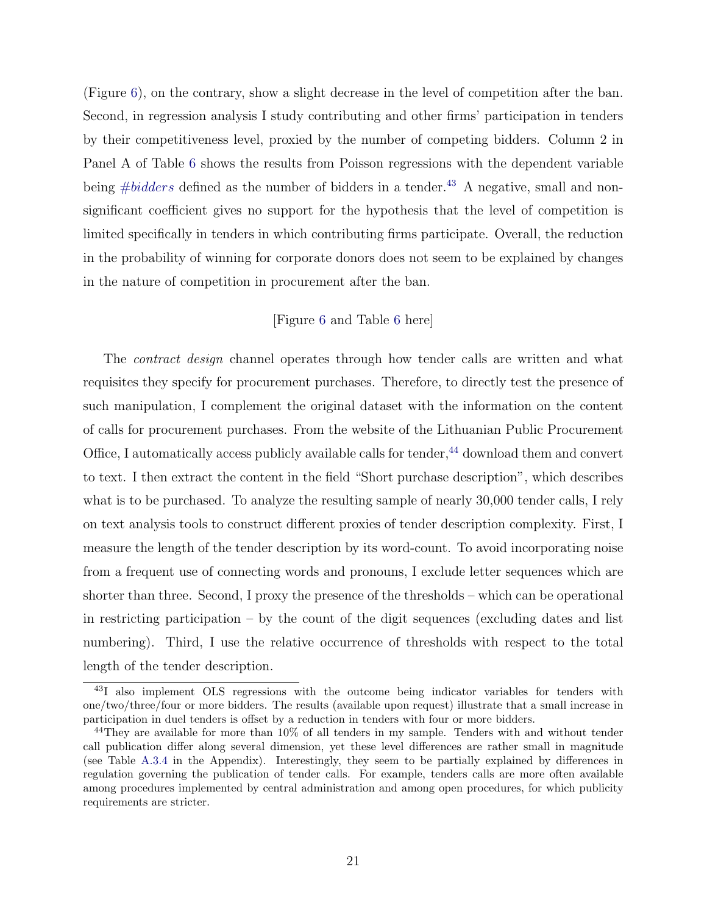(Figure [6\)](#page-48-1), on the contrary, show a slight decrease in the level of competition after the ban. Second, in regression analysis I study contributing and other firms' participation in tenders by their competitiveness level, proxied by the number of competing bidders. Column 2 in Panel A of Table [6](#page-42-0) shows the results from Poisson regressions with the dependent variable being  $#bidders$  defined as the number of bidders in a tender.<sup>[43](#page-21-0)</sup> A negative, small and nonsignificant coefficient gives no support for the hypothesis that the level of competition is limited specifically in tenders in which contributing firms participate. Overall, the reduction in the probability of winning for corporate donors does not seem to be explained by changes in the nature of competition in procurement after the ban.

#### [Figure [6](#page-48-1) and Table [6](#page-42-0) here]

The *contract design* channel operates through how tender calls are written and what requisites they specify for procurement purchases. Therefore, to directly test the presence of such manipulation, I complement the original dataset with the information on the content of calls for procurement purchases. From the website of the Lithuanian Public Procurement Office, I automatically access publicly available calls for tender,  $44$  download them and convert to text. I then extract the content in the field "Short purchase description", which describes what is to be purchased. To analyze the resulting sample of nearly 30,000 tender calls, I rely on text analysis tools to construct different proxies of tender description complexity. First, I measure the length of the tender description by its word-count. To avoid incorporating noise from a frequent use of connecting words and pronouns, I exclude letter sequences which are shorter than three. Second, I proxy the presence of the thresholds – which can be operational in restricting participation – by the count of the digit sequences (excluding dates and list numbering). Third, I use the relative occurrence of thresholds with respect to the total length of the tender description.

<span id="page-21-0"></span><sup>43</sup>I also implement OLS regressions with the outcome being indicator variables for tenders with one/two/three/four or more bidders. The results (available upon request) illustrate that a small increase in participation in duel tenders is offset by a reduction in tenders with four or more bidders.

<span id="page-21-1"></span><sup>&</sup>lt;sup>44</sup>They are available for more than 10% of all tenders in my sample. Tenders with and without tender call publication differ along several dimension, yet these level differences are rather small in magnitude (see Table [A.3.4](#page-64-0) in the Appendix). Interestingly, they seem to be partially explained by differences in regulation governing the publication of tender calls. For example, tenders calls are more often available among procedures implemented by central administration and among open procedures, for which publicity requirements are stricter.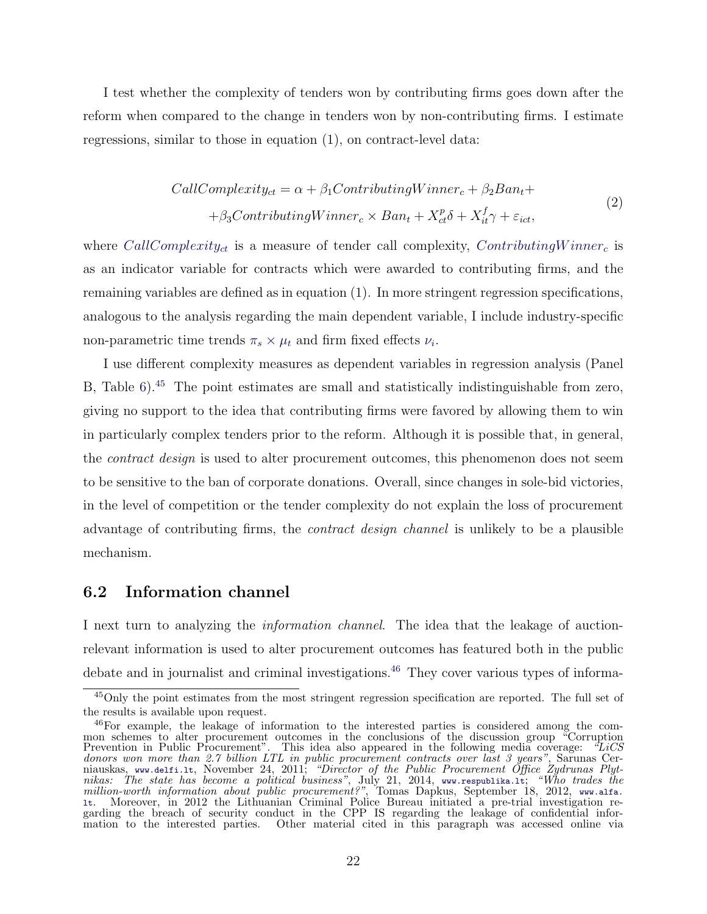I test whether the complexity of tenders won by contributing firms goes down after the reform when compared to the change in tenders won by non-contributing firms. I estimate regressions, similar to those in equation (1), on contract-level data:

$$
CallComplexity_{ct} = \alpha + \beta_1 ContinuityWinner_c + \beta_2 Ban_t ++ \beta_3 ContinuityWinner_c \times Ban_t + X_{ct}^p \delta + X_{it}^f \gamma + \varepsilon_{ict},
$$
\n(2)

where CallComplexity<sub>ct</sub> is a measure of tender call complexity, ContributingWinner<sub>c</sub> is as an indicator variable for contracts which were awarded to contributing firms, and the remaining variables are defined as in equation (1). In more stringent regression specifications, analogous to the analysis regarding the main dependent variable, I include industry-specific non-parametric time trends  $\pi_s \times \mu_t$  and firm fixed effects  $\nu_i$ .

I use different complexity measures as dependent variables in regression analysis (Panel B, Table [6\)](#page-42-0).<sup>[45](#page-22-0)</sup> The point estimates are small and statistically indistinguishable from zero, giving no support to the idea that contributing firms were favored by allowing them to win in particularly complex tenders prior to the reform. Although it is possible that, in general, the *contract design* is used to alter procurement outcomes, this phenomenon does not seem to be sensitive to the ban of corporate donations. Overall, since changes in sole-bid victories, in the level of competition or the tender complexity do not explain the loss of procurement advantage of contributing firms, the contract design channel is unlikely to be a plausible mechanism.

### 6.2 Information channel

I next turn to analyzing the information channel. The idea that the leakage of auctionrelevant information is used to alter procurement outcomes has featured both in the public debate and in journalist and criminal investigations.<sup>[46](#page-22-1)</sup> They cover various types of informa-

<span id="page-22-0"></span><sup>&</sup>lt;sup>45</sup>Only the point estimates from the most stringent regression specification are reported. The full set of the results is available upon request.

<span id="page-22-1"></span><sup>&</sup>lt;sup>46</sup>For example, the leakage of information to the interested parties is considered among the common schemes to alter procurement outcomes in the conclusions of the discussion group "Corruption Prevention in Public Procurement". This idea also appeared in the following media coverage: "LiCS donors won more than 2.7 billion LTL in public procurement contracts over last 3 years", Sarunas Cerniauskas, www.delfi.lt, November 24, 2011; "Director of the Public Procurement Office Zydrunas Plytnikas: The state has become a political business", July 21, 2014, www.respublika.lt; "Who trades the million-worth information about public procurement?", Tomas Dapkus, September 18, 2012, www.alfa. lt. Moreover, in 2012 the Lithuanian Criminal Police Bureau initiated a pre-trial investigation regarding the breach of security conduct in the CPP IS regarding the leakage of confidential infor-Other material cited in this paragraph was accessed online via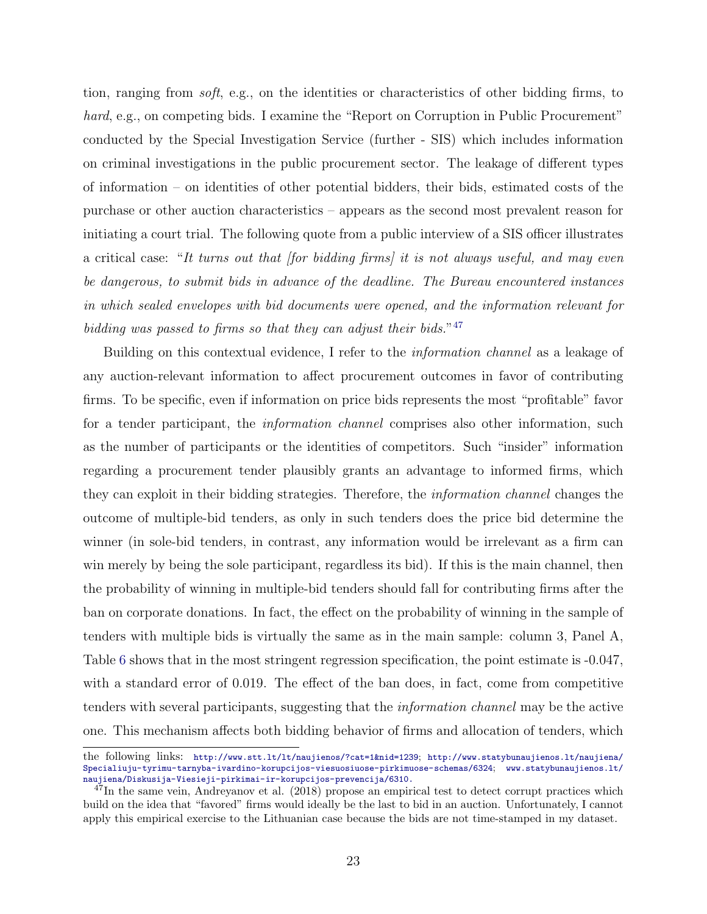tion, ranging from soft, e.g., on the identities or characteristics of other bidding firms, to hard, e.g., on competing bids. I examine the "Report on Corruption in Public Procurement" conducted by the Special Investigation Service (further - SIS) which includes information on criminal investigations in the public procurement sector. The leakage of different types of information – on identities of other potential bidders, their bids, estimated costs of the purchase or other auction characteristics – appears as the second most prevalent reason for initiating a court trial. The following quote from a public interview of a SIS officer illustrates a critical case: "It turns out that [for bidding firms] it is not always useful, and may even be dangerous, to submit bids in advance of the deadline. The Bureau encountered instances in which sealed envelopes with bid documents were opened, and the information relevant for bidding was passed to firms so that they can adjust their bids."<sup>[47](#page-23-0)</sup>

Building on this contextual evidence, I refer to the information channel as a leakage of any auction-relevant information to affect procurement outcomes in favor of contributing firms. To be specific, even if information on price bids represents the most "profitable" favor for a tender participant, the *information channel* comprises also other information, such as the number of participants or the identities of competitors. Such "insider" information regarding a procurement tender plausibly grants an advantage to informed firms, which they can exploit in their bidding strategies. Therefore, the information channel changes the outcome of multiple-bid tenders, as only in such tenders does the price bid determine the winner (in sole-bid tenders, in contrast, any information would be irrelevant as a firm can win merely by being the sole participant, regardless its bid). If this is the main channel, then the probability of winning in multiple-bid tenders should fall for contributing firms after the ban on corporate donations. In fact, the effect on the probability of winning in the sample of tenders with multiple bids is virtually the same as in the main sample: column 3, Panel A, Table [6](#page-42-0) shows that in the most stringent regression specification, the point estimate is -0.047, with a standard error of 0.019. The effect of the ban does, in fact, come from competitive tenders with several participants, suggesting that the information channel may be the active one. This mechanism affects both bidding behavior of firms and allocation of tenders, which

the following links: http://www.stt.lt/lt/naujienos/?cat=1&nid=1239; http://www.statybunaujienos.lt/naujiena/ Specialiuju-tyrimu-tarnyba-ivardino-korupcijos-viesuosiuose-pirkimuose-schemas/6324; www.statybunaujienos.lt/ naujiena/Diskusija-Viesieji-pirkimai-ir-korupcijos-prevencija/6310.

<span id="page-23-0"></span> $47$ In the same vein, Andreyanov et al. (2018) propose an empirical test to detect corrupt practices which build on the idea that "favored" firms would ideally be the last to bid in an auction. Unfortunately, I cannot apply this empirical exercise to the Lithuanian case because the bids are not time-stamped in my dataset.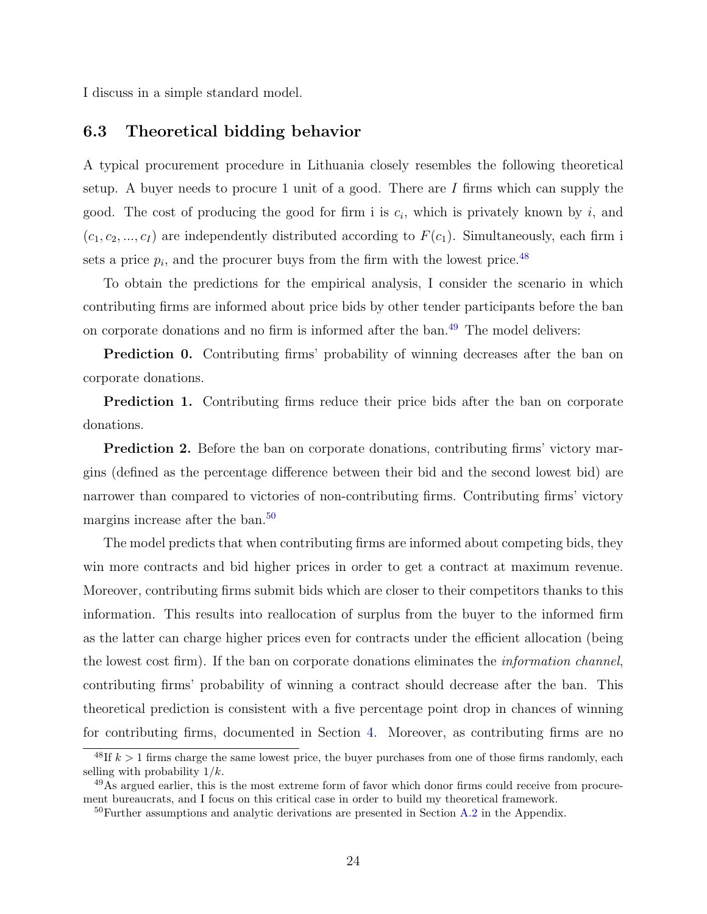I discuss in a simple standard model.

# 6.3 Theoretical bidding behavior

A typical procurement procedure in Lithuania closely resembles the following theoretical setup. A buyer needs to procure 1 unit of a good. There are  $I$  firms which can supply the good. The cost of producing the good for firm i is  $c_i$ , which is privately known by i, and  $(c_1, c_2, ..., c_I)$  are independently distributed according to  $F(c_1)$ . Simultaneously, each firm i sets a price  $p_i$ , and the procurer buys from the firm with the lowest price.<sup>[48](#page-24-0)</sup>

To obtain the predictions for the empirical analysis, I consider the scenario in which contributing firms are informed about price bids by other tender participants before the ban on corporate donations and no firm is informed after the ban.[49](#page-24-1) The model delivers:

Prediction 0. Contributing firms' probability of winning decreases after the ban on corporate donations.

**Prediction 1.** Contributing firms reduce their price bids after the ban on corporate donations.

**Prediction 2.** Before the ban on corporate donations, contributing firms' victory margins (defined as the percentage difference between their bid and the second lowest bid) are narrower than compared to victories of non-contributing firms. Contributing firms' victory margins increase after the ban.<sup>[50](#page-24-2)</sup>

The model predicts that when contributing firms are informed about competing bids, they win more contracts and bid higher prices in order to get a contract at maximum revenue. Moreover, contributing firms submit bids which are closer to their competitors thanks to this information. This results into reallocation of surplus from the buyer to the informed firm as the latter can charge higher prices even for contracts under the efficient allocation (being the lowest cost firm). If the ban on corporate donations eliminates the information channel, contributing firms' probability of winning a contract should decrease after the ban. This theoretical prediction is consistent with a five percentage point drop in chances of winning for contributing firms, documented in Section [4.](#page-14-0) Moreover, as contributing firms are no

<span id="page-24-0"></span><sup>&</sup>lt;sup>48</sup>If  $k > 1$  firms charge the same lowest price, the buyer purchases from one of those firms randomly, each selling with probability  $1/k$ .

<span id="page-24-1"></span> $^{49}$ As argued earlier, this is the most extreme form of favor which donor firms could receive from procurement bureaucrats, and I focus on this critical case in order to build my theoretical framework.

<span id="page-24-2"></span><sup>&</sup>lt;sup>50</sup>Further assumptions and analytic derivations are presented in Section [A.2](#page-54-1) in the Appendix.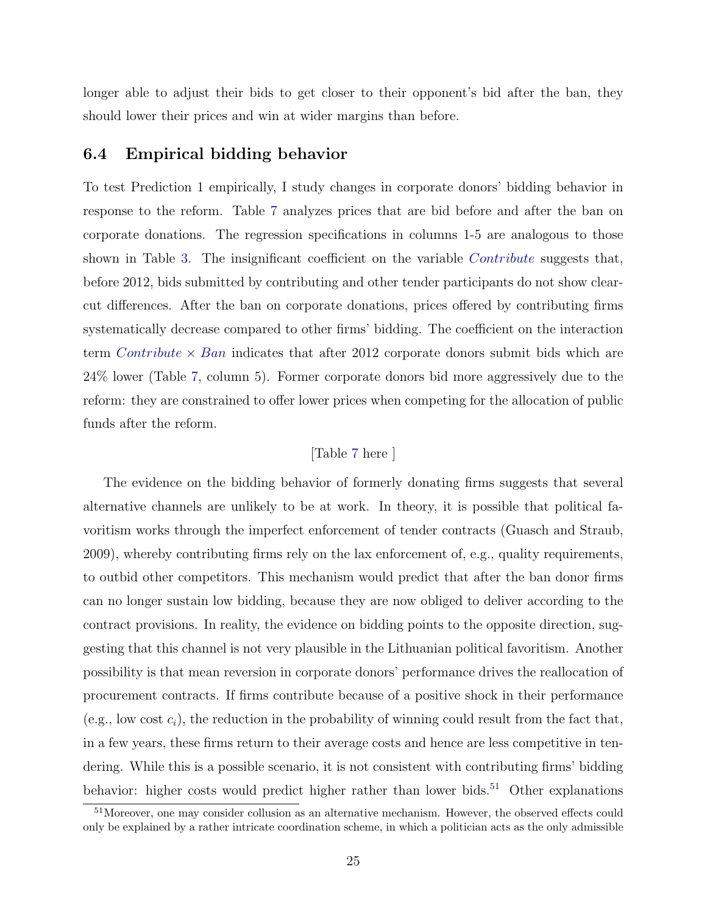longer able to adjust their bids to get closer to their opponent's bid after the ban, they should lower their prices and win at wider margins than before.

## <span id="page-25-0"></span>6.4 Empirical bidding behavior

To test Prediction 1 empirically, I study changes in corporate donors' bidding behavior in response to the reform. Table [7](#page-43-0) analyzes prices that are bid before and after the ban on corporate donations. The regression specifications in columns 1-5 are analogous to those shown in Table [3.](#page-39-0) The insignificant coefficient on the variable *Contribute* suggests that, before 2012, bids submitted by contributing and other tender participants do not show clearcut differences. After the ban on corporate donations, prices offered by contributing firms systematically decrease compared to other firms' bidding. The coefficient on the interaction term *Contribute*  $\times$  *Ban* indicates that after 2012 corporate donors submit bids which are 24% lower (Table [7,](#page-43-0) column 5). Former corporate donors bid more aggressively due to the reform: they are constrained to offer lower prices when competing for the allocation of public funds after the reform.

### [Table [7](#page-43-0) here ]

The evidence on the bidding behavior of formerly donating firms suggests that several alternative channels are unlikely to be at work. In theory, it is possible that political favoritism works through the imperfect enforcement of tender contracts (Guasch and Straub, 2009), whereby contributing firms rely on the lax enforcement of, e.g., quality requirements, to outbid other competitors. This mechanism would predict that after the ban donor firms can no longer sustain low bidding, because they are now obliged to deliver according to the contract provisions. In reality, the evidence on bidding points to the opposite direction, suggesting that this channel is not very plausible in the Lithuanian political favoritism. Another possibility is that mean reversion in corporate donors' performance drives the reallocation of procurement contracts. If firms contribute because of a positive shock in their performance (e.g., low cost  $c_i$ ), the reduction in the probability of winning could result from the fact that, in a few years, these firms return to their average costs and hence are less competitive in tendering. While this is a possible scenario, it is not consistent with contributing firms' bidding behavior: higher costs would predict higher rather than lower bids.<sup>[51](#page-25-1)</sup> Other explanations

<span id="page-25-1"></span><sup>&</sup>lt;sup>51</sup>Moreover, one may consider collusion as an alternative mechanism. However, the observed effects could only be explained by a rather intricate coordination scheme, in which a politician acts as the only admissible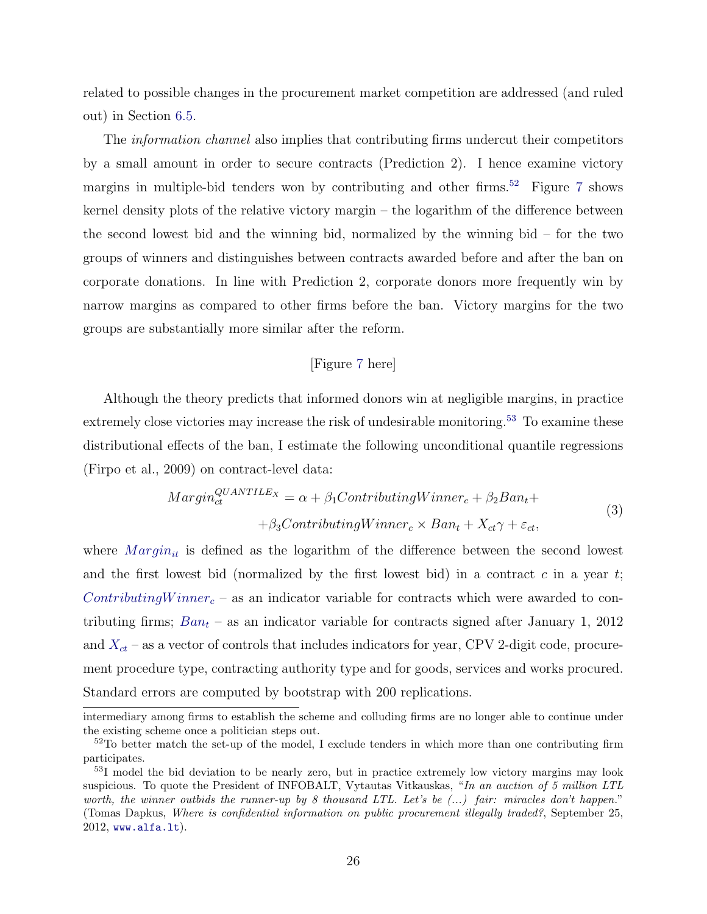related to possible changes in the procurement market competition are addressed (and ruled out) in Section [6.5.](#page-27-0)

The *information channel* also implies that contributing firms undercut their competitors by a small amount in order to secure contracts (Prediction 2). I hence examine victory margins in multiple-bid tenders won by contributing and other firms.[52](#page-26-0) Figure [7](#page-49-0) shows kernel density plots of the relative victory margin – the logarithm of the difference between the second lowest bid and the winning bid, normalized by the winning bid – for the two groups of winners and distinguishes between contracts awarded before and after the ban on corporate donations. In line with Prediction 2, corporate donors more frequently win by narrow margins as compared to other firms before the ban. Victory margins for the two groups are substantially more similar after the reform.

#### [Figure [7](#page-49-0) here]

Although the theory predicts that informed donors win at negligible margins, in practice extremely close victories may increase the risk of undesirable monitoring.<sup>[53](#page-26-1)</sup> To examine these distributional effects of the ban, I estimate the following unconditional quantile regressions (Firpo et al., 2009) on contract-level data:

$$
Margin_{ct}^{QUANTILE_X} = \alpha + \beta_1 ContinuingWinner_c + \beta_2 Ban_t ++ \beta_3ContinutingWinner_c \times Ban_t + X_{ct} \gamma + \varepsilon_{ct},
$$
\n(3)

where  $Margin_{it}$  is defined as the logarithm of the difference between the second lowest and the first lowest bid (normalized by the first lowest bid) in a contract  $c$  in a year  $t$ ; Contributing Winner<sub>c</sub> – as an indicator variable for contracts which were awarded to contributing firms;  $Ban_t - as$  an indicator variable for contracts signed after January 1, 2012 and  $X_{ct}$  – as a vector of controls that includes indicators for year, CPV 2-digit code, procurement procedure type, contracting authority type and for goods, services and works procured. Standard errors are computed by bootstrap with 200 replications.

intermediary among firms to establish the scheme and colluding firms are no longer able to continue under the existing scheme once a politician steps out.

<span id="page-26-0"></span> $52T$ o better match the set-up of the model, I exclude tenders in which more than one contributing firm participates.

<span id="page-26-1"></span><sup>53</sup>I model the bid deviation to be nearly zero, but in practice extremely low victory margins may look suspicious. To quote the President of INFOBALT, Vytautas Vitkauskas, "In an auction of 5 million LTL worth, the winner outbids the runner-up by 8 thousand LTL. Let's be  $(\ldots)$  fair: miracles don't happen." (Tomas Dapkus, Where is confidential information on public procurement illegally traded?, September 25, 2012, www.alfa.lt).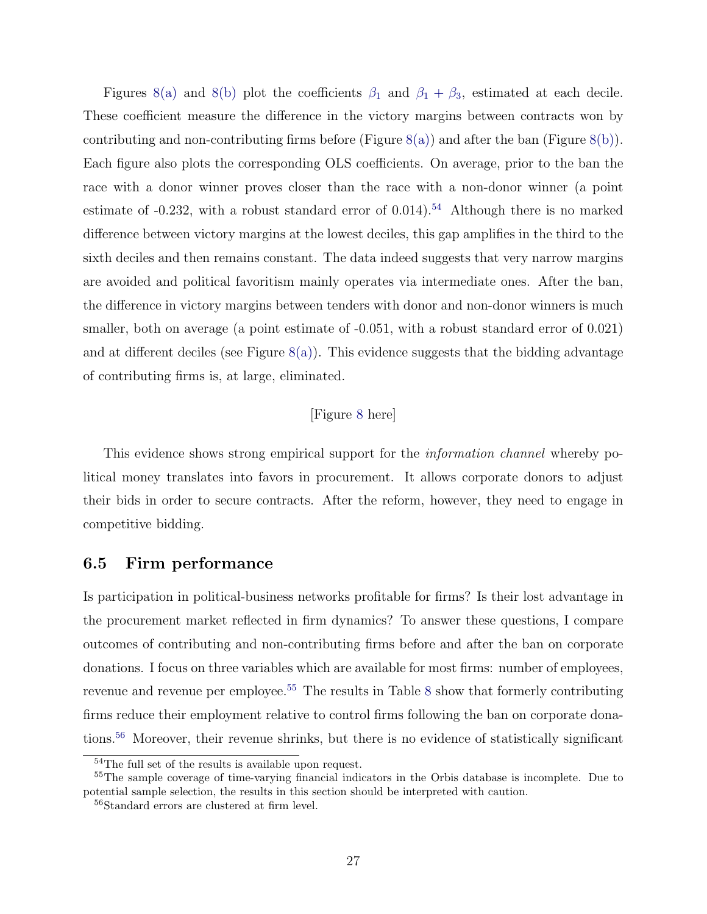Figures [8\(a\)](#page-50-0) and [8\(b\)](#page-50-1) plot the coefficients  $\beta_1$  and  $\beta_1 + \beta_3$ , estimated at each decile. These coefficient measure the difference in the victory margins between contracts won by contributing and non-contributing firms before (Figure  $(8(a))$  $(8(a))$ ) and after the ban (Figure  $(8(b))$  $(8(b))$ ). Each figure also plots the corresponding OLS coefficients. On average, prior to the ban the race with a donor winner proves closer than the race with a non-donor winner (a point estimate of  $-0.232$ , with a robust standard error of  $0.014$ ).<sup>[54](#page-27-1)</sup> Although there is no marked difference between victory margins at the lowest deciles, this gap amplifies in the third to the sixth deciles and then remains constant. The data indeed suggests that very narrow margins are avoided and political favoritism mainly operates via intermediate ones. After the ban, the difference in victory margins between tenders with donor and non-donor winners is much smaller, both on average (a point estimate of  $-0.051$ , with a robust standard error of  $0.021$ ) and at different deciles (see Figure  $8(a)$ ). This evidence suggests that the bidding advantage of contributing firms is, at large, eliminated.

#### [Figure [8](#page-50-2) here]

This evidence shows strong empirical support for the *information channel* whereby political money translates into favors in procurement. It allows corporate donors to adjust their bids in order to secure contracts. After the reform, however, they need to engage in competitive bidding.

### <span id="page-27-0"></span>6.5 Firm performance

Is participation in political-business networks profitable for firms? Is their lost advantage in the procurement market reflected in firm dynamics? To answer these questions, I compare outcomes of contributing and non-contributing firms before and after the ban on corporate donations. I focus on three variables which are available for most firms: number of employees, revenue and revenue per employee.<sup>[55](#page-27-2)</sup> The results in Table [8](#page-44-0) show that formerly contributing firms reduce their employment relative to control firms following the ban on corporate dona-tions.<sup>[56](#page-27-3)</sup> Moreover, their revenue shrinks, but there is no evidence of statistically significant

<span id="page-27-2"></span><span id="page-27-1"></span><sup>54</sup>The full set of the results is available upon request.

<sup>55</sup>The sample coverage of time-varying financial indicators in the Orbis database is incomplete. Due to potential sample selection, the results in this section should be interpreted with caution.

<span id="page-27-3"></span><sup>56</sup>Standard errors are clustered at firm level.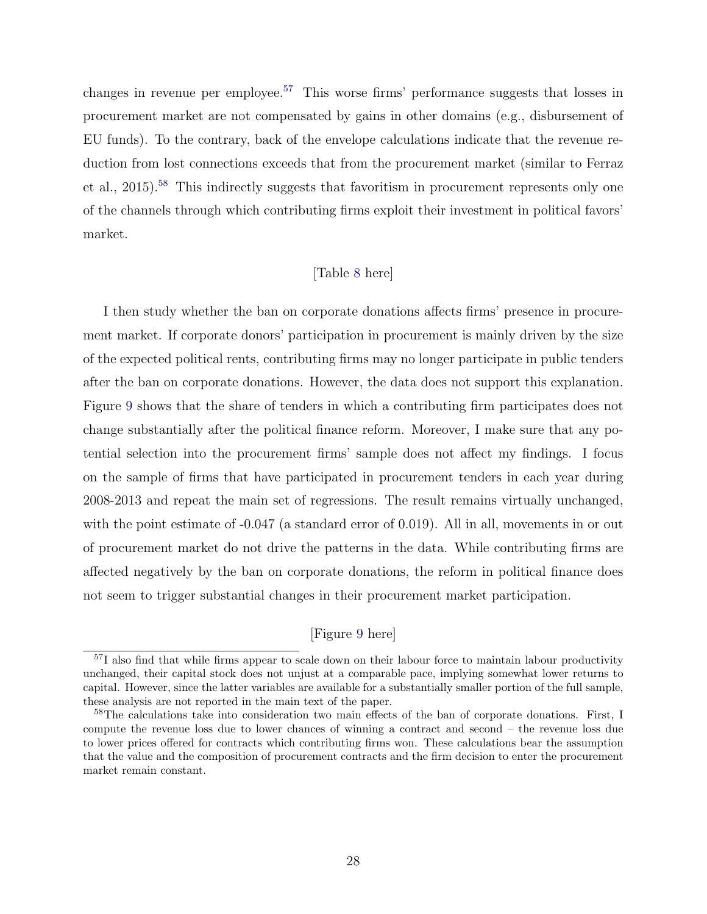changes in revenue per employee.[57](#page-28-0) This worse firms' performance suggests that losses in procurement market are not compensated by gains in other domains (e.g., disbursement of EU funds). To the contrary, back of the envelope calculations indicate that the revenue reduction from lost connections exceeds that from the procurement market (similar to Ferraz et al., 2015).[58](#page-28-1) This indirectly suggests that favoritism in procurement represents only one of the channels through which contributing firms exploit their investment in political favors' market.

### [Table [8](#page-44-0) here]

I then study whether the ban on corporate donations affects firms' presence in procurement market. If corporate donors' participation in procurement is mainly driven by the size of the expected political rents, contributing firms may no longer participate in public tenders after the ban on corporate donations. However, the data does not support this explanation. Figure [9](#page-50-3) shows that the share of tenders in which a contributing firm participates does not change substantially after the political finance reform. Moreover, I make sure that any potential selection into the procurement firms' sample does not affect my findings. I focus on the sample of firms that have participated in procurement tenders in each year during 2008-2013 and repeat the main set of regressions. The result remains virtually unchanged, with the point estimate of  $-0.047$  (a standard error of 0.019). All in all, movements in or out of procurement market do not drive the patterns in the data. While contributing firms are affected negatively by the ban on corporate donations, the reform in political finance does not seem to trigger substantial changes in their procurement market participation.

## [Figure [9](#page-50-3) here]

<span id="page-28-0"></span><sup>&</sup>lt;sup>57</sup>I also find that while firms appear to scale down on their labour force to maintain labour productivity unchanged, their capital stock does not unjust at a comparable pace, implying somewhat lower returns to capital. However, since the latter variables are available for a substantially smaller portion of the full sample, these analysis are not reported in the main text of the paper.

<span id="page-28-1"></span><sup>&</sup>lt;sup>58</sup>The calculations take into consideration two main effects of the ban of corporate donations. First, I compute the revenue loss due to lower chances of winning a contract and second – the revenue loss due to lower prices offered for contracts which contributing firms won. These calculations bear the assumption that the value and the composition of procurement contracts and the firm decision to enter the procurement market remain constant.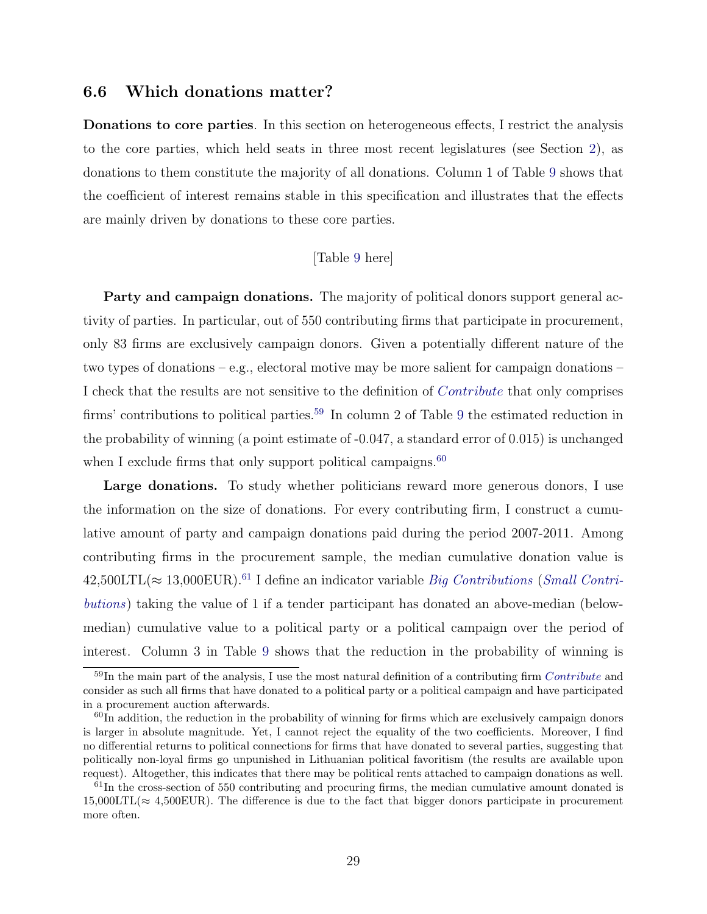### <span id="page-29-0"></span>6.6 Which donations matter?

Donations to core parties. In this section on heterogeneous effects, I restrict the analysis to the core parties, which held seats in three most recent legislatures (see Section [2\)](#page-7-0), as donations to them constitute the majority of all donations. Column 1 of Table [9](#page-45-0) shows that the coefficient of interest remains stable in this specification and illustrates that the effects are mainly driven by donations to these core parties.

### [Table [9](#page-45-0) here]

Party and campaign donations. The majority of political donors support general activity of parties. In particular, out of 550 contributing firms that participate in procurement, only 83 firms are exclusively campaign donors. Given a potentially different nature of the two types of donations – e.g., electoral motive may be more salient for campaign donations – I check that the results are not sensitive to the definition of Contribute that only comprises firms' contributions to political parties.<sup>[59](#page-29-1)</sup> In column 2 of Table [9](#page-45-0) the estimated reduction in the probability of winning (a point estimate of -0.047, a standard error of 0.015) is unchanged when I exclude firms that only support political campaigns.<sup>[60](#page-29-2)</sup>

Large donations. To study whether politicians reward more generous donors, I use the information on the size of donations. For every contributing firm, I construct a cumulative amount of party and campaign donations paid during the period 2007-2011. Among contributing firms in the procurement sample, the median cumulative donation value is  $42,500LTL \approx 13,000EUR$ .<sup>[61](#page-29-3)</sup> I define an indicator variable *Big Contributions (Small Contri*butions) taking the value of 1 if a tender participant has donated an above-median (belowmedian) cumulative value to a political party or a political campaign over the period of interest. Column 3 in Table [9](#page-45-0) shows that the reduction in the probability of winning is

<span id="page-29-1"></span> $59$ In the main part of the analysis, I use the most natural definition of a contributing firm *Contribute* and consider as such all firms that have donated to a political party or a political campaign and have participated in a procurement auction afterwards.

<span id="page-29-2"></span> $60$ In addition, the reduction in the probability of winning for firms which are exclusively campaign donors is larger in absolute magnitude. Yet, I cannot reject the equality of the two coefficients. Moreover, I find no differential returns to political connections for firms that have donated to several parties, suggesting that politically non-loyal firms go unpunished in Lithuanian political favoritism (the results are available upon request). Altogether, this indicates that there may be political rents attached to campaign donations as well.

<span id="page-29-3"></span> $61$ In the cross-section of 550 contributing and procuring firms, the median cumulative amount donated is  $15,000LTL \approx 4,500EUR$ ). The difference is due to the fact that bigger donors participate in procurement more often.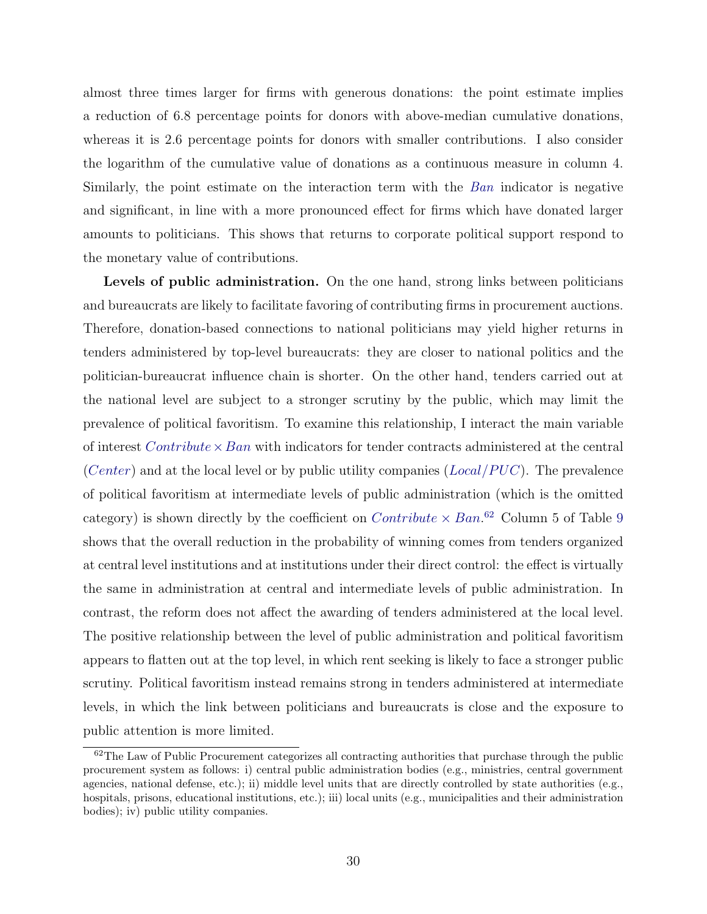almost three times larger for firms with generous donations: the point estimate implies a reduction of 6.8 percentage points for donors with above-median cumulative donations, whereas it is 2.6 percentage points for donors with smaller contributions. I also consider the logarithm of the cumulative value of donations as a continuous measure in column 4. Similarly, the point estimate on the interaction term with the Ban indicator is negative and significant, in line with a more pronounced effect for firms which have donated larger amounts to politicians. This shows that returns to corporate political support respond to the monetary value of contributions.

Levels of public administration. On the one hand, strong links between politicians and bureaucrats are likely to facilitate favoring of contributing firms in procurement auctions. Therefore, donation-based connections to national politicians may yield higher returns in tenders administered by top-level bureaucrats: they are closer to national politics and the politician-bureaucrat influence chain is shorter. On the other hand, tenders carried out at the national level are subject to a stronger scrutiny by the public, which may limit the prevalence of political favoritism. To examine this relationship, I interact the main variable of interest  $Contribute \times Ban$  with indicators for tender contracts administered at the central (Center) and at the local level or by public utility companies ( $Local/PUC$ ). The prevalence of political favoritism at intermediate levels of public administration (which is the omitted category) is shown directly by the coefficient on  $Contribute \times Ban$ .<sup>[62](#page-30-0)</sup> Column 5 of Table [9](#page-45-0) shows that the overall reduction in the probability of winning comes from tenders organized at central level institutions and at institutions under their direct control: the effect is virtually the same in administration at central and intermediate levels of public administration. In contrast, the reform does not affect the awarding of tenders administered at the local level. The positive relationship between the level of public administration and political favoritism appears to flatten out at the top level, in which rent seeking is likely to face a stronger public scrutiny. Political favoritism instead remains strong in tenders administered at intermediate levels, in which the link between politicians and bureaucrats is close and the exposure to public attention is more limited.

<span id="page-30-0"></span><sup>&</sup>lt;sup>62</sup>The Law of Public Procurement categorizes all contracting authorities that purchase through the public procurement system as follows: i) central public administration bodies (e.g., ministries, central government agencies, national defense, etc.); ii) middle level units that are directly controlled by state authorities (e.g., hospitals, prisons, educational institutions, etc.); iii) local units (e.g., municipalities and their administration bodies); iv) public utility companies.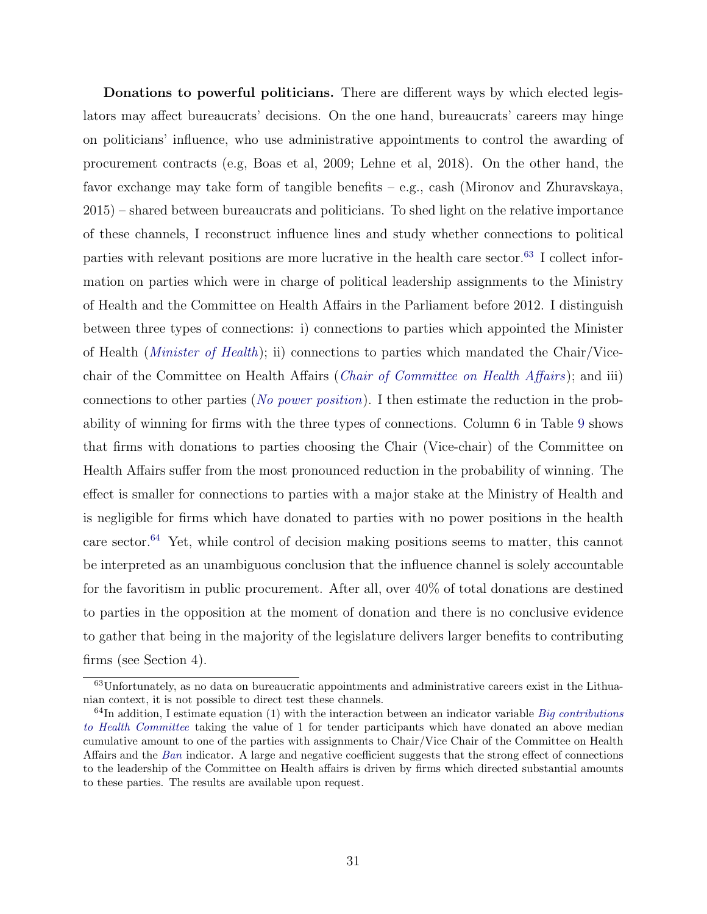Donations to powerful politicians. There are different ways by which elected legislators may affect bureaucrats' decisions. On the one hand, bureaucrats' careers may hinge on politicians' influence, who use administrative appointments to control the awarding of procurement contracts (e.g, Boas et al, 2009; Lehne et al, 2018). On the other hand, the favor exchange may take form of tangible benefits – e.g., cash (Mironov and Zhuravskaya, 2015) – shared between bureaucrats and politicians. To shed light on the relative importance of these channels, I reconstruct influence lines and study whether connections to political parties with relevant positions are more lucrative in the health care sector.<sup>[63](#page-31-0)</sup> I collect information on parties which were in charge of political leadership assignments to the Ministry of Health and the Committee on Health Affairs in the Parliament before 2012. I distinguish between three types of connections: i) connections to parties which appointed the Minister of Health (Minister of Health); ii) connections to parties which mandated the Chair/Vicechair of the Committee on Health Affairs (Chair of Committee on Health Affairs); and iii) connections to other parties (No power position). I then estimate the reduction in the probability of winning for firms with the three types of connections. Column 6 in Table [9](#page-45-0) shows that firms with donations to parties choosing the Chair (Vice-chair) of the Committee on Health Affairs suffer from the most pronounced reduction in the probability of winning. The effect is smaller for connections to parties with a major stake at the Ministry of Health and is negligible for firms which have donated to parties with no power positions in the health care sector.<sup>[64](#page-31-1)</sup> Yet, while control of decision making positions seems to matter, this cannot be interpreted as an unambiguous conclusion that the influence channel is solely accountable for the favoritism in public procurement. After all, over 40% of total donations are destined to parties in the opposition at the moment of donation and there is no conclusive evidence to gather that being in the majority of the legislature delivers larger benefits to contributing firms (see Section 4).

<span id="page-31-0"></span><sup>63</sup>Unfortunately, as no data on bureaucratic appointments and administrative careers exist in the Lithuanian context, it is not possible to direct test these channels.

<span id="page-31-1"></span> $64$ In addition, I estimate equation (1) with the interaction between an indicator variable Big contributions to Health Committee taking the value of 1 for tender participants which have donated an above median cumulative amount to one of the parties with assignments to Chair/Vice Chair of the Committee on Health Affairs and the Ban indicator. A large and negative coefficient suggests that the strong effect of connections to the leadership of the Committee on Health affairs is driven by firms which directed substantial amounts to these parties. The results are available upon request.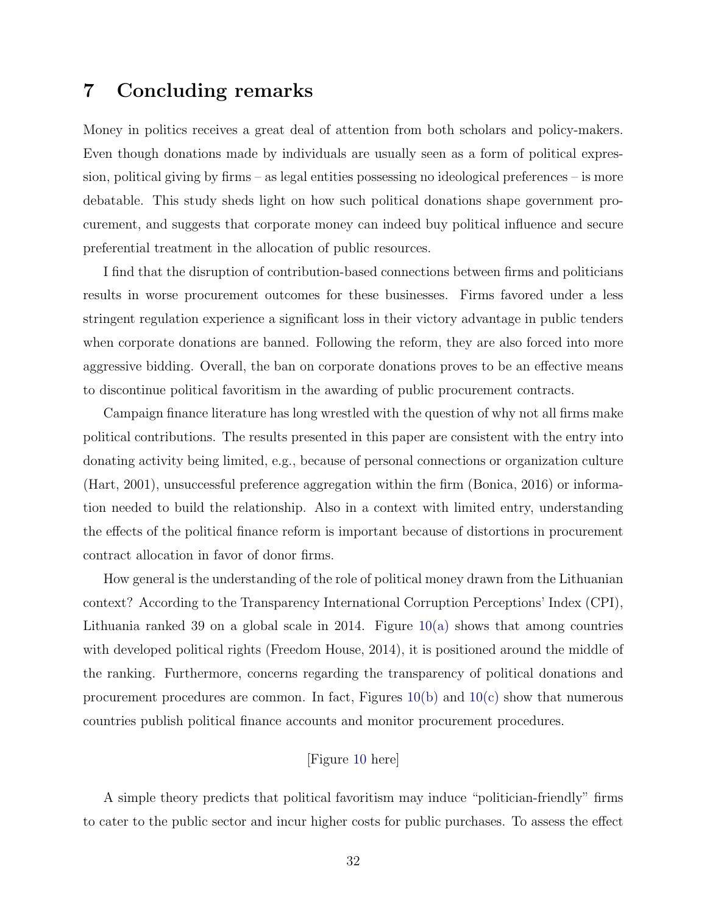# <span id="page-32-0"></span>7 Concluding remarks

Money in politics receives a great deal of attention from both scholars and policy-makers. Even though donations made by individuals are usually seen as a form of political expression, political giving by firms – as legal entities possessing no ideological preferences – is more debatable. This study sheds light on how such political donations shape government procurement, and suggests that corporate money can indeed buy political influence and secure preferential treatment in the allocation of public resources.

I find that the disruption of contribution-based connections between firms and politicians results in worse procurement outcomes for these businesses. Firms favored under a less stringent regulation experience a significant loss in their victory advantage in public tenders when corporate donations are banned. Following the reform, they are also forced into more aggressive bidding. Overall, the ban on corporate donations proves to be an effective means to discontinue political favoritism in the awarding of public procurement contracts.

Campaign finance literature has long wrestled with the question of why not all firms make political contributions. The results presented in this paper are consistent with the entry into donating activity being limited, e.g., because of personal connections or organization culture (Hart, 2001), unsuccessful preference aggregation within the firm (Bonica, 2016) or information needed to build the relationship. Also in a context with limited entry, understanding the effects of the political finance reform is important because of distortions in procurement contract allocation in favor of donor firms.

How general is the understanding of the role of political money drawn from the Lithuanian context? According to the Transparency International Corruption Perceptions' Index (CPI), Lithuania ranked 39 on a global scale in 2014. Figure  $10(a)$  shows that among countries with developed political rights (Freedom House, 2014), it is positioned around the middle of the ranking. Furthermore, concerns regarding the transparency of political donations and procurement procedures are common. In fact, Figures  $10(b)$  and  $10(c)$  show that numerous countries publish political finance accounts and monitor procurement procedures.

# [Figure [10](#page-51-3) here]

A simple theory predicts that political favoritism may induce "politician-friendly" firms to cater to the public sector and incur higher costs for public purchases. To assess the effect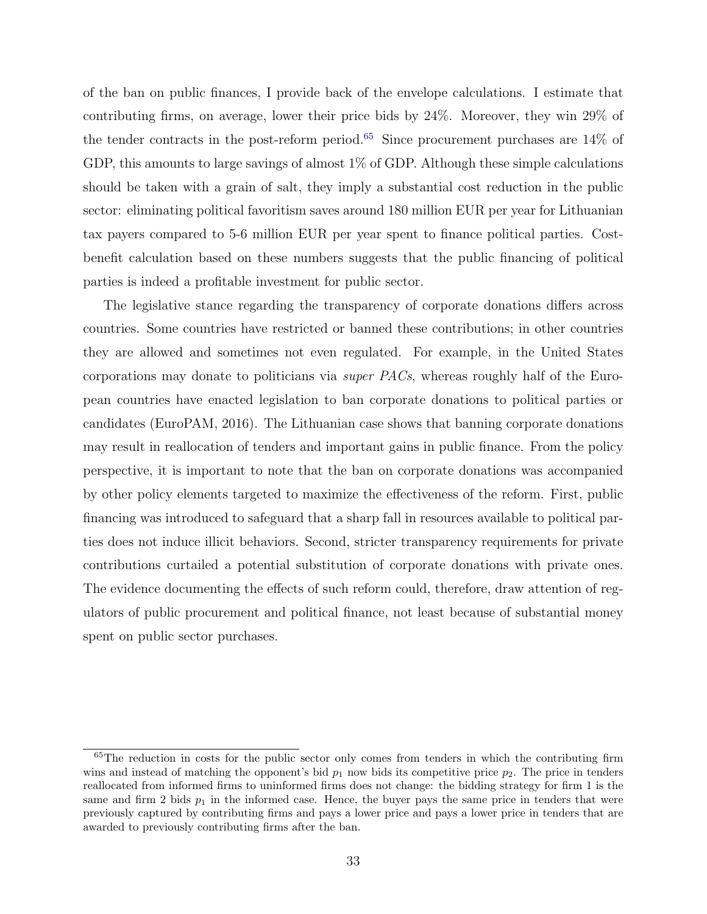of the ban on public finances, I provide back of the envelope calculations. I estimate that contributing firms, on average, lower their price bids by 24%. Moreover, they win 29% of the tender contracts in the post-reform period.<sup>[65](#page-33-0)</sup> Since procurement purchases are  $14\%$  of GDP, this amounts to large savings of almost 1% of GDP. Although these simple calculations should be taken with a grain of salt, they imply a substantial cost reduction in the public sector: eliminating political favoritism saves around 180 million EUR per year for Lithuanian tax payers compared to 5-6 million EUR per year spent to finance political parties. Costbenefit calculation based on these numbers suggests that the public financing of political parties is indeed a profitable investment for public sector.

The legislative stance regarding the transparency of corporate donations differs across countries. Some countries have restricted or banned these contributions; in other countries they are allowed and sometimes not even regulated. For example, in the United States corporations may donate to politicians via super PACs, whereas roughly half of the European countries have enacted legislation to ban corporate donations to political parties or candidates (EuroPAM, 2016). The Lithuanian case shows that banning corporate donations may result in reallocation of tenders and important gains in public finance. From the policy perspective, it is important to note that the ban on corporate donations was accompanied by other policy elements targeted to maximize the effectiveness of the reform. First, public financing was introduced to safeguard that a sharp fall in resources available to political parties does not induce illicit behaviors. Second, stricter transparency requirements for private contributions curtailed a potential substitution of corporate donations with private ones. The evidence documenting the effects of such reform could, therefore, draw attention of regulators of public procurement and political finance, not least because of substantial money spent on public sector purchases.

<span id="page-33-0"></span><sup>&</sup>lt;sup>65</sup>The reduction in costs for the public sector only comes from tenders in which the contributing firm wins and instead of matching the opponent's bid  $p_1$  now bids its competitive price  $p_2$ . The price in tenders reallocated from informed firms to uninformed firms does not change: the bidding strategy for firm 1 is the same and firm 2 bids  $p_1$  in the informed case. Hence, the buyer pays the same price in tenders that were previously captured by contributing firms and pays a lower price and pays a lower price in tenders that are awarded to previously contributing firms after the ban.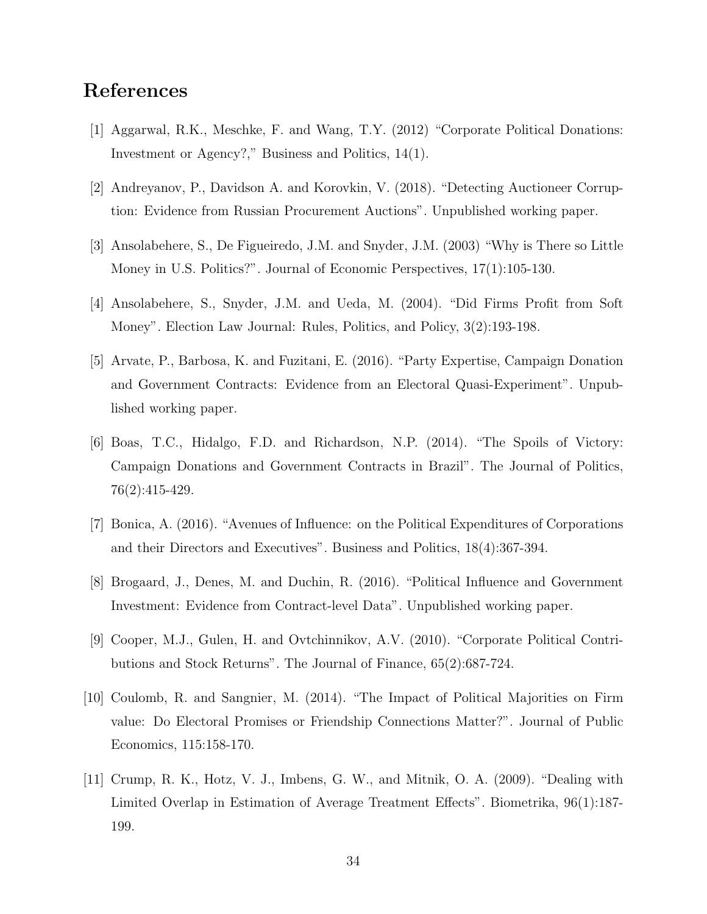# References

- [1] Aggarwal, R.K., Meschke, F. and Wang, T.Y. (2012) "Corporate Political Donations: Investment or Agency?," Business and Politics, 14(1).
- [2] Andreyanov, P., Davidson A. and Korovkin, V. (2018). "Detecting Auctioneer Corruption: Evidence from Russian Procurement Auctions". Unpublished working paper.
- [3] Ansolabehere, S., De Figueiredo, J.M. and Snyder, J.M. (2003) "Why is There so Little Money in U.S. Politics?". Journal of Economic Perspectives, 17(1):105-130.
- [4] Ansolabehere, S., Snyder, J.M. and Ueda, M. (2004). "Did Firms Profit from Soft Money". Election Law Journal: Rules, Politics, and Policy, 3(2):193-198.
- [5] Arvate, P., Barbosa, K. and Fuzitani, E. (2016). "Party Expertise, Campaign Donation and Government Contracts: Evidence from an Electoral Quasi-Experiment". Unpublished working paper.
- [6] Boas, T.C., Hidalgo, F.D. and Richardson, N.P. (2014). "The Spoils of Victory: Campaign Donations and Government Contracts in Brazil". The Journal of Politics, 76(2):415-429.
- [7] Bonica, A. (2016). "Avenues of Influence: on the Political Expenditures of Corporations and their Directors and Executives". Business and Politics, 18(4):367-394.
- [8] Brogaard, J., Denes, M. and Duchin, R. (2016). "Political Influence and Government Investment: Evidence from Contract-level Data". Unpublished working paper.
- [9] Cooper, M.J., Gulen, H. and Ovtchinnikov, A.V. (2010). "Corporate Political Contributions and Stock Returns". The Journal of Finance, 65(2):687-724.
- [10] Coulomb, R. and Sangnier, M. (2014). "The Impact of Political Majorities on Firm value: Do Electoral Promises or Friendship Connections Matter?". Journal of Public Economics, 115:158-170.
- [11] Crump, R. K., Hotz, V. J., Imbens, G. W., and Mitnik, O. A. (2009). "Dealing with Limited Overlap in Estimation of Average Treatment Effects". Biometrika, 96(1):187- 199.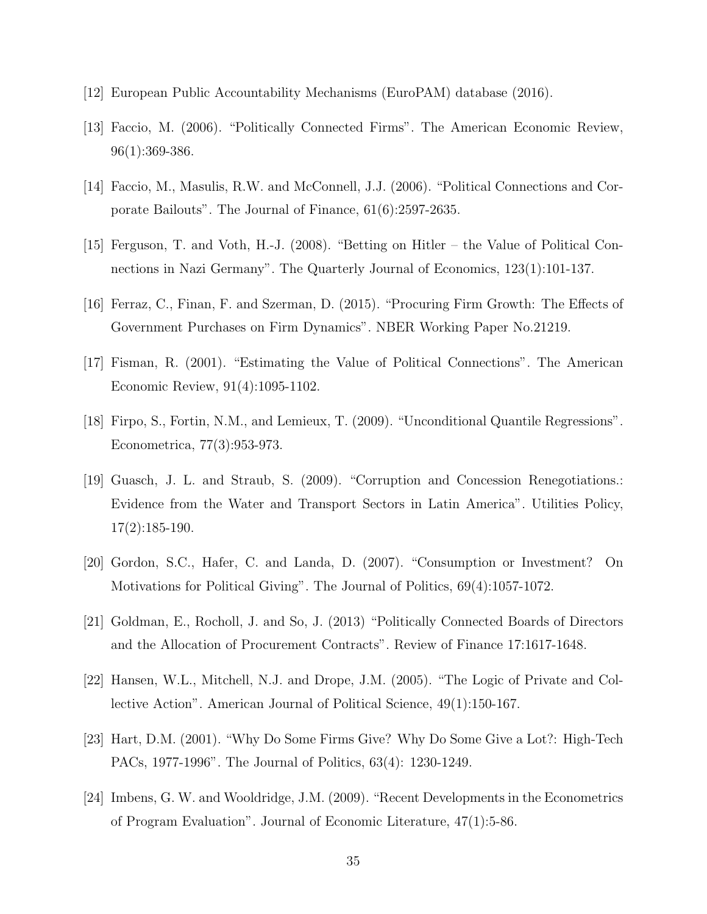- [12] European Public Accountability Mechanisms (EuroPAM) database (2016).
- [13] Faccio, M. (2006). "Politically Connected Firms". The American Economic Review, 96(1):369-386.
- [14] Faccio, M., Masulis, R.W. and McConnell, J.J. (2006). "Political Connections and Corporate Bailouts". The Journal of Finance, 61(6):2597-2635.
- [15] Ferguson, T. and Voth, H.-J. (2008). "Betting on Hitler the Value of Political Connections in Nazi Germany". The Quarterly Journal of Economics, 123(1):101-137.
- [16] Ferraz, C., Finan, F. and Szerman, D. (2015). "Procuring Firm Growth: The Effects of Government Purchases on Firm Dynamics". NBER Working Paper No.21219.
- [17] Fisman, R. (2001). "Estimating the Value of Political Connections". The American Economic Review, 91(4):1095-1102.
- [18] Firpo, S., Fortin, N.M., and Lemieux, T. (2009). "Unconditional Quantile Regressions". Econometrica, 77(3):953-973.
- [19] Guasch, J. L. and Straub, S. (2009). "Corruption and Concession Renegotiations.: Evidence from the Water and Transport Sectors in Latin America". Utilities Policy, 17(2):185-190.
- [20] Gordon, S.C., Hafer, C. and Landa, D. (2007). "Consumption or Investment? On Motivations for Political Giving". The Journal of Politics, 69(4):1057-1072.
- [21] Goldman, E., Rocholl, J. and So, J. (2013) "Politically Connected Boards of Directors and the Allocation of Procurement Contracts". Review of Finance 17:1617-1648.
- [22] Hansen, W.L., Mitchell, N.J. and Drope, J.M. (2005). "The Logic of Private and Collective Action". American Journal of Political Science, 49(1):150-167.
- [23] Hart, D.M. (2001). "Why Do Some Firms Give? Why Do Some Give a Lot?: High-Tech PACs, 1977-1996". The Journal of Politics, 63(4): 1230-1249.
- [24] Imbens, G. W. and Wooldridge, J.M. (2009). "Recent Developments in the Econometrics of Program Evaluation". Journal of Economic Literature, 47(1):5-86.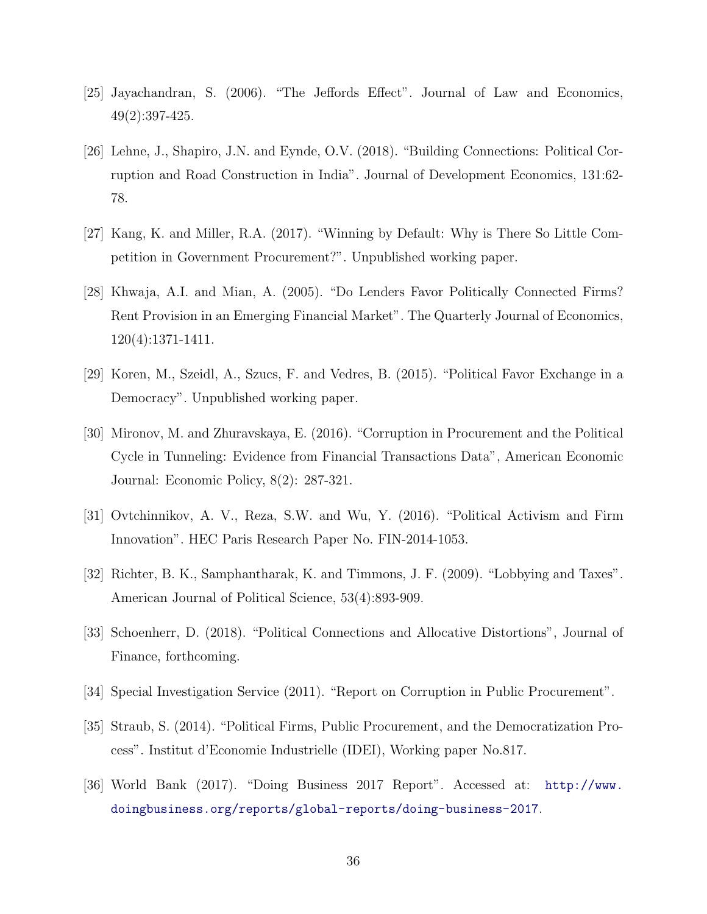- [25] Jayachandran, S. (2006). "The Jeffords Effect". Journal of Law and Economics, 49(2):397-425.
- [26] Lehne, J., Shapiro, J.N. and Eynde, O.V. (2018). "Building Connections: Political Corruption and Road Construction in India". Journal of Development Economics, 131:62- 78.
- [27] Kang, K. and Miller, R.A. (2017). "Winning by Default: Why is There So Little Competition in Government Procurement?". Unpublished working paper.
- [28] Khwaja, A.I. and Mian, A. (2005). "Do Lenders Favor Politically Connected Firms? Rent Provision in an Emerging Financial Market". The Quarterly Journal of Economics, 120(4):1371-1411.
- [29] Koren, M., Szeidl, A., Szucs, F. and Vedres, B. (2015). "Political Favor Exchange in a Democracy". Unpublished working paper.
- [30] Mironov, M. and Zhuravskaya, E. (2016). "Corruption in Procurement and the Political Cycle in Tunneling: Evidence from Financial Transactions Data", American Economic Journal: Economic Policy, 8(2): 287-321.
- [31] Ovtchinnikov, A. V., Reza, S.W. and Wu, Y. (2016). "Political Activism and Firm Innovation". HEC Paris Research Paper No. FIN-2014-1053.
- [32] Richter, B. K., Samphantharak, K. and Timmons, J. F. (2009). "Lobbying and Taxes". American Journal of Political Science, 53(4):893-909.
- [33] Schoenherr, D. (2018). "Political Connections and Allocative Distortions", Journal of Finance, forthcoming.
- [34] Special Investigation Service (2011). "Report on Corruption in Public Procurement".
- [35] Straub, S. (2014). "Political Firms, Public Procurement, and the Democratization Process". Institut d'Economie Industrielle (IDEI), Working paper No.817.
- [36] World Bank (2017). "Doing Business 2017 Report". Accessed at: http://www. doingbusiness.org/reports/global-reports/doing-business-2017.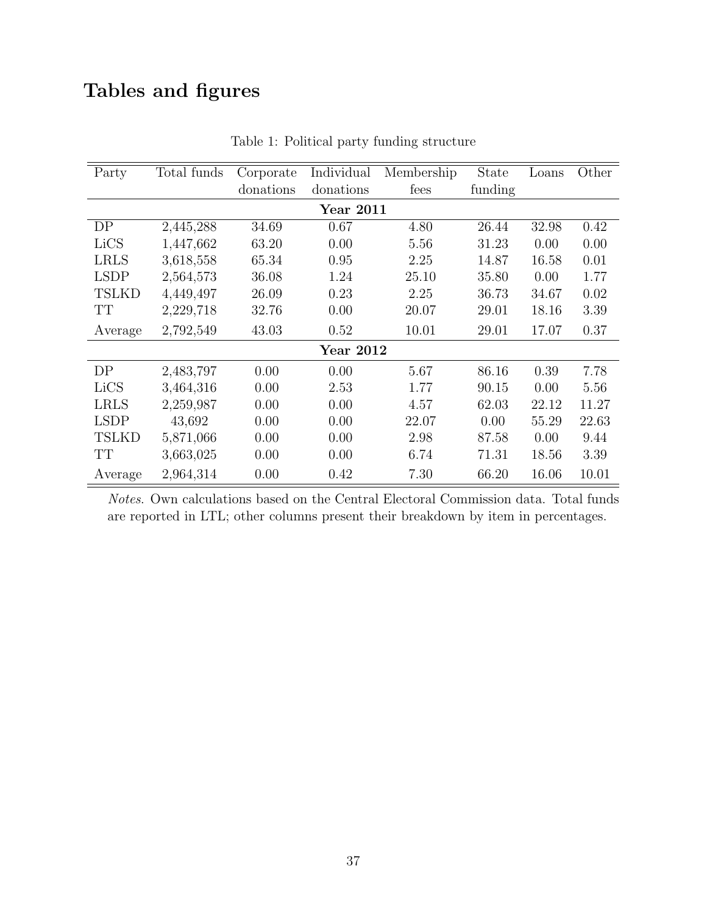# <span id="page-37-0"></span>Tables and figures

| Party        | Total funds | Corporate | Individual | Membership | <b>State</b> | Loans | Other |
|--------------|-------------|-----------|------------|------------|--------------|-------|-------|
|              |             | donations | donations  | fees       | funding      |       |       |
|              |             |           | Year 2011  |            |              |       |       |
| DP           | 2,445,288   | 34.69     | 0.67       | 4.80       | 26.44        | 32.98 | 0.42  |
| LiCS         | 1,447,662   | 63.20     | 0.00       | 5.56       | 31.23        | 0.00  | 0.00  |
| <b>LRLS</b>  | 3,618,558   | 65.34     | 0.95       | 2.25       | 14.87        | 16.58 | 0.01  |
| <b>LSDP</b>  | 2,564,573   | 36.08     | 1.24       | 25.10      | 35.80        | 0.00  | 1.77  |
| <b>TSLKD</b> | 4,449,497   | 26.09     | 0.23       | 2.25       | 36.73        | 34.67 | 0.02  |
| TT           | 2,229,718   | 32.76     | 0.00       | 20.07      | 29.01        | 18.16 | 3.39  |
| Average      | 2,792,549   | 43.03     | 0.52       | 10.01      | 29.01        | 17.07 | 0.37  |
|              |             |           | Year 2012  |            |              |       |       |
| DP           | 2,483,797   | 0.00      | 0.00       | 5.67       | 86.16        | 0.39  | 7.78  |
| LiCS         | 3,464,316   | 0.00      | 2.53       | 1.77       | 90.15        | 0.00  | 5.56  |
| <b>LRLS</b>  | 2,259,987   | 0.00      | 0.00       | 4.57       | 62.03        | 22.12 | 11.27 |
| <b>LSDP</b>  | 43,692      | 0.00      | 0.00       | 22.07      | 0.00         | 55.29 | 22.63 |
| <b>TSLKD</b> | 5,871,066   | 0.00      | 0.00       | 2.98       | 87.58        | 0.00  | 9.44  |
| TT           | 3,663,025   | 0.00      | 0.00       | 6.74       | 71.31        | 18.56 | 3.39  |
| Average      | 2,964,314   | 0.00      | 0.42       | 7.30       | 66.20        | 16.06 | 10.01 |

Table 1: Political party funding structure

Notes. Own calculations based on the Central Electoral Commission data. Total funds are reported in LTL; other columns present their breakdown by item in percentages.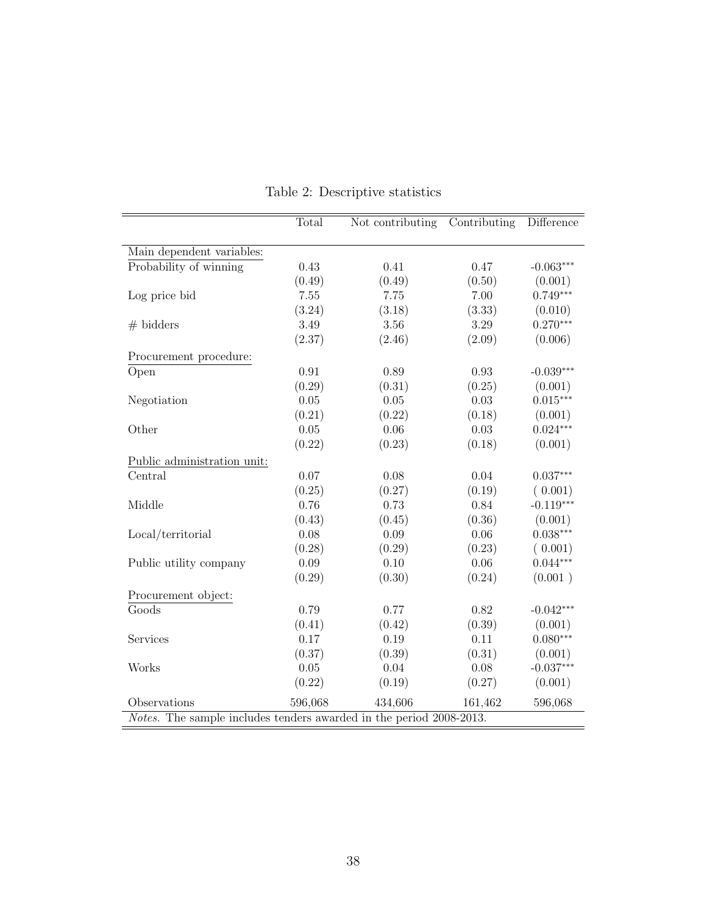<span id="page-38-0"></span>

|                                                                     | Total      | Not contributing | Contributing | Difference  |
|---------------------------------------------------------------------|------------|------------------|--------------|-------------|
|                                                                     |            |                  |              |             |
| Main dependent variables:                                           |            |                  |              |             |
| Probability of winning                                              | 0.43       | 0.41             | 0.47         | $-0.063***$ |
|                                                                     | (0.49)     | (0.49)           | (0.50)       | (0.001)     |
| Log price bid                                                       | 7.55       | 7.75             | 7.00         | $0.749***$  |
|                                                                     | (3.24)     | (3.18)           | (3.33)       | (0.010)     |
| $#$ bidders                                                         | 3.49       | 3.56             | 3.29         | $0.270***$  |
|                                                                     | (2.37)     | (2.46)           | (2.09)       | (0.006)     |
| Procurement procedure:                                              |            |                  |              |             |
| Open                                                                | $\rm 0.91$ | 0.89             | 0.93         | $-0.039***$ |
|                                                                     | (0.29)     | (0.31)           | (0.25)       | (0.001)     |
| Negotiation                                                         | 0.05       | 0.05             | 0.03         | $0.015***$  |
|                                                                     | (0.21)     | (0.22)           | (0.18)       | (0.001)     |
| Other                                                               | 0.05       | 0.06             | 0.03         | $0.024***$  |
|                                                                     | (0.22)     | (0.23)           | (0.18)       | (0.001)     |
| Public administration unit:                                         |            |                  |              |             |
| Central                                                             | 0.07       | 0.08             | 0.04         | $0.037***$  |
|                                                                     | (0.25)     | (0.27)           | (0.19)       | (0.001)     |
| Middle                                                              | 0.76       | 0.73             | 0.84         | $-0.119***$ |
|                                                                     | (0.43)     | (0.45)           | (0.36)       | (0.001)     |
| Local/territorial                                                   | 0.08       | 0.09             | 0.06         | $0.038***$  |
|                                                                     | (0.28)     | (0.29)           | (0.23)       | (0.001)     |
| Public utility company                                              | 0.09       | 0.10             | 0.06         | $0.044***$  |
|                                                                     | (0.29)     | (0.30)           | (0.24)       | (0.001)     |
| Procurement object:                                                 |            |                  |              |             |
| $\overline{\text{Goods}}$                                           | 0.79       | 0.77             | 0.82         | $-0.042***$ |
|                                                                     | (0.41)     | (0.42)           | (0.39)       | (0.001)     |
| Services                                                            | 0.17       | 0.19             | 0.11         | $0.080***$  |
|                                                                     | (0.37)     | (0.39)           | (0.31)       | (0.001)     |
| Works                                                               | 0.05       | 0.04             | 0.08         | $-0.037***$ |
|                                                                     | (0.22)     | (0.19)           | (0.27)       | (0.001)     |
| Observations                                                        | 596,068    | 434,606          | 161,462      | 596,068     |
| Notes. The sample includes tenders awarded in the period 2008-2013. |            |                  |              |             |

Table 2: Descriptive statistics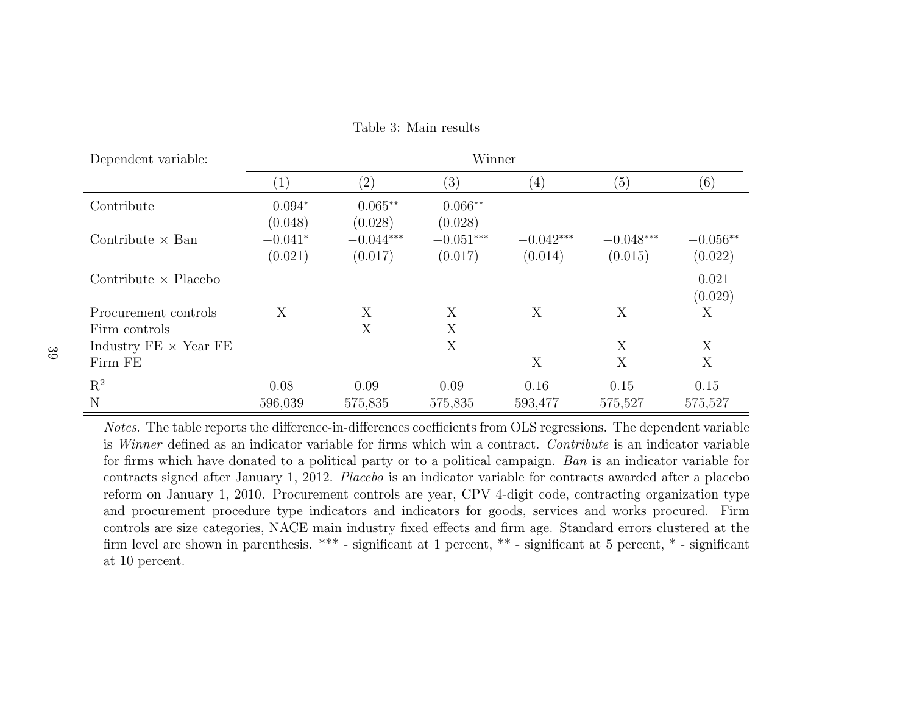| Dependent variable:                     | Winner               |                        |                        |                        |                        |                       |  |  |
|-----------------------------------------|----------------------|------------------------|------------------------|------------------------|------------------------|-----------------------|--|--|
|                                         | $\left( 1\right)$    | (2)                    | $\left( 3\right)$      | (4)                    | (5)                    | (6)                   |  |  |
| Contribute                              | $0.094*$<br>(0.048)  | $0.065**$<br>(0.028)   | $0.066**$<br>(0.028)   |                        |                        |                       |  |  |
| Contribute $\times$ Ban                 | $-0.041*$<br>(0.021) | $-0.044***$<br>(0.017) | $-0.051***$<br>(0.017) | $-0.042***$<br>(0.014) | $-0.048***$<br>(0.015) | $-0.056**$<br>(0.022) |  |  |
| Contribute $\times$ Placebo             |                      |                        |                        |                        |                        | 0.021<br>(0.029)      |  |  |
| Procurement controls<br>Firm controls   | X                    | X<br>X                 | X<br>X                 | X                      | X                      | X                     |  |  |
| Industry $FE \times Year$ FE<br>Firm FE |                      |                        | X                      | X                      | X<br>X                 | X<br>X                |  |  |
| $\mathrm{R}^2$<br>N                     | 0.08<br>596,039      | 0.09<br>575,835        | 0.09<br>575,835        | 0.16<br>593,477        | 0.15<br>575,527        | 0.15<br>575,527       |  |  |

<span id="page-39-1"></span><span id="page-39-0"></span>Table 3: Main results

Notes. The table reports the difference-in-differences coefficients from OLS regressions. The dependent variable is Winner defined as an indicator variable for firms which win <sup>a</sup> contract. Contribute is an indicator variable for firms which have donated to <sup>a</sup> political party or to <sup>a</sup> political campaign. Ban is an indicator variable for contracts signed after January 1, 2012. Placebo is an indicator variable for contracts awarded after <sup>a</sup> <sup>p</sup>lacebo reform on January 1, 2010. Procurement controls are year, CPV 4-digit code, contracting organization type and procurement procedure type indicators and indicators for goods, services and works procured. Firm controls are size categories, NACE main industry fixed effects and firm age. Standard errors clustered at the firm level are shown in parenthesis. \*\*\* - significant at <sup>1</sup> percent, \*\* - significant at 5 percent, \* - significantat 10 percent.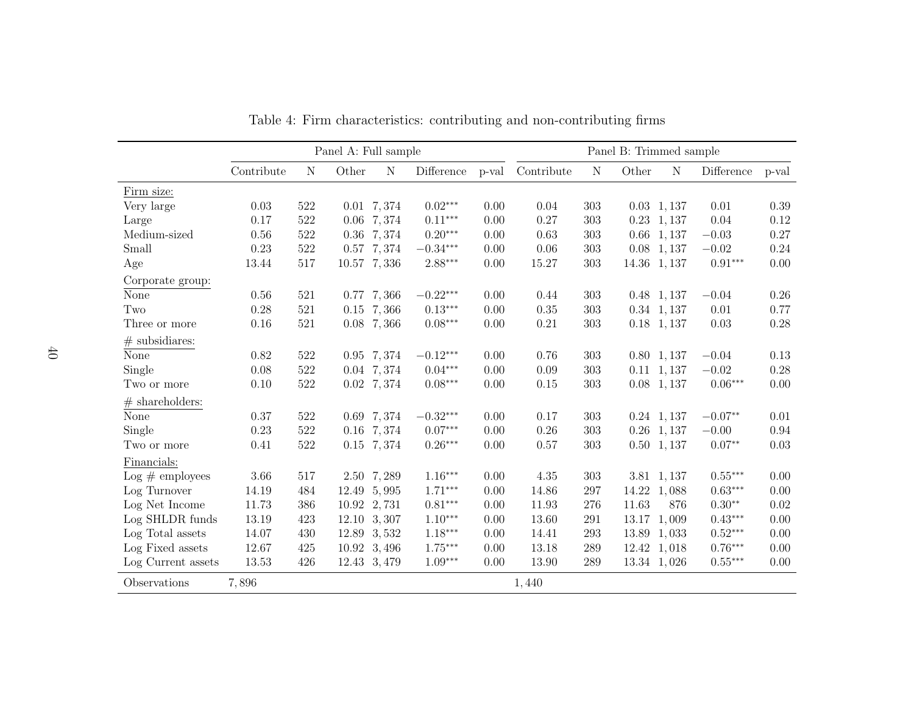<span id="page-40-0"></span>

|                    | Panel A: Full sample |             |             |               | Panel B: Trimmed sample |       |            |           |       |                    |            |       |
|--------------------|----------------------|-------------|-------------|---------------|-------------------------|-------|------------|-----------|-------|--------------------|------------|-------|
|                    | Contribute           | $\mathbf N$ | Other       | $\mathcal N$  | Difference              | p-val | Contribute | ${\rm N}$ | Other | $\mathbf N$        | Difference | p-val |
| Firm size:         |                      |             |             |               |                         |       |            |           |       |                    |            |       |
| Very large         | 0.03                 | 522         |             | 0.01 7,374    | $0.02***$               | 0.00  | 0.04       | 303       |       | $0.03$ 1, 137      | 0.01       | 0.39  |
| Large              | 0.17                 | 522         |             | 0.06 7,374    | $0.11***$               | 0.00  | 0.27       | 303       |       | 0.23, 1,137        | 0.04       | 0.12  |
| Medium-sized       | 0.56                 | 522         |             | 0.36 7,374    | $0.20***$               | 0.00  | 0.63       | 303       |       | $0.66$ 1, 137      | $-0.03$    | 0.27  |
| Small              | 0.23                 | 522         |             | 0.57 7,374    | $-0.34***$              | 0.00  | 0.06       | 303       |       | $0.08$ 1, 137      | $-0.02$    | 0.24  |
| Age                | 13.44                | 517         |             | 10.57 7,336   | $2.88***$               | 0.00  | 15.27      | 303       |       | 14.36 1, 137       | $0.91***$  | 0.00  |
| Corporate group:   |                      |             |             |               |                         |       |            |           |       |                    |            |       |
| None               | 0.56                 | 521         |             | $0.77$ 7, 366 | $-0.22***$              | 0.00  | 0.44       | 303       |       | $0.48$ 1, 137      | $-0.04$    | 0.26  |
| Two                | 0.28                 | 521         |             | $0.15$ 7, 366 | $0.13***$               | 0.00  | 0.35       | 303       |       | 0.34 1, 137        | 0.01       | 0.77  |
| Three or more      | $0.16\,$             | 521         |             | $0.08$ 7, 366 | $0.08***$               | 0.00  | 0.21       | 303       |       | $0.18$ 1, 137      | 0.03       | 0.28  |
| $\#$ subsidiares:  |                      |             |             |               |                         |       |            |           |       |                    |            |       |
| None               | 0.82                 | 522         |             | 0.95 7,374    | $-0.12***$              | 0.00  | 0.76       | 303       |       | $0.80 \quad 1,137$ | $-0.04$    | 0.13  |
| Single             | 0.08                 | 522         |             | 0.04 7,374    | $0.04***$               | 0.00  | 0.09       | 303       |       | $0.11 \quad 1,137$ | $-0.02$    | 0.28  |
| Two or more        | 0.10                 | 522         |             | 0.02, 7,374   | $0.08***$               | 0.00  | 0.15       | 303       |       | $0.08$ 1, 137      | $0.06***$  | 0.00  |
| $\#$ shareholders: |                      |             |             |               |                         |       |            |           |       |                    |            |       |
| None               | 0.37                 | 522         |             | 0.69 7,374    | $-0.32***$              | 0.00  | 0.17       | 303       |       | $0.24$ 1, 137      | $-0.07**$  | 0.01  |
| Single             | 0.23                 | 522         |             | 0.16 7,374    | $0.07***$               | 0.00  | 0.26       | 303       |       | $0.26$ 1, 137      | $-0.00$    | 0.94  |
| Two or more        | 0.41                 | 522         |             | 0.15 7,374    | $0.26***$               | 0.00  | 0.57       | 303       |       | $0.50$ 1, 137      | $0.07**$   | 0.03  |
| Financials:        |                      |             |             |               |                         |       |            |           |       |                    |            |       |
| $Log #$ employees  | 3.66                 | 517         |             | 2.50 7,289    | $1.16***$               | 0.00  | 4.35       | 303       |       | 3.81 1, 137        | $0.55***$  | 0.00  |
| Log Turnover       | 14.19                | 484         |             | 12.49 5,995   | $1.71***$               | 0.00  | 14.86      | 297       |       | 14.22 1,088        | $0.63***$  | 0.00  |
| Log Net Income     | 11.73                | 386         | 10.92 2,731 |               | $0.81***$               | 0.00  | 11.93      | 276       | 11.63 | 876                | $0.30**$   | 0.02  |
| Log SHLDR funds    | 13.19                | 423         |             | 12.10 3,307   | $1.10***$               | 0.00  | 13.60      | 291       | 13.17 | 1,009              | $0.43***$  | 0.00  |
| Log Total assets   | 14.07                | 430         |             | 12.89 3,532   | $1.18***$               | 0.00  | 14.41      | 293       | 13.89 | 1,033              | $0.52***$  | 0.00  |
| Log Fixed assets   | 12.67                | 425         |             | 10.92 3,496   | $1.75***$               | 0.00  | 13.18      | 289       |       | 12.42 1,018        | $0.76***$  | 0.00  |
| Log Current assets | 13.53                | 426         |             | 12.43 3,479   | $1.09***$               | 0.00  | 13.90      | 289       |       | 13.34 1,026        | $0.55***$  | 0.00  |
| Observations       | 7,896                |             |             |               |                         |       | 1,440      |           |       |                    |            |       |

Table 4: Firm characteristics: contributing and non-contributing firms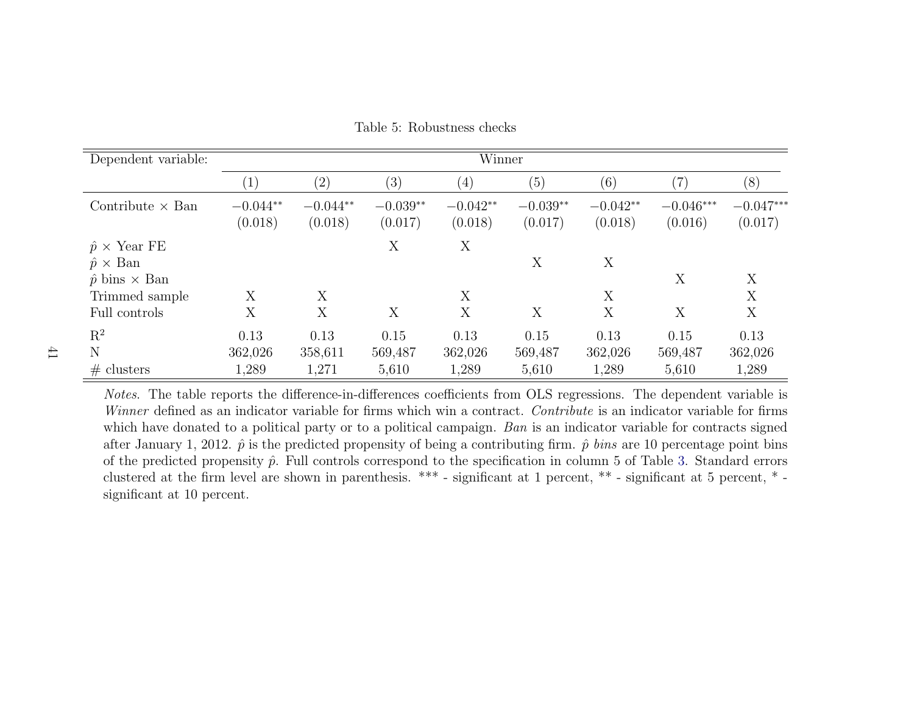| Dependent variable:                                     | Winner                |                       |                       |                       |                       |                       |                        |                        |
|---------------------------------------------------------|-----------------------|-----------------------|-----------------------|-----------------------|-----------------------|-----------------------|------------------------|------------------------|
|                                                         | $\perp$               | (2)                   | (3)                   | (4)                   | (5)                   | (6)                   | (7)                    | (8)                    |
| Contribute $\times$ Ban                                 | $-0.044**$<br>(0.018) | $-0.044**$<br>(0.018) | $-0.039**$<br>(0.017) | $-0.042**$<br>(0.018) | $-0.039**$<br>(0.017) | $-0.042**$<br>(0.018) | $-0.046***$<br>(0.016) | $-0.047***$<br>(0.017) |
| $\hat{p} \times$ Year FE<br>$\hat{p} \times \text{Ban}$ |                       |                       | X                     | X                     | X                     | X                     |                        |                        |
| $\hat{p}$ bins $\times$ Ban                             |                       |                       |                       |                       |                       |                       | X                      | X                      |
| Trimmed sample                                          | Х                     | X                     |                       | X                     |                       | X                     |                        | X                      |
| Full controls                                           | X                     | X                     | X                     | X                     | X                     | X                     | X                      | X                      |
| $\mathbf{R}^2$                                          | 0.13                  | 0.13                  | 0.15                  | 0.13                  | 0.15                  | 0.13                  | 0.15                   | 0.13                   |
| N                                                       | 362,026               | 358,611               | 569,487               | 362,026               | 569,487               | 362,026               | 569,487                | 362,026                |
| # clusters                                              | 1,289                 | 1,271                 | 5,610                 | 1,289                 | 5,610                 | 1,289                 | 5,610                  | 1,289                  |

<span id="page-41-0"></span>Table 5: Robustness checks

Notes. The table reports the difference-in-differences coefficients from OLS regressions. The dependent variable isWinner defined as an indicator variable for firms which win a contract. Contribute is an indicator variable for firms which have donated to a political party or to a political campaign. Ban is an indicator variable for contracts signed after January 1, 2012.  $\hat{p}$  is the predicted propensity of being a contributing firm.  $\hat{p}$  *bins* are 10 percentage point bins of the predicted propensity  $\hat{p}$ . Full controls correspond to the specification in column 5 of Table [3.](#page-39-1) Standard errors clustered at the firm level are shown in parenthesis. \*\*\* - significant at <sup>1</sup> percent, \*\* - significant at 5 percent, \* significant at 10 percent.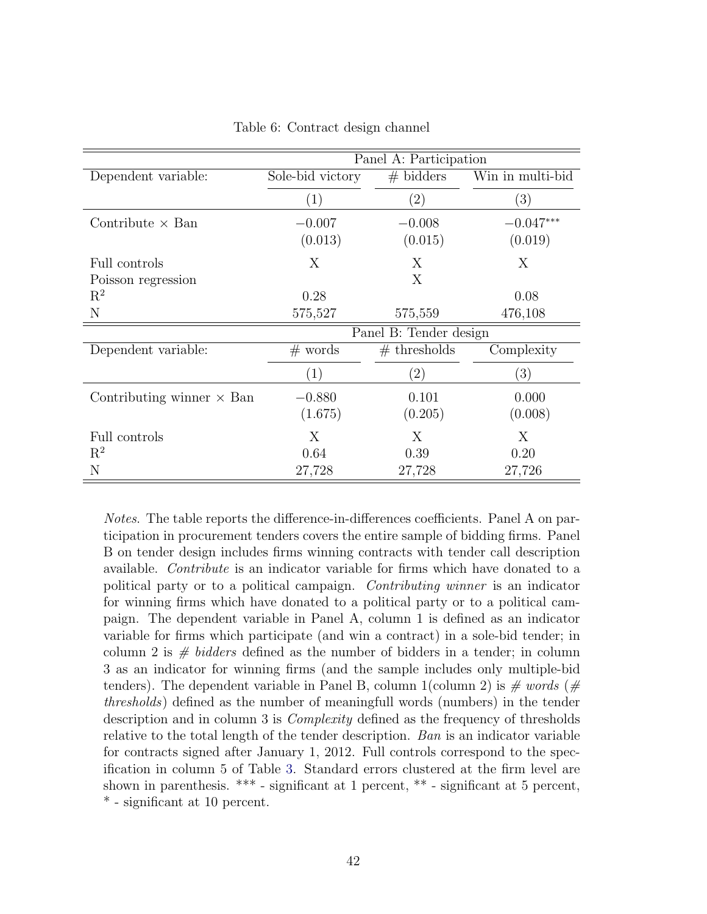<span id="page-42-0"></span>

|                                  | Panel A: Participation |                        |                   |  |  |  |
|----------------------------------|------------------------|------------------------|-------------------|--|--|--|
| Dependent variable:              | Sole-bid victory       | $#$ bidders            | Win in multi-bid  |  |  |  |
|                                  | (1)                    | $\left( 2\right)$      | $\left( 3\right)$ |  |  |  |
| Contribute $\times$ Ban          | $-0.007$               | $-0.008$               | $-0.047***$       |  |  |  |
|                                  | (0.013)                | (0.015)                | (0.019)           |  |  |  |
| Full controls                    | X                      | Χ                      | X                 |  |  |  |
| Poisson regression               |                        | X                      |                   |  |  |  |
| $\mathbf{R}^2$                   | 0.28                   |                        | 0.08              |  |  |  |
| N                                | 575,527                | 575,559                | 476,108           |  |  |  |
|                                  |                        | Panel B: Tender design |                   |  |  |  |
| Dependent variable:              | $#$ words              | $#$ thresholds         | Complexity        |  |  |  |
|                                  | (1)                    | $\left( 2\right)$      | (3)               |  |  |  |
| Contributing winner $\times$ Ban | $-0.880$               | 0.101                  | 0.000             |  |  |  |
|                                  | (1.675)                | (0.205)                | (0.008)           |  |  |  |
| Full controls                    | X                      | Χ                      | Χ                 |  |  |  |
| $\mathrm{R}^2$                   | 0.64                   | 0.39                   | 0.20              |  |  |  |
| N                                | 27,728                 | 27,728                 | 27,726            |  |  |  |

Table 6: Contract design channel

Notes. The table reports the difference-in-differences coefficients. Panel A on participation in procurement tenders covers the entire sample of bidding firms. Panel B on tender design includes firms winning contracts with tender call description available. Contribute is an indicator variable for firms which have donated to a political party or to a political campaign. Contributing winner is an indicator for winning firms which have donated to a political party or to a political campaign. The dependent variable in Panel A, column 1 is defined as an indicator variable for firms which participate (and win a contract) in a sole-bid tender; in column 2 is  $\#$  bidders defined as the number of bidders in a tender; in column 3 as an indicator for winning firms (and the sample includes only multiple-bid tenders). The dependent variable in Panel B, column 1(column 2) is  $\#$  words ( $\#$ thresholds) defined as the number of meaningfull words (numbers) in the tender description and in column 3 is *Complexity* defined as the frequency of thresholds relative to the total length of the tender description. Ban is an indicator variable for contracts signed after January 1, 2012. Full controls correspond to the specification in column 5 of Table [3.](#page-39-0) Standard errors clustered at the firm level are shown in parenthesis. \*\*\* - significant at 1 percent, \*\* - significant at 5 percent, \* - significant at 10 percent.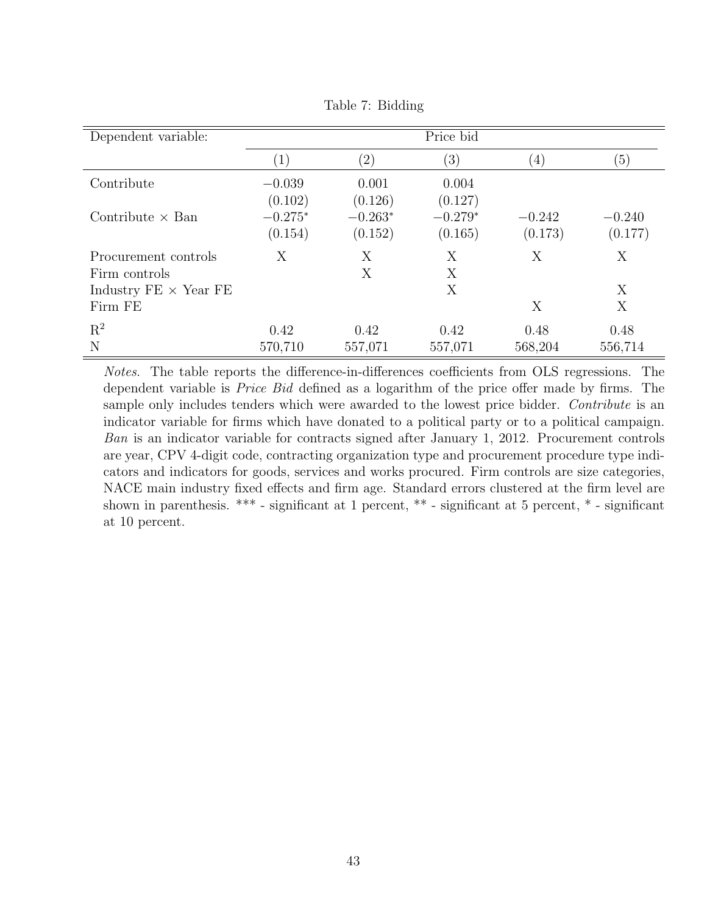<span id="page-43-0"></span>

| Dependent variable:                   |                      |                      | Price bid            |                     |                     |
|---------------------------------------|----------------------|----------------------|----------------------|---------------------|---------------------|
|                                       | $\left(1\right)$     | $\left( 2\right)$    | $\left( 3\right)$    | $\left(4\right)$    | $\left(5\right)$    |
| Contribute                            | $-0.039$<br>(0.102)  | 0.001<br>(0.126)     | 0.004<br>(0.127)     |                     |                     |
| Contribute $\times$ Ban               | $-0.275*$<br>(0.154) | $-0.263*$<br>(0.152) | $-0.279*$<br>(0.165) | $-0.242$<br>(0.173) | $-0.240$<br>(0.177) |
| Procurement controls<br>Firm controls | X                    | X<br>X               | X<br>X               | X                   | X                   |
| Industry $FE \times Year$ FE          |                      |                      | X                    |                     | Х                   |
| Firm FE                               |                      |                      |                      | X                   | X                   |
| $\mathrm{R}^2$<br>N                   | 0.42<br>570,710      | 0.42<br>557,071      | 0.42<br>557,071      | 0.48<br>568,204     | 0.48<br>556,714     |

Table 7: Bidding

Notes. The table reports the difference-in-differences coefficients from OLS regressions. The dependent variable is Price Bid defined as a logarithm of the price offer made by firms. The sample only includes tenders which were awarded to the lowest price bidder. Contribute is an indicator variable for firms which have donated to a political party or to a political campaign. Ban is an indicator variable for contracts signed after January 1, 2012. Procurement controls are year, CPV 4-digit code, contracting organization type and procurement procedure type indicators and indicators for goods, services and works procured. Firm controls are size categories, NACE main industry fixed effects and firm age. Standard errors clustered at the firm level are shown in parenthesis. \*\*\* - significant at 1 percent, \*\* - significant at 5 percent, \* - significant at 10 percent.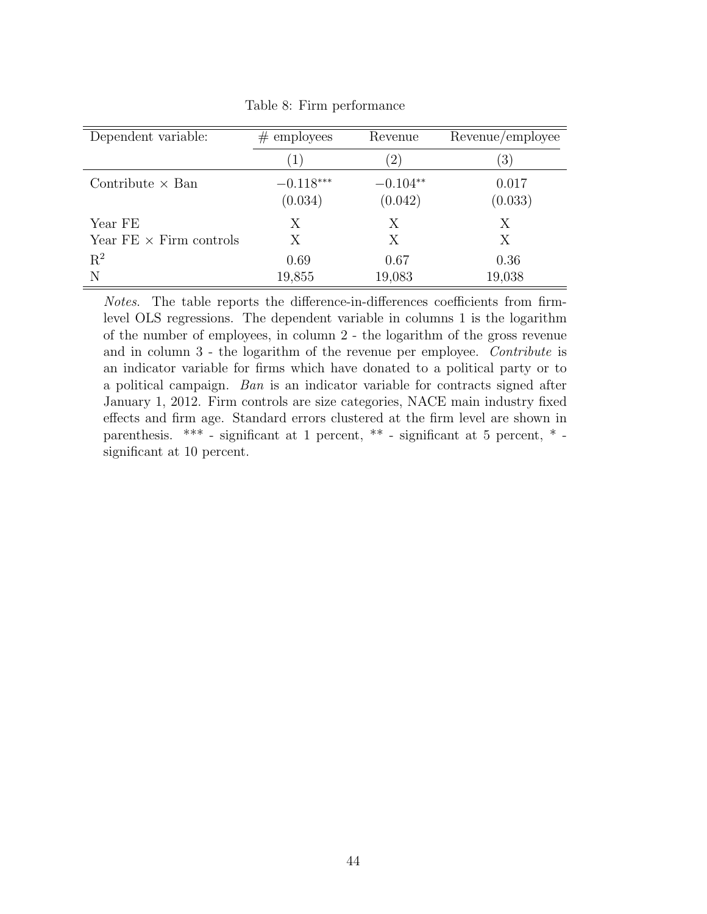<span id="page-44-0"></span>

| Dependent variable:            | $#$ employees | Revenue    | Revenue/employee |
|--------------------------------|---------------|------------|------------------|
|                                | (1)           | (2)        | $\left(3\right)$ |
| Contribute $\times$ Ban        | $-0.118***$   | $-0.104**$ | 0.017            |
|                                | (0.034)       | (0.042)    | (0.033)          |
| Year FE                        | Χ             | Χ          | Χ                |
| Year $FE \times$ Firm controls | X             | X          | X                |
| $R^2$                          | 0.69          | 0.67       | 0.36             |
| N                              | 19,855        | 19,083     | 19,038           |

Table 8: Firm performance

Notes. The table reports the difference-in-differences coefficients from firmlevel OLS regressions. The dependent variable in columns 1 is the logarithm of the number of employees, in column 2 - the logarithm of the gross revenue and in column 3 - the logarithm of the revenue per employee. Contribute is an indicator variable for firms which have donated to a political party or to a political campaign. Ban is an indicator variable for contracts signed after January 1, 2012. Firm controls are size categories, NACE main industry fixed effects and firm age. Standard errors clustered at the firm level are shown in parenthesis. \*\*\* - significant at 1 percent, \*\* - significant at 5 percent, \* significant at 10 percent.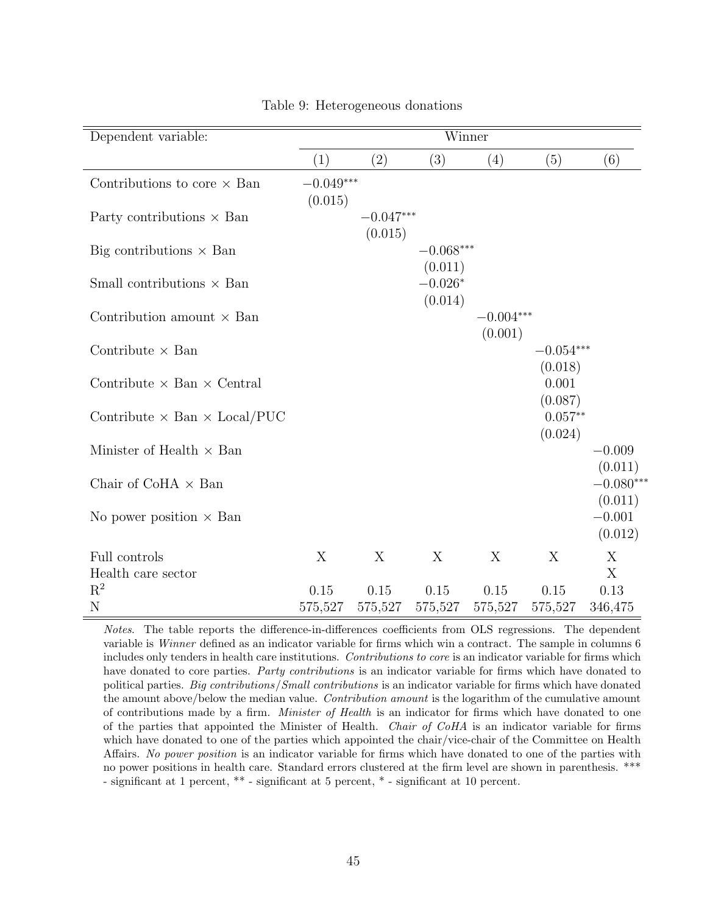<span id="page-45-0"></span>

|                   | Winner                     |                                |                                                      |                            |                                                                                |  |
|-------------------|----------------------------|--------------------------------|------------------------------------------------------|----------------------------|--------------------------------------------------------------------------------|--|
| $\left( 1\right)$ | (2)                        | (3)                            | (4)                                                  | (5)                        | (6)                                                                            |  |
|                   |                            |                                |                                                      |                            |                                                                                |  |
|                   | (0.015)                    |                                |                                                      |                            |                                                                                |  |
|                   |                            | $-0.068***$                    |                                                      |                            |                                                                                |  |
|                   |                            | $-0.026*$                      |                                                      |                            |                                                                                |  |
|                   |                            |                                |                                                      |                            |                                                                                |  |
|                   |                            |                                |                                                      |                            |                                                                                |  |
|                   |                            |                                |                                                      | 0.001                      |                                                                                |  |
|                   |                            |                                |                                                      | $0.057**$                  |                                                                                |  |
|                   |                            |                                |                                                      |                            | $-0.009$<br>(0.011)                                                            |  |
|                   |                            |                                |                                                      |                            | $-0.080***$<br>(0.011)                                                         |  |
|                   |                            |                                |                                                      |                            | $-0.001$<br>(0.012)                                                            |  |
| X                 | X                          | X                              | X                                                    | X                          | X                                                                              |  |
|                   |                            |                                |                                                      |                            | X                                                                              |  |
|                   |                            |                                |                                                      |                            | 0.13<br>346,475                                                                |  |
|                   | (0.015)<br>0.15<br>575,527 | $-0.049***$<br>0.15<br>575,527 | $-0.047***$<br>(0.011)<br>(0.014)<br>0.15<br>575,527 | (0.001)<br>0.15<br>575,527 | $-0.004***$<br>$-0.054***$<br>(0.018)<br>(0.087)<br>(0.024)<br>0.15<br>575,527 |  |

Table 9: Heterogeneous donations

Notes. The table reports the difference-in-differences coefficients from OLS regressions. The dependent variable is Winner defined as an indicator variable for firms which win a contract. The sample in columns 6 includes only tenders in health care institutions. Contributions to core is an indicator variable for firms which have donated to core parties. Party contributions is an indicator variable for firms which have donated to political parties. Big contributions/Small contributions is an indicator variable for firms which have donated the amount above/below the median value. Contribution amount is the logarithm of the cumulative amount of contributions made by a firm. *Minister of Health* is an indicator for firms which have donated to one of the parties that appointed the Minister of Health. Chair of CoHA is an indicator variable for firms which have donated to one of the parties which appointed the chair/vice-chair of the Committee on Health Affairs. No power position is an indicator variable for firms which have donated to one of the parties with no power positions in health care. Standard errors clustered at the firm level are shown in parenthesis. \*\*\* - significant at 1 percent, \*\* - significant at 5 percent, \* - significant at 10 percent.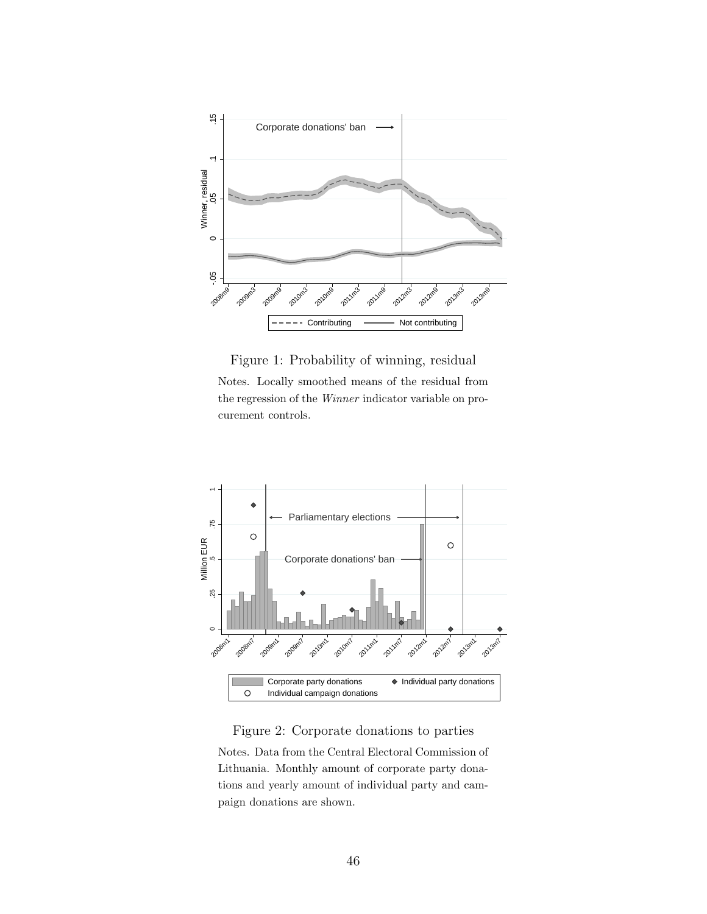<span id="page-46-0"></span>

Figure 1: Probability of winning, residual Notes. Locally smoothed means of the residual from the regression of the Winner indicator variable on procurement controls.

<span id="page-46-1"></span>

Figure 2: Corporate donations to parties Notes. Data from the Central Electoral Commission of Lithuania. Monthly amount of corporate party donations and yearly amount of individual party and campaign donations are shown.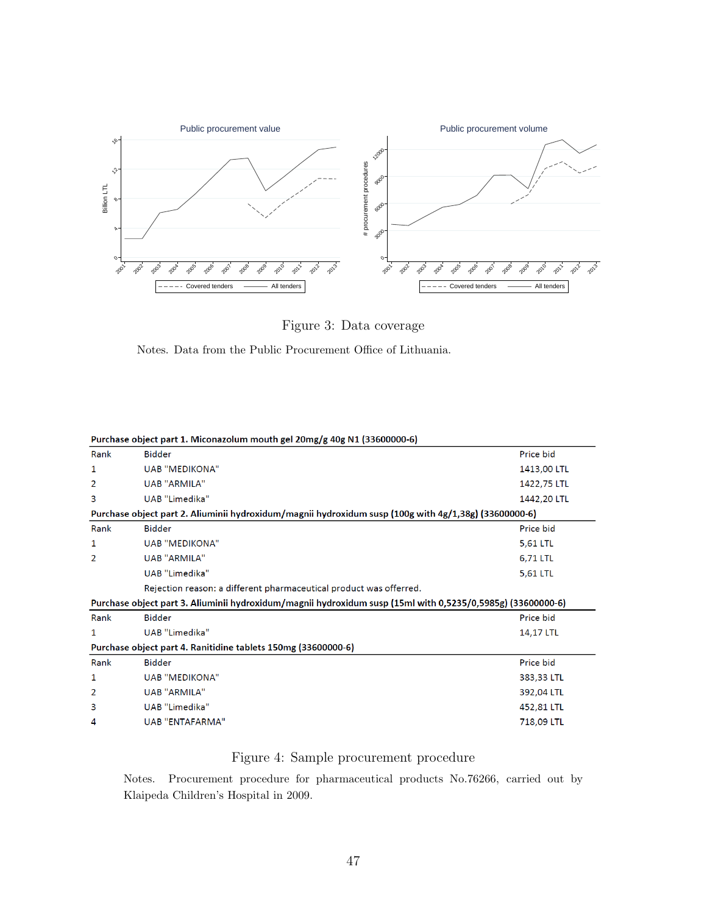<span id="page-47-0"></span>

Figure 3: Data coverage

Notes. Data from the Public Procurement Office of Lithuania.

| Purchase object part 1. Miconazolum mouth gel 20mg/g 40g N1 (33600000-6) |                                                                                                             |             |  |  |  |  |
|--------------------------------------------------------------------------|-------------------------------------------------------------------------------------------------------------|-------------|--|--|--|--|
| Rank                                                                     | <b>Bidder</b>                                                                                               | Price bid   |  |  |  |  |
| 1                                                                        | <b>UAB "MEDIKONA"</b>                                                                                       | 1413,00 LTL |  |  |  |  |
| 2                                                                        | <b>UAB "ARMILA"</b>                                                                                         | 1422,75 LTL |  |  |  |  |
| 3                                                                        | UAB "Limedika"                                                                                              | 1442,20 LTL |  |  |  |  |
|                                                                          | Purchase object part 2. Aliuminii hydroxidum/magnii hydroxidum susp (100g with 4g/1,38g) (33600000-6)       |             |  |  |  |  |
| Rank                                                                     | <b>Bidder</b>                                                                                               | Price bid   |  |  |  |  |
| 1                                                                        | <b>UAB "MEDIKONA"</b>                                                                                       | 5,61 LTL    |  |  |  |  |
| 2                                                                        | <b>UAB "ARMILA"</b>                                                                                         | 6,71 LTL    |  |  |  |  |
|                                                                          | UAB "Limedika"                                                                                              | 5,61 LTL    |  |  |  |  |
|                                                                          | Rejection reason: a different pharmaceutical product was offerred.                                          |             |  |  |  |  |
|                                                                          | Purchase object part 3. Aliuminii hydroxidum/magnii hydroxidum susp (15ml with 0,5235/0,5985g) (33600000-6) |             |  |  |  |  |
| Rank                                                                     | <b>Bidder</b>                                                                                               | Price bid   |  |  |  |  |
| 1                                                                        | UAB "Limedika"                                                                                              | 14,17 LTL   |  |  |  |  |
|                                                                          | Purchase object part 4. Ranitidine tablets 150mg (33600000-6)                                               |             |  |  |  |  |
| Rank                                                                     | <b>Bidder</b>                                                                                               | Price bid   |  |  |  |  |
| 1                                                                        | <b>UAB "MEDIKONA"</b>                                                                                       | 383,33 LTL  |  |  |  |  |
| 2                                                                        | <b>UAB "ARMILA"</b>                                                                                         | 392,04 LTL  |  |  |  |  |
| 3                                                                        | UAB "Limedika"                                                                                              | 452,81 LTL  |  |  |  |  |
| 4                                                                        | <b>UAB "ENTAFARMA"</b>                                                                                      | 718,09 LTL  |  |  |  |  |
|                                                                          |                                                                                                             |             |  |  |  |  |

<span id="page-47-1"></span>

# Figure 4: Sample procurement procedure

Notes. Procurement procedure for pharmaceutical products No.76266, carried out by Klaipeda Children's Hospital in 2009.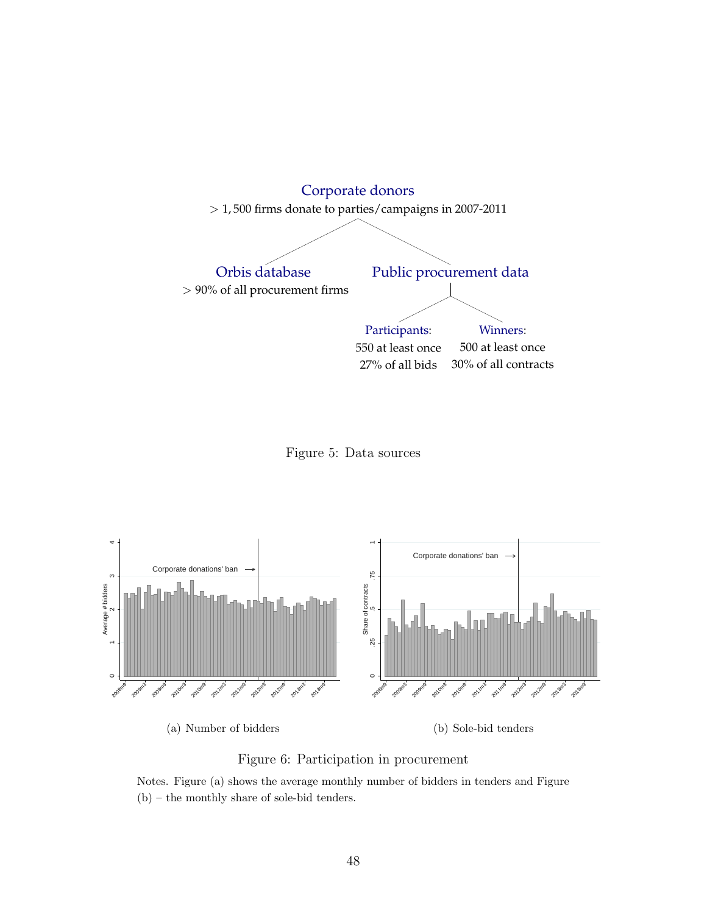<span id="page-48-0"></span>

Figure 5: Data sources

<span id="page-48-1"></span>

Figure 6: Participation in procurement

Notes. Figure (a) shows the average monthly number of bidders in tenders and Figure (b) – the monthly share of sole-bid tenders.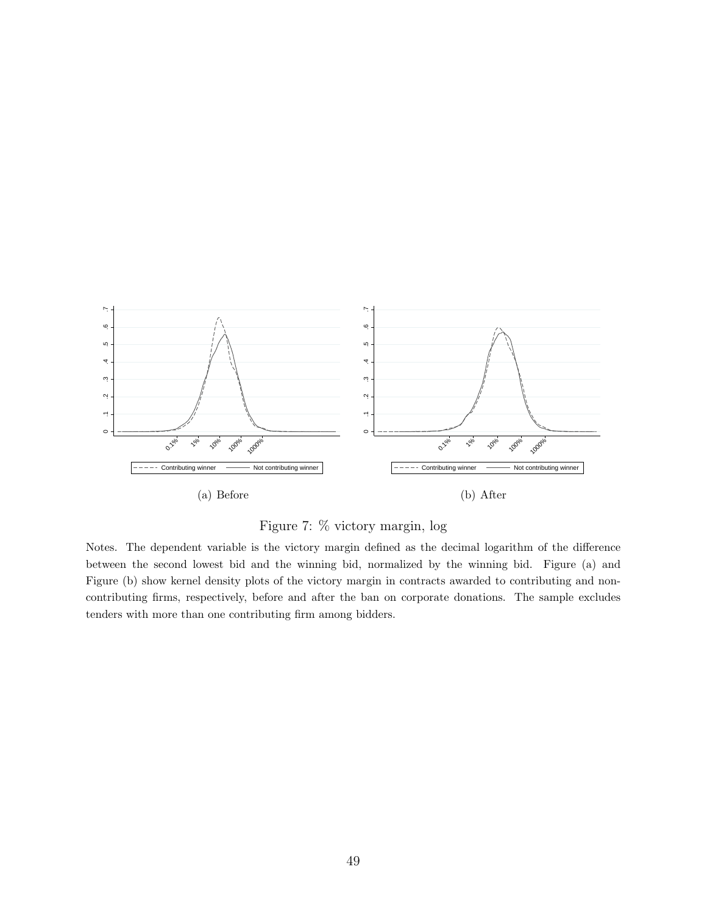<span id="page-49-0"></span>

Figure 7: % victory margin, log

Notes. The dependent variable is the victory margin defined as the decimal logarithm of the difference between the second lowest bid and the winning bid, normalized by the winning bid. Figure (a) and Figure (b) show kernel density plots of the victory margin in contracts awarded to contributing and noncontributing firms, respectively, before and after the ban on corporate donations. The sample excludes tenders with more than one contributing firm among bidders.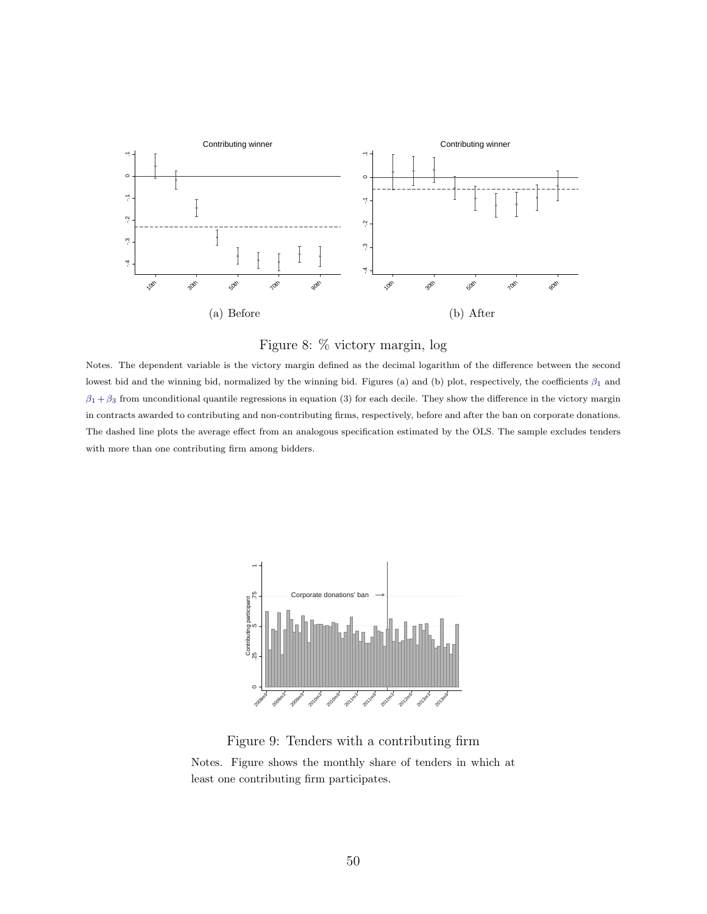<span id="page-50-2"></span><span id="page-50-0"></span>

<span id="page-50-1"></span>

Notes. The dependent variable is the victory margin defined as the decimal logarithm of the difference between the second lowest bid and the winning bid, normalized by the winning bid. Figures (a) and (b) plot, respectively, the coefficients  $\beta_1$  and  $\beta_1 + \beta_3$  from unconditional quantile regressions in equation (3) for each decile. They show the difference in the victory margin in contracts awarded to contributing and non-contributing firms, respectively, before and after the ban on corporate donations. The dashed line plots the average effect from an analogous specification estimated by the OLS. The sample excludes tenders with more than one contributing firm among bidders.

<span id="page-50-3"></span>

Figure 9: Tenders with a contributing firm Notes. Figure shows the monthly share of tenders in which at least one contributing firm participates.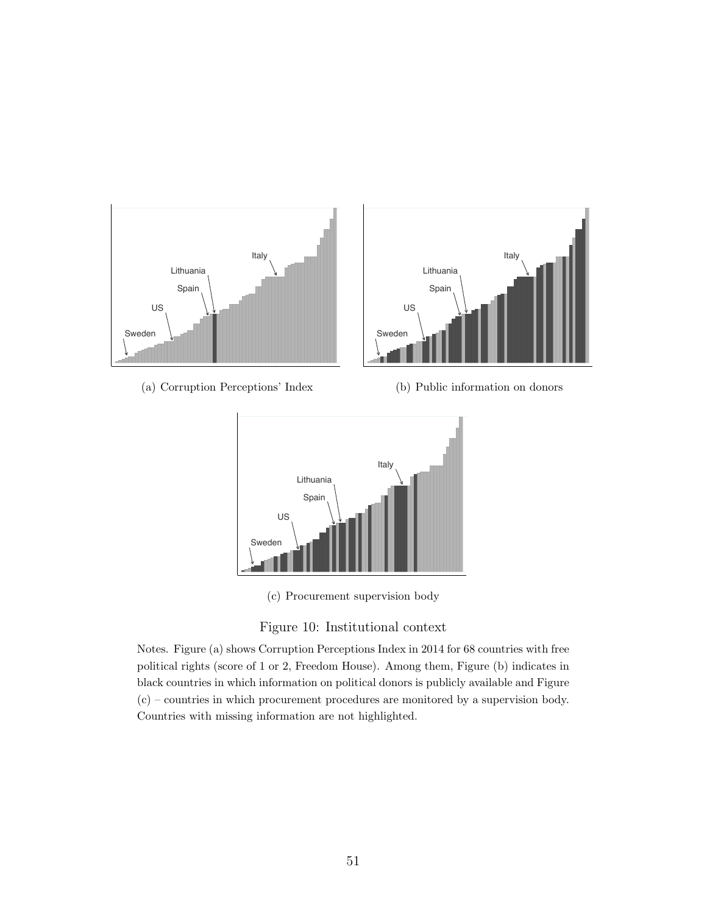<span id="page-51-3"></span><span id="page-51-0"></span>

<span id="page-51-2"></span><span id="page-51-1"></span>(c) Procurement supervision body



Notes. Figure (a) shows Corruption Perceptions Index in 2014 for 68 countries with free political rights (score of 1 or 2, Freedom House). Among them, Figure (b) indicates in black countries in which information on political donors is publicly available and Figure (c) – countries in which procurement procedures are monitored by a supervision body. Countries with missing information are not highlighted.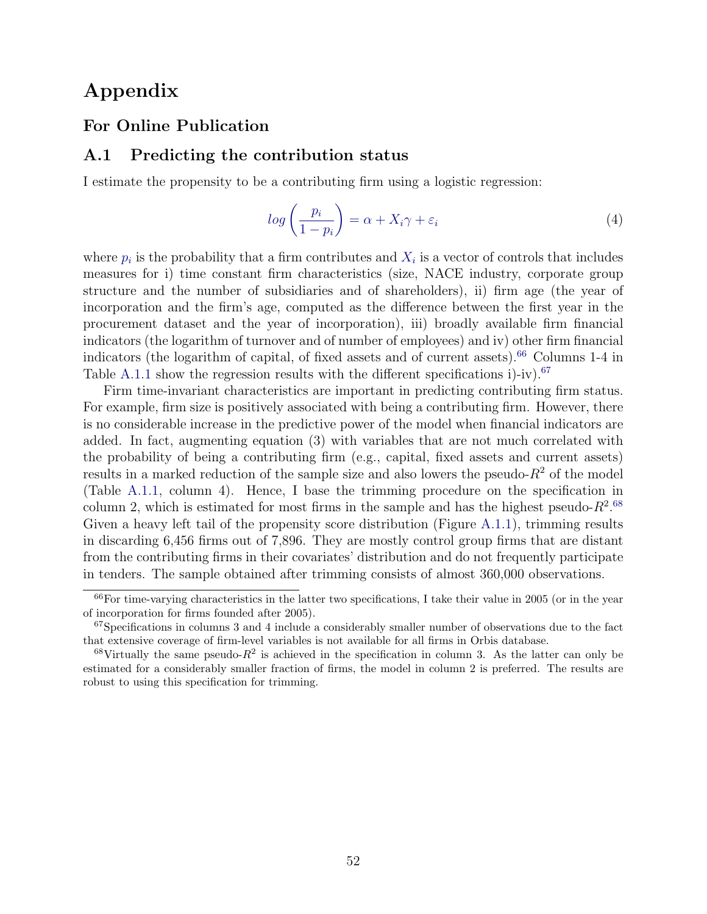# Appendix

# For Online Publication

### <span id="page-52-0"></span>A.1 Predicting the contribution status

I estimate the propensity to be a contributing firm using a logistic regression:

$$
log\left(\frac{p_i}{1-p_i}\right) = \alpha + X_i \gamma + \varepsilon_i \tag{4}
$$

where  $p_i$  is the probability that a firm contributes and  $X_i$  is a vector of controls that includes measures for i) time constant firm characteristics (size, NACE industry, corporate group structure and the number of subsidiaries and of shareholders), ii) firm age (the year of incorporation and the firm's age, computed as the difference between the first year in the procurement dataset and the year of incorporation), iii) broadly available firm financial indicators (the logarithm of turnover and of number of employees) and iv) other firm financial indicators (the logarithm of capital, of fixed assets and of current assets).<sup>[66](#page-52-1)</sup> Columns 1-4 in Table [A.1.1](#page-53-0) show the regression results with the different specifications i)-iv).<sup>[67](#page-52-2)</sup>

Firm time-invariant characteristics are important in predicting contributing firm status. For example, firm size is positively associated with being a contributing firm. However, there is no considerable increase in the predictive power of the model when financial indicators are added. In fact, augmenting equation (3) with variables that are not much correlated with the probability of being a contributing firm (e.g., capital, fixed assets and current assets) results in a marked reduction of the sample size and also lowers the pseudo- $R^2$  of the model (Table [A.1.1,](#page-53-0) column 4). Hence, I base the trimming procedure on the specification in column 2, which is estimated for most firms in the sample and has the highest pseudo- $R^2$ .<sup>[68](#page-52-3)</sup> Given a heavy left tail of the propensity score distribution (Figure [A.1.1\)](#page-54-0), trimming results in discarding 6,456 firms out of 7,896. They are mostly control group firms that are distant from the contributing firms in their covariates' distribution and do not frequently participate in tenders. The sample obtained after trimming consists of almost 360,000 observations.

<span id="page-52-1"></span> $^{66}$ For time-varying characteristics in the latter two specifications, I take their value in 2005 (or in the year of incorporation for firms founded after 2005).

<span id="page-52-2"></span> $67S$  pecifications in columns 3 and 4 include a considerably smaller number of observations due to the fact that extensive coverage of firm-level variables is not available for all firms in Orbis database.

<span id="page-52-3"></span> $68$ Virtually the same pseudo- $R^2$  is achieved in the specification in column 3. As the latter can only be estimated for a considerably smaller fraction of firms, the model in column 2 is preferred. The results are robust to using this specification for trimming.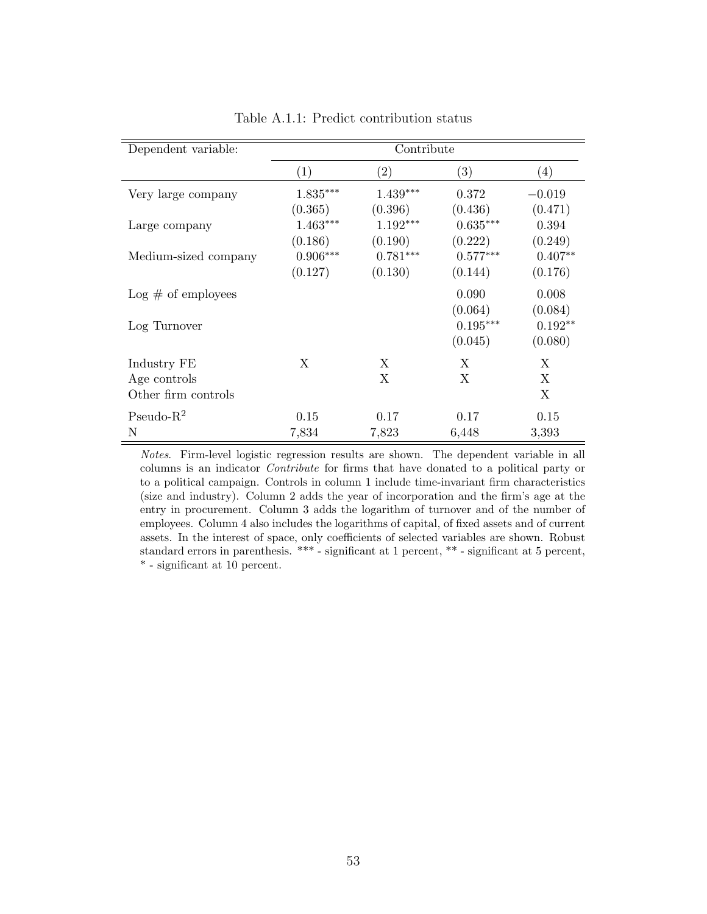<span id="page-53-0"></span>

| Dependent variable:   | Contribute |                   |                        |           |  |  |
|-----------------------|------------|-------------------|------------------------|-----------|--|--|
|                       | (1)        | $\left( 2\right)$ | (3)                    | (4)       |  |  |
| Very large company    | $1.835***$ | $1.439***$        | 0.372                  | $-0.019$  |  |  |
|                       | (0.365)    | (0.396)           | (0.436)                | (0.471)   |  |  |
| Large company         | $1.463***$ | 1.192***          | $0.635***$             | 0.394     |  |  |
|                       | (0.186)    | (0.190)           | (0.222)                | (0.249)   |  |  |
| Medium-sized company  | $0.906***$ | $0.781***$        | $0.577***$             | $0.407**$ |  |  |
|                       | (0.127)    | (0.130)           | (0.144)                | (0.176)   |  |  |
| $Log \#$ of employees |            |                   | 0.090                  | 0.008     |  |  |
|                       |            |                   | (0.064)                | (0.084)   |  |  |
| Log Turnover          |            |                   | $0.195^{\ast\ast\ast}$ | $0.192**$ |  |  |
|                       |            |                   | (0.045)                | (0.080)   |  |  |
| Industry FE           | X          | X                 | X                      | X         |  |  |
| Age controls          |            | X                 | X                      | X         |  |  |
| Other firm controls   |            |                   |                        | X         |  |  |
| $Pseudo-R2$           | 0.15       | 0.17              | 0.17                   | 0.15      |  |  |
| N                     | 7,834      | 7,823             | 6,448                  | 3,393     |  |  |

Table A.1.1: Predict contribution status

Notes. Firm-level logistic regression results are shown. The dependent variable in all columns is an indicator Contribute for firms that have donated to a political party or to a political campaign. Controls in column 1 include time-invariant firm characteristics (size and industry). Column 2 adds the year of incorporation and the firm's age at the entry in procurement. Column 3 adds the logarithm of turnover and of the number of employees. Column 4 also includes the logarithms of capital, of fixed assets and of current assets. In the interest of space, only coefficients of selected variables are shown. Robust standard errors in parenthesis. \*\*\* - significant at 1 percent, \*\* - significant at 5 percent, \* - significant at 10 percent.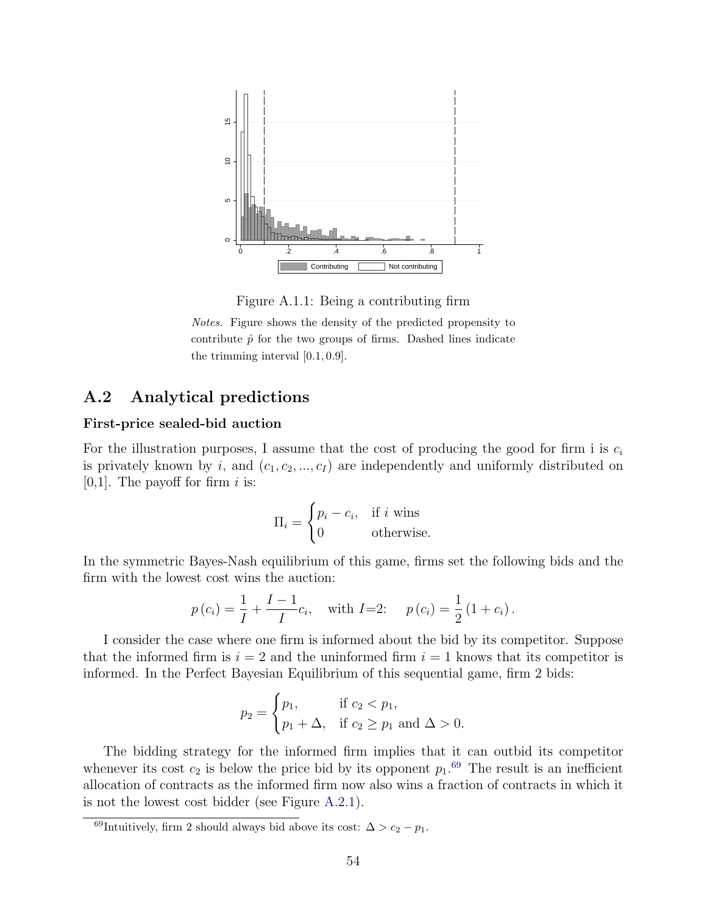<span id="page-54-0"></span>

Figure A.1.1: Being a contributing firm

Notes. Figure shows the density of the predicted propensity to contribute  $\hat{p}$  for the two groups of firms. Dashed lines indicate the trimming interval [0.1, 0.9].

# <span id="page-54-1"></span>A.2 Analytical predictions

#### First-price sealed-bid auction

For the illustration purposes, I assume that the cost of producing the good for firm i is  $c_i$ is privately known by i, and  $(c_1, c_2, ..., c_I)$  are independently and uniformly distributed on [0,1]. The payoff for firm  $i$  is:

$$
\Pi_i = \begin{cases} p_i - c_i, & \text{if } i \text{ wins} \\ 0 & \text{otherwise.} \end{cases}
$$

In the symmetric Bayes-Nash equilibrium of this game, firms set the following bids and the firm with the lowest cost wins the auction:

$$
p(c_i) = \frac{1}{I} + \frac{I-1}{I}c_i
$$
, with  $I=2$ :  $p(c_i) = \frac{1}{2}(1+c_i)$ .

I consider the case where one firm is informed about the bid by its competitor. Suppose that the informed firm is  $i = 2$  and the uninformed firm  $i = 1$  knows that its competitor is informed. In the Perfect Bayesian Equilibrium of this sequential game, firm 2 bids:

$$
p_2 = \begin{cases} p_1, & \text{if } c_2 < p_1, \\ p_1 + \Delta, & \text{if } c_2 \ge p_1 \text{ and } \Delta > 0. \end{cases}
$$

The bidding strategy for the informed firm implies that it can outbid its competitor whenever its cost  $c_2$  is below the price bid by its opponent  $p_1$ .<sup>[69](#page-54-2)</sup> The result is an inefficient allocation of contracts as the informed firm now also wins a fraction of contracts in which it is not the lowest cost bidder (see Figure [A.2.1\)](#page-55-0).

<span id="page-54-2"></span><sup>&</sup>lt;sup>69</sup>Intuitively, firm 2 should always bid above its cost:  $\Delta > c_2 - p_1$ .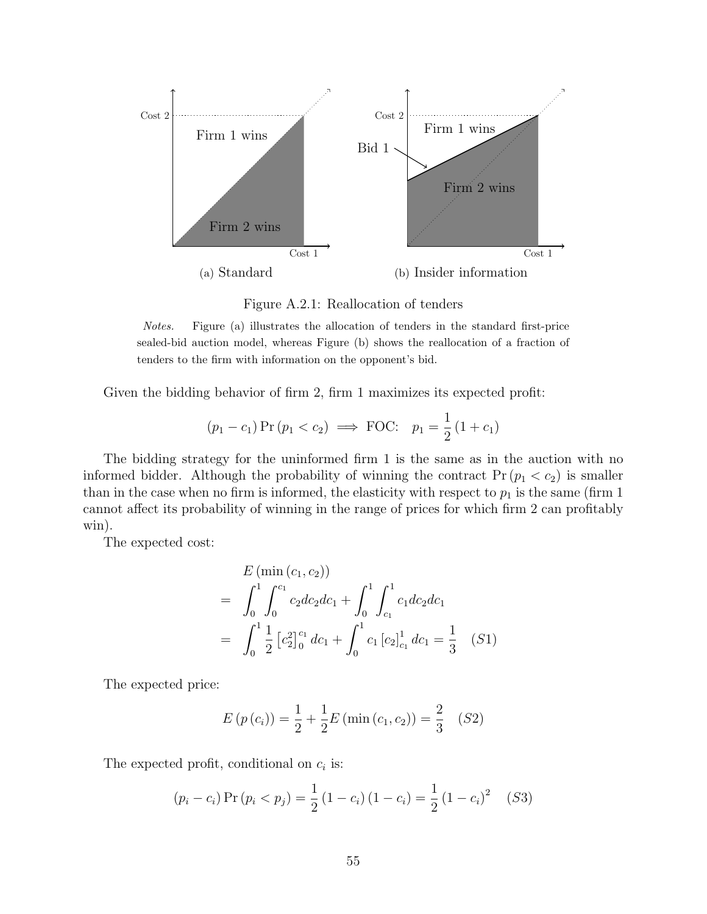<span id="page-55-0"></span>

Figure A.2.1: Reallocation of tenders

Notes. Figure (a) illustrates the allocation of tenders in the standard first-price sealed-bid auction model, whereas Figure (b) shows the reallocation of a fraction of tenders to the firm with information on the opponent's bid.

Given the bidding behavior of firm 2, firm 1 maximizes its expected profit:

$$
(p_1 - c_1) \Pr(p_1 < c_2) \implies \text{FOC: } p_1 = \frac{1}{2} (1 + c_1)
$$

The bidding strategy for the uninformed firm 1 is the same as in the auction with no informed bidder. Although the probability of winning the contract  $Pr (p_1 < c_2)$  is smaller than in the case when no firm is informed, the elasticity with respect to  $p_1$  is the same (firm 1) cannot affect its probability of winning in the range of prices for which firm 2 can profitably win).

The expected cost:

$$
E \left( \min(c_1, c_2) \right)
$$
  
=  $\int_0^1 \int_0^{c_1} c_2 dc_2 dc_1 + \int_0^1 \int_{c_1}^1 c_1 dc_2 dc_1$   
=  $\int_0^1 \frac{1}{2} \left[ c_2^2 \right]_0^{c_1} dc_1 + \int_0^1 c_1 \left[ c_2 \right]_{c_1}^1 dc_1 = \frac{1}{3} \quad (S1)$ 

The expected price:

$$
E(p(c_i)) = \frac{1}{2} + \frac{1}{2}E(\min(c_1, c_2)) = \frac{2}{3} \quad (S2)
$$

The expected profit, conditional on  $c_i$  is:

$$
(p_i - c_i) \Pr(p_i < p_j) = \frac{1}{2} (1 - c_i) (1 - c_i) = \frac{1}{2} (1 - c_i)^2 \quad (S3)
$$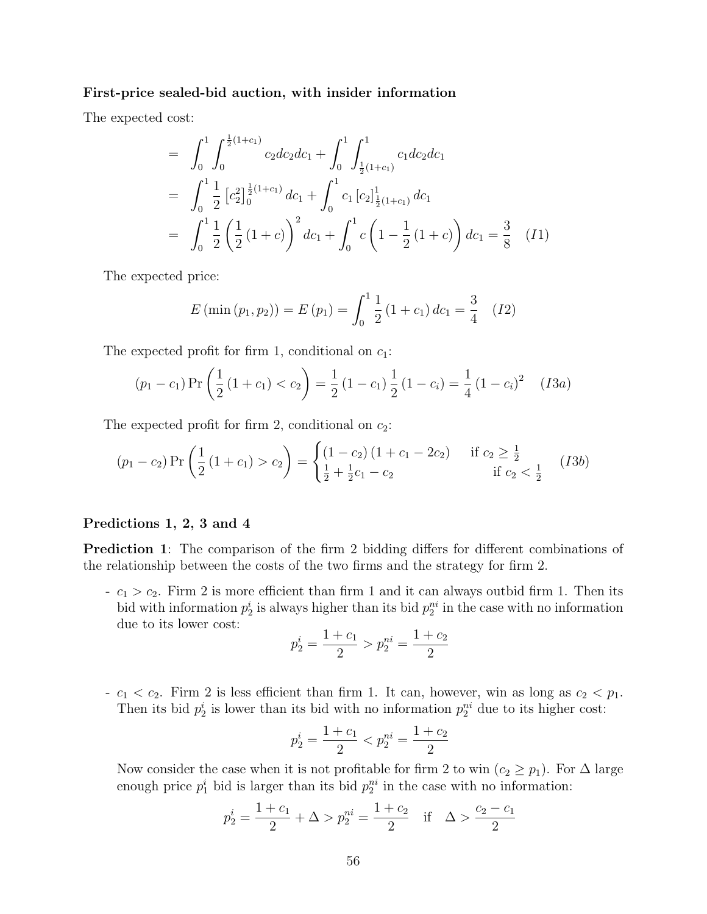#### First-price sealed-bid auction, with insider information

The expected cost:

$$
= \int_0^1 \int_0^{\frac{1}{2}(1+c_1)} c_2 dc_2 dc_1 + \int_0^1 \int_{\frac{1}{2}(1+c_1)}^1 c_1 dc_2 dc_1
$$
  
\n
$$
= \int_0^1 \frac{1}{2} \left[c_2^2\right]_0^{\frac{1}{2}(1+c_1)} dc_1 + \int_0^1 c_1 \left[c_2\right]_{\frac{1}{2}(1+c_1)}^1 dc_1
$$
  
\n
$$
= \int_0^1 \frac{1}{2} \left(\frac{1}{2}(1+c)\right)^2 dc_1 + \int_0^1 c \left(1 - \frac{1}{2}(1+c)\right) dc_1 = \frac{3}{8} \quad (I1)
$$

The expected price:

$$
E(\min(p_1, p_2)) = E(p_1) = \int_0^1 \frac{1}{2} (1 + c_1) \, dc_1 = \frac{3}{4} \quad (12)
$$

The expected profit for firm 1, conditional on  $c_1$ :

$$
(p_1 - c_1) \Pr\left(\frac{1}{2}(1 + c_1) < c_2\right) = \frac{1}{2}(1 - c_1) \frac{1}{2}(1 - c_i) = \frac{1}{4}(1 - c_i)^2 \quad (I3a)
$$

The expected profit for firm 2, conditional on  $c_2$ :

$$
(p_1 - c_2) \Pr\left(\frac{1}{2}(1 + c_1) > c_2\right) = \begin{cases} (1 - c_2)(1 + c_1 - 2c_2) & \text{if } c_2 \ge \frac{1}{2} \\ \frac{1}{2} + \frac{1}{2}c_1 - c_2 & \text{if } c_2 < \frac{1}{2} \end{cases} (I3b)
$$

#### Predictions 1, 2, 3 and 4

Prediction 1: The comparison of the firm 2 bidding differs for different combinations of the relationship between the costs of the two firms and the strategy for firm 2.

 $-c_1 > c_2$ . Firm 2 is more efficient than firm 1 and it can always outbid firm 1. Then its bid with information  $p_2^i$  is always higher than its bid  $p_2^{ni}$  in the case with no information due to its lower cost:

$$
p_2^i = \frac{1+c_1}{2} > p_2^{ni} = \frac{1+c_2}{2}
$$

-  $c_1 < c_2$ . Firm 2 is less efficient than firm 1. It can, however, win as long as  $c_2 < p_1$ . Then its bid  $p_2^i$  is lower than its bid with no information  $p_2^{ni}$  due to its higher cost:

$$
p_2^i = \frac{1+c_1}{2} < p_2^{ni} = \frac{1+c_2}{2}
$$

Now consider the case when it is not profitable for firm 2 to win ( $c_2 \geq p_1$ ). For  $\Delta$  large enough price  $p_1^i$  bid is larger than its bid  $p_2^{ni}$  in the case with no information:

$$
p_2^i = \frac{1+c_1}{2} + \Delta > p_2^{ni} = \frac{1+c_2}{2}
$$
 if  $\Delta > \frac{c_2 - c_1}{2}$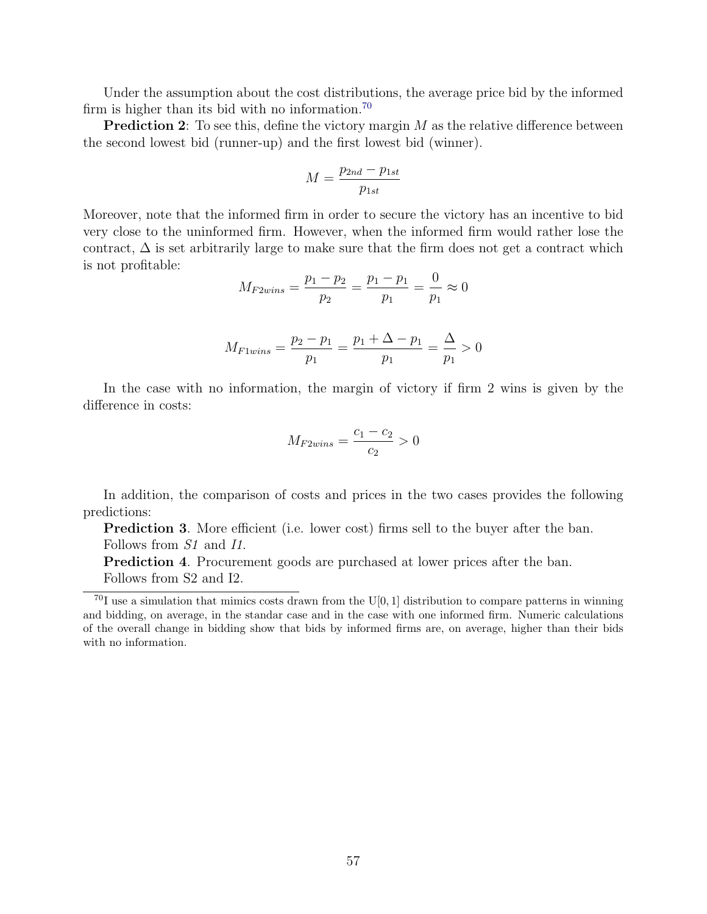Under the assumption about the cost distributions, the average price bid by the informed firm is higher than its bid with no information.[70](#page-57-0)

**Prediction 2**: To see this, define the victory margin  $M$  as the relative difference between the second lowest bid (runner-up) and the first lowest bid (winner).

$$
M = \frac{p_{2nd} - p_{1st}}{p_{1st}}
$$

Moreover, note that the informed firm in order to secure the victory has an incentive to bid very close to the uninformed firm. However, when the informed firm would rather lose the contract,  $\Delta$  is set arbitrarily large to make sure that the firm does not get a contract which is not profitable:

$$
M_{F2wins} = \frac{p_1 - p_2}{p_2} = \frac{p_1 - p_1}{p_1} = \frac{0}{p_1} \approx 0
$$

$$
M_{Flwins} = \frac{p_2 - p_1}{p_1} = \frac{p_1 + \Delta - p_1}{p_1} = \frac{\Delta}{p_1} > 0
$$

In the case with no information, the margin of victory if firm 2 wins is given by the difference in costs:

$$
M_{F2wins} = \frac{c_1 - c_2}{c_2} > 0
$$

In addition, the comparison of costs and prices in the two cases provides the following predictions:

**Prediction 3.** More efficient (i.e. lower cost) firms sell to the buyer after the ban. Follows from  $S1$  and  $I1$ .

**Prediction 4.** Procurement goods are purchased at lower prices after the ban. Follows from S2 and I2.

<span id="page-57-0"></span> $^{70}$ I use a simulation that mimics costs drawn from the U[0, 1] distribution to compare patterns in winning and bidding, on average, in the standar case and in the case with one informed firm. Numeric calculations of the overall change in bidding show that bids by informed firms are, on average, higher than their bids with no information.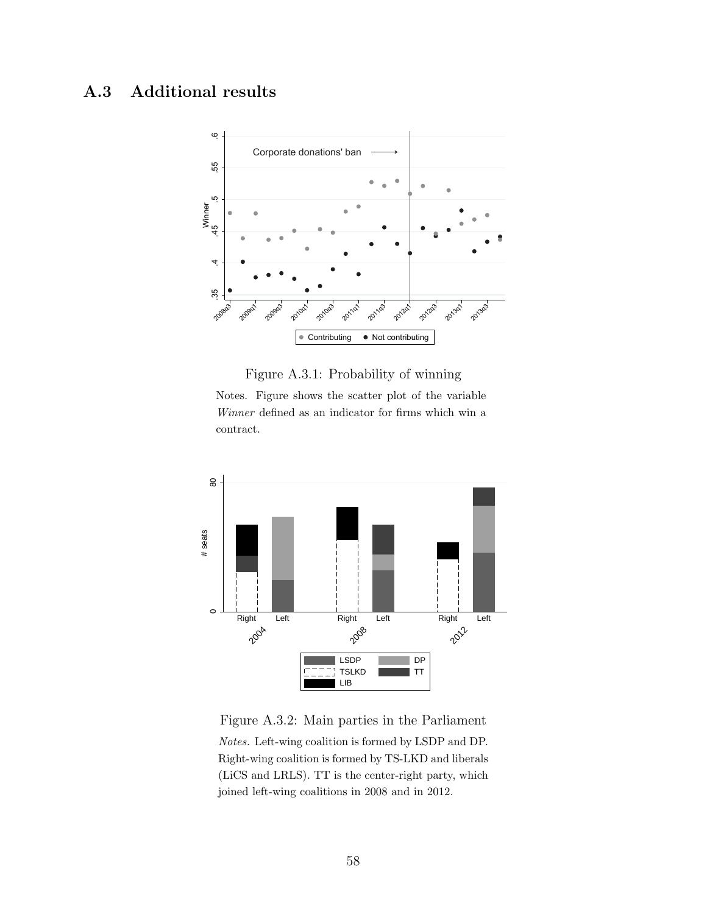# <span id="page-58-0"></span>A.3 Additional results



#### Figure A.3.1: Probability of winning

Notes. Figure shows the scatter plot of the variable Winner defined as an indicator for firms which win a contract.

<span id="page-58-1"></span>

Figure A.3.2: Main parties in the Parliament Notes. Left-wing coalition is formed by LSDP and DP. Right-wing coalition is formed by TS-LKD and liberals (LiCS and LRLS). TT is the center-right party, which joined left-wing coalitions in 2008 and in 2012.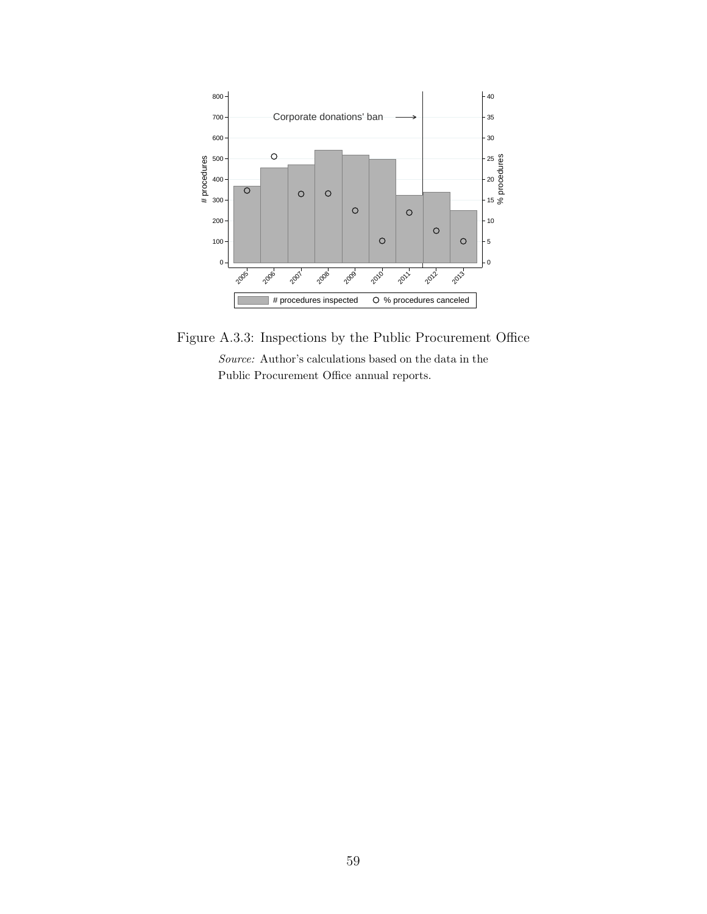<span id="page-59-0"></span>

Figure A.3.3: Inspections by the Public Procurement Office Source: Author's calculations based on the data in the Public Procurement Office annual reports.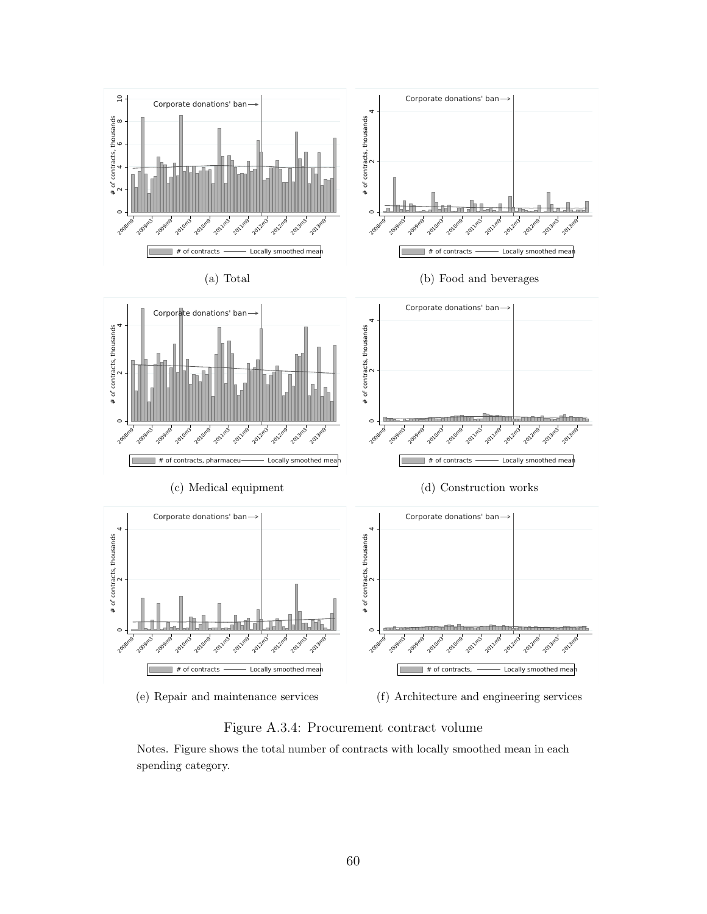<span id="page-60-0"></span>

Figure A.3.4: Procurement contract volume

Notes. Figure shows the total number of contracts with locally smoothed mean in each spending category.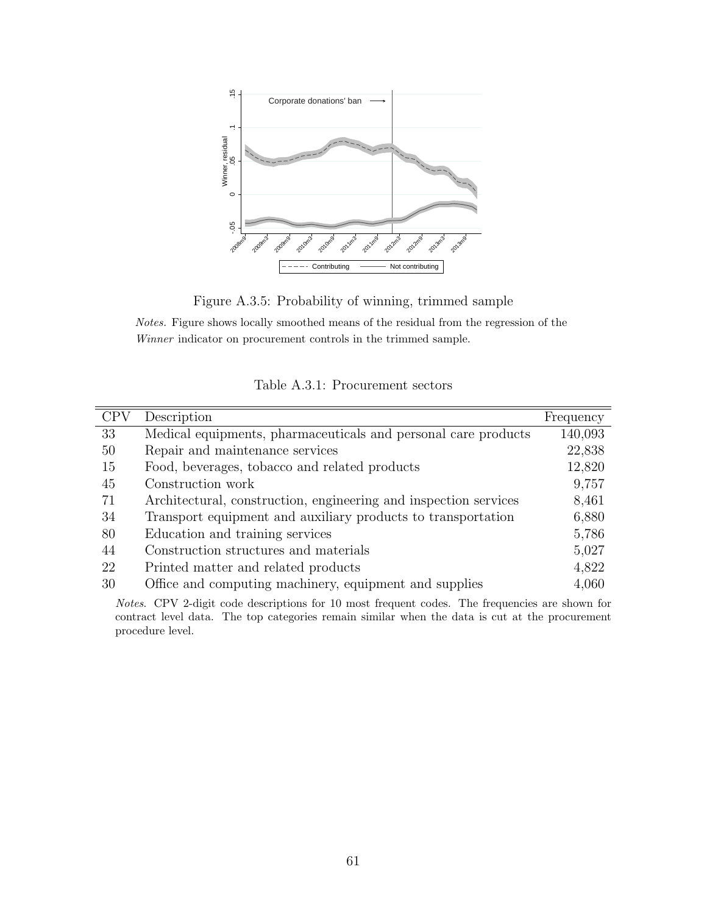<span id="page-61-1"></span>

Figure A.3.5: Probability of winning, trimmed sample

Notes. Figure shows locally smoothed means of the residual from the regression of the Winner indicator on procurement controls in the trimmed sample.

Table A.3.1: Procurement sectors

<span id="page-61-0"></span>

| <b>CPV</b> | Description                                                      | Frequency |
|------------|------------------------------------------------------------------|-----------|
| 33         | Medical equipments, pharmaceuticals and personal care products   | 140,093   |
| 50         | Repair and maintenance services                                  | 22,838    |
| 15         | Food, beverages, tobacco and related products                    | 12,820    |
| 45         | Construction work                                                | 9,757     |
| 71         | Architectural, construction, engineering and inspection services | 8,461     |
| 34         | Transport equipment and auxiliary products to transportation     | 6,880     |
| 80         | Education and training services                                  | 5,786     |
| 44         | Construction structures and materials                            | 5,027     |
| 22         | Printed matter and related products                              | 4,822     |
| 30         | Office and computing machinery, equipment and supplies           | 4,060     |
|            |                                                                  |           |

Notes. CPV 2-digit code descriptions for 10 most frequent codes. The frequencies are shown for contract level data. The top categories remain similar when the data is cut at the procurement procedure level.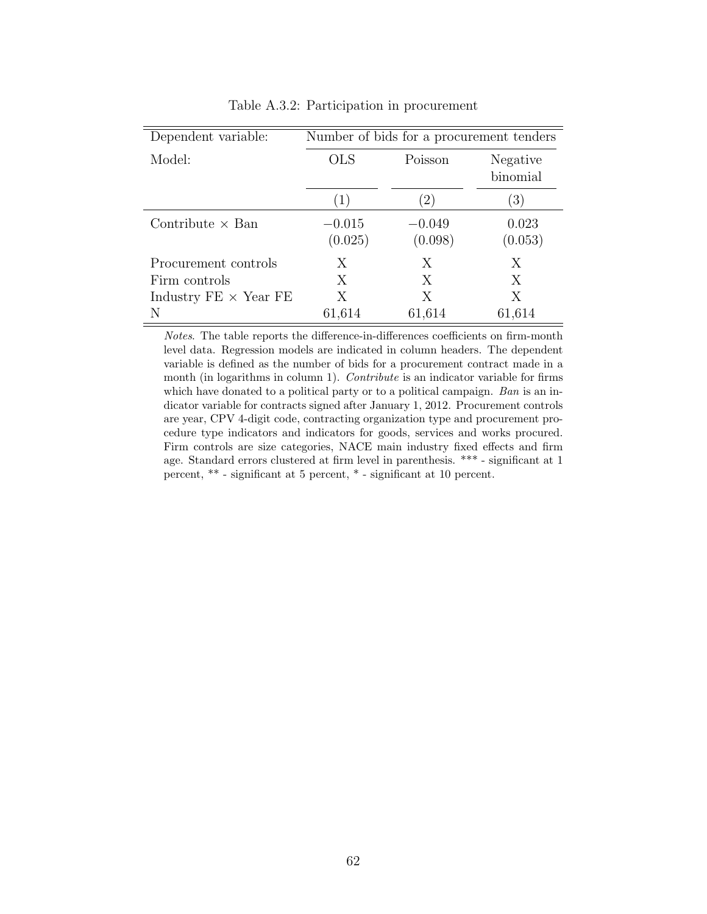<span id="page-62-0"></span>

| Dependent variable:          | Number of bids for a procurement tenders |                     |                  |  |
|------------------------------|------------------------------------------|---------------------|------------------|--|
| Model:                       | <b>OLS</b>                               | Poisson             |                  |  |
|                              | $\perp$                                  | $\left(2\right)$    | (3)              |  |
| Contribute $\times$ Ban      | $-0.015$<br>(0.025)                      | $-0.049$<br>(0.098) | 0.023<br>(0.053) |  |
| Procurement controls         | X                                        | X                   | X                |  |
| Firm controls                | X                                        | X                   | X                |  |
| Industry $FE \times Year$ FE | X                                        | X                   | Χ                |  |
| N                            | 61,614                                   | 61,614              | 61,614           |  |

Table A.3.2: Participation in procurement

<span id="page-62-1"></span>Notes. The table reports the difference-in-differences coefficients on firm-month level data. Regression models are indicated in column headers. The dependent variable is defined as the number of bids for a procurement contract made in a month (in logarithms in column 1). Contribute is an indicator variable for firms which have donated to a political party or to a political campaign. Ban is an indicator variable for contracts signed after January 1, 2012. Procurement controls are year, CPV 4-digit code, contracting organization type and procurement procedure type indicators and indicators for goods, services and works procured. Firm controls are size categories, NACE main industry fixed effects and firm age. Standard errors clustered at firm level in parenthesis. \*\*\* - significant at 1 percent, \*\* - significant at 5 percent, \* - significant at 10 percent.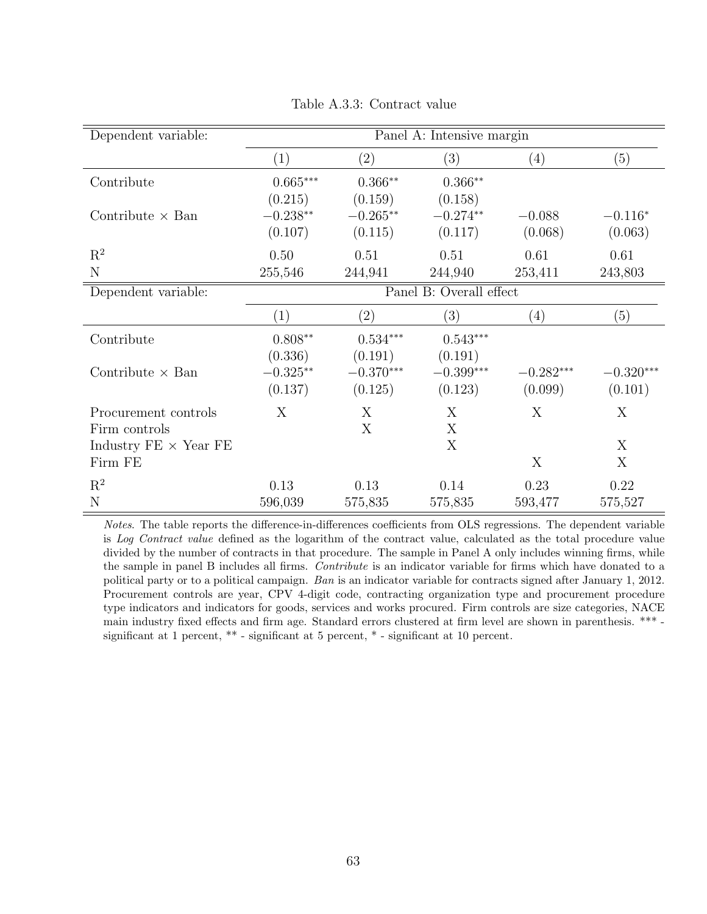| Dependent variable:          | Panel A: Intensive margin |                   |             |             |                         |
|------------------------------|---------------------------|-------------------|-------------|-------------|-------------------------|
|                              | (1)                       | (2)               | (3)         | (4)         | (5)                     |
| Contribute                   | $0.665***$                | $0.366**$         | $0.366**$   |             |                         |
|                              | (0.215)                   | (0.159)           | (0.158)     |             |                         |
| Contribute $\times$ Ban      | $-0.238**$                | $-0.265**$        | $-0.274**$  | $-0.088$    | $-0.116*$               |
|                              | (0.107)                   | (0.115)           | (0.117)     | (0.068)     | (0.063)                 |
| $\mathbf{R}^2$               | 0.50                      | 0.51              | 0.51        | 0.61        | 0.61                    |
| N                            | 255,546                   | 244,941           | 244,940     | 253,411     | 243,803                 |
| Dependent variable:          | Panel B: Overall effect   |                   |             |             |                         |
|                              | (1)                       | $\left( 2\right)$ | (3)         | (4)         | (5)                     |
| Contribute                   | $0.808**$                 | $0.534***$        | $0.543***$  |             |                         |
|                              | (0.336)                   | (0.191)           | (0.191)     |             |                         |
| Contribute $\times$ Ban      | $-0.325**$                | $-0.370***$       | $-0.399***$ | $-0.282***$ | $-0.320^{\ast\ast\ast}$ |
|                              | (0.137)                   | (0.125)           | (0.123)     | (0.099)     | (0.101)                 |
| Procurement controls         | X                         | X                 | X           | X           | X                       |
| Firm controls                |                           | X                 | X           |             |                         |
| Industry $FE \times Year$ FE |                           |                   | X           |             | X                       |
| Firm FE                      |                           |                   |             | X           | X                       |
| $\mathbf{R}^2$               | 0.13                      | 0.13              | 0.14        | 0.23        | 0.22                    |
| N                            | 596,039                   | 575,835           | 575,835     | 593,477     | 575,527                 |

Table A.3.3: Contract value

Notes. The table reports the difference-in-differences coefficients from OLS regressions. The dependent variable is Log Contract value defined as the logarithm of the contract value, calculated as the total procedure value divided by the number of contracts in that procedure. The sample in Panel A only includes winning firms, while the sample in panel B includes all firms. Contribute is an indicator variable for firms which have donated to a political party or to a political campaign. Ban is an indicator variable for contracts signed after January 1, 2012. Procurement controls are year, CPV 4-digit code, contracting organization type and procurement procedure type indicators and indicators for goods, services and works procured. Firm controls are size categories, NACE main industry fixed effects and firm age. Standard errors clustered at firm level are shown in parenthesis. \*\*\* significant at 1 percent,  $**$  - significant at 5 percent,  $*$  - significant at 10 percent.